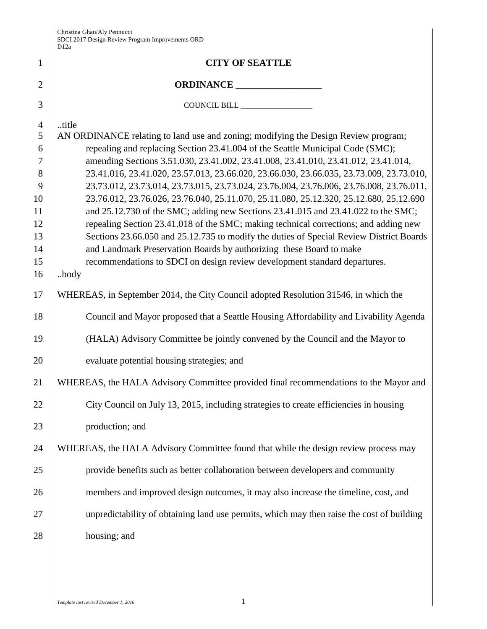|                | DΙ∠ά                                                                                                                                                                              |
|----------------|-----------------------------------------------------------------------------------------------------------------------------------------------------------------------------------|
| $\mathbf{1}$   | <b>CITY OF SEATTLE</b>                                                                                                                                                            |
| $\overline{2}$ | ORDINANCE                                                                                                                                                                         |
| 3              | COUNCIL BILL ________________                                                                                                                                                     |
| $\overline{4}$ | title                                                                                                                                                                             |
| 5              | AN ORDINANCE relating to land use and zoning; modifying the Design Review program;                                                                                                |
| 6              | repealing and replacing Section 23.41.004 of the Seattle Municipal Code (SMC);                                                                                                    |
| 7              | amending Sections 3.51.030, 23.41.002, 23.41.008, 23.41.010, 23.41.012, 23.41.014,                                                                                                |
| 8              | 23.41.016, 23.41.020, 23.57.013, 23.66.020, 23.66.030, 23.66.035, 23.73.009, 23.73.010,                                                                                           |
| 9<br>10        | 23.73.012, 23.73.014, 23.73.015, 23.73.024, 23.76.004, 23.76.006, 23.76.008, 23.76.011,<br>23.76.012, 23.76.026, 23.76.040, 25.11.070, 25.11.080, 25.12.320, 25.12.680, 25.12.690 |
| 11             | and 25.12.730 of the SMC; adding new Sections 23.41.015 and 23.41.022 to the SMC;                                                                                                 |
| 12             | repealing Section 23.41.018 of the SMC; making technical corrections; and adding new                                                                                              |
| 13             | Sections 23.66.050 and 25.12.735 to modify the duties of Special Review District Boards                                                                                           |
| 14             | and Landmark Preservation Boards by authorizing these Board to make                                                                                                               |
| 15             | recommendations to SDCI on design review development standard departures.                                                                                                         |
| 16             | .body                                                                                                                                                                             |
| 17             | WHEREAS, in September 2014, the City Council adopted Resolution 31546, in which the                                                                                               |
| 18             | Council and Mayor proposed that a Seattle Housing Affordability and Livability Agenda                                                                                             |
| 19             | (HALA) Advisory Committee be jointly convened by the Council and the Mayor to                                                                                                     |
| 20             | evaluate potential housing strategies; and                                                                                                                                        |
| 21             | WHEREAS, the HALA Advisory Committee provided final recommendations to the Mayor and                                                                                              |
| 22             | City Council on July 13, 2015, including strategies to create efficiencies in housing                                                                                             |
| 23             | production; and                                                                                                                                                                   |
| 24             | WHEREAS, the HALA Advisory Committee found that while the design review process may                                                                                               |
| 25             | provide benefits such as better collaboration between developers and community                                                                                                    |
| 26             | members and improved design outcomes, it may also increase the timeline, cost, and                                                                                                |
| 27             | unpredictability of obtaining land use permits, which may then raise the cost of building                                                                                         |
| 28             | housing; and                                                                                                                                                                      |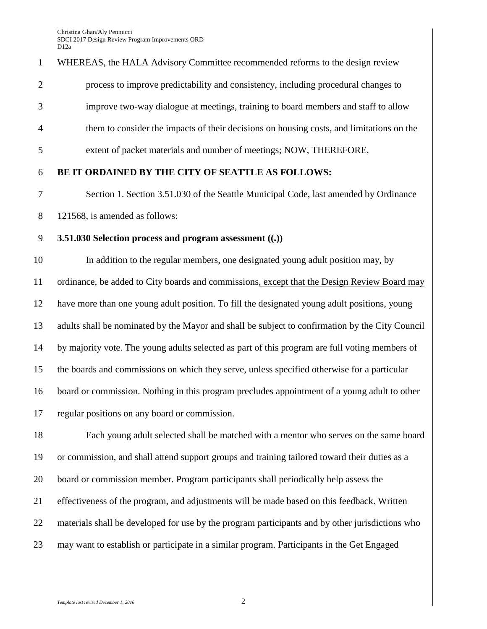WHEREAS, the HALA Advisory Committee recommended reforms to the design review process to improve predictability and consistency, including procedural changes to improve two-way dialogue at meetings, training to board members and staff to allow them to consider the impacts of their decisions on housing costs, and limitations on the extent of packet materials and number of meetings; NOW, THEREFORE, **BE IT ORDAINED BY THE CITY OF SEATTLE AS FOLLOWS:** Section 1. Section 3.51.030 of the Seattle Municipal Code, last amended by Ordinance 121568, is amended as follows: **3.51.030 Selection process and program assessment ((.))** In addition to the regular members, one designated young adult position may, by ordinance, be added to City boards and commissions, except that the Design Review Board may have more than one young adult position. To fill the designated young adult positions, young 13 adults shall be nominated by the Mayor and shall be subject to confirmation by the City Council by majority vote. The young adults selected as part of this program are full voting members of the boards and commissions on which they serve, unless specified otherwise for a particular board or commission. Nothing in this program precludes appointment of a young adult to other 17 regular positions on any board or commission. Each young adult selected shall be matched with a mentor who serves on the same board

 or commission, and shall attend support groups and training tailored toward their duties as a board or commission member. Program participants shall periodically help assess the effectiveness of the program, and adjustments will be made based on this feedback. Written materials shall be developed for use by the program participants and by other jurisdictions who 23 may want to establish or participate in a similar program. Participants in the Get Engaged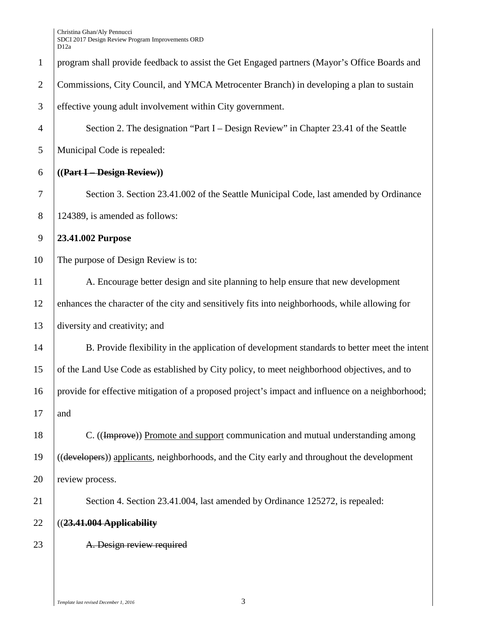|                | レ ⊥ ∠a                                                                                           |
|----------------|--------------------------------------------------------------------------------------------------|
| $\mathbf{1}$   | program shall provide feedback to assist the Get Engaged partners (Mayor's Office Boards and     |
| $\overline{2}$ | Commissions, City Council, and YMCA Metrocenter Branch) in developing a plan to sustain          |
| 3              | effective young adult involvement within City government.                                        |
| $\overline{4}$ | Section 2. The designation "Part I – Design Review" in Chapter 23.41 of the Seattle              |
| 5              | Municipal Code is repealed:                                                                      |
| 6              | ((Part I - Design Review))                                                                       |
| $\tau$         | Section 3. Section 23.41.002 of the Seattle Municipal Code, last amended by Ordinance            |
| $8\,$          | 124389, is amended as follows:                                                                   |
| $\overline{9}$ | 23.41.002 Purpose                                                                                |
| 10             | The purpose of Design Review is to:                                                              |
| 11             | A. Encourage better design and site planning to help ensure that new development                 |
| 12             | enhances the character of the city and sensitively fits into neighborhoods, while allowing for   |
| 13             | diversity and creativity; and                                                                    |
| 14             | B. Provide flexibility in the application of development standards to better meet the intent     |
| 15             | of the Land Use Code as established by City policy, to meet neighborhood objectives, and to      |
| 16             | provide for effective mitigation of a proposed project's impact and influence on a neighborhood; |
| 17             | and                                                                                              |
| 18             | C. ((Improve)) Promote and support communication and mutual understanding among                  |
| 19             | ((developers)) applicants, neighborhoods, and the City early and throughout the development      |
| 20             | review process.                                                                                  |
| 21             | Section 4. Section 23.41.004, last amended by Ordinance 125272, is repealed:                     |
| 22             | ((23.41.004 Applicability                                                                        |
| 23             | A. Design review required                                                                        |
|                |                                                                                                  |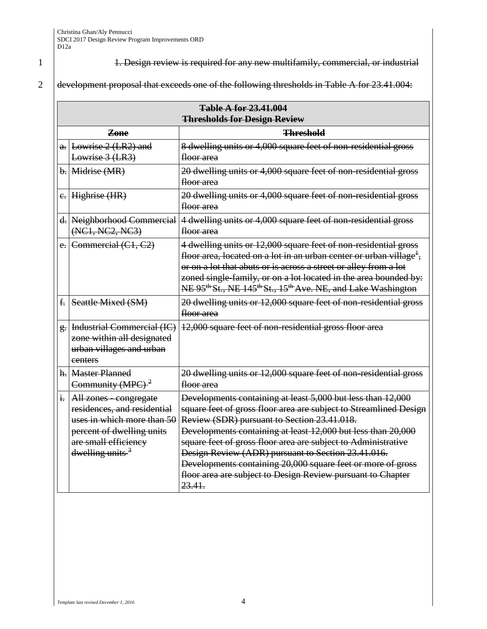1 1. Design review is required for any new multifamily, commercial, or industrial

## 2 development proposal that exceeds one of the following thresholds in Table A for  $23.41.004$ :

|    | <b>Table A for 23.41.004</b>                                                                                                                                                   |                                                                                                                                                                                                                                                                                                                                                                                                                                                                                                                |  |  |
|----|--------------------------------------------------------------------------------------------------------------------------------------------------------------------------------|----------------------------------------------------------------------------------------------------------------------------------------------------------------------------------------------------------------------------------------------------------------------------------------------------------------------------------------------------------------------------------------------------------------------------------------------------------------------------------------------------------------|--|--|
|    | <b>Thresholds for Design Review</b>                                                                                                                                            |                                                                                                                                                                                                                                                                                                                                                                                                                                                                                                                |  |  |
|    | <b>Threshold</b>                                                                                                                                                               |                                                                                                                                                                                                                                                                                                                                                                                                                                                                                                                |  |  |
|    | $\alpha$ . Lowrise 2 (LR2) and<br>Lowrise 3 (LR3)                                                                                                                              | 8 dwelling units or 4,000 square feet of non-residential gross<br><del>floor area</del>                                                                                                                                                                                                                                                                                                                                                                                                                        |  |  |
|    | $b.$ Midrise $(MR)$                                                                                                                                                            | 20 dwelling units or 4,000 square feet of non-residential gross<br>floor area                                                                                                                                                                                                                                                                                                                                                                                                                                  |  |  |
|    | $e$ . Highrise (HR)                                                                                                                                                            | 20 dwelling units or 4,000 square feet of non-residential gross<br><del>floor area</del>                                                                                                                                                                                                                                                                                                                                                                                                                       |  |  |
|    | d. Neighborhood Commercial<br>(NC1, NC2, NC3)                                                                                                                                  | 4 dwelling units or 4,000 square feet of non-residential gross<br><del>floor area</del>                                                                                                                                                                                                                                                                                                                                                                                                                        |  |  |
|    | $e.$ Commercial $(C1, C2)$                                                                                                                                                     | 4 dwelling units or 12,000 square feet of non-residential gross<br>floor area, located on a lot in an urban center or urban village <sup>1</sup> ,<br>or on a lot that abuts or is across a street or alley from a lot<br>zoned single-family, or on a lot located in the area bounded by:<br>NE 95 <sup>th</sup> St., NE 145 <sup>th</sup> St., 15 <sup>th</sup> Ave. NE, and Lake Washington                                                                                                                 |  |  |
| f. | Seattle Mixed (SM)                                                                                                                                                             | 20 dwelling units or 12,000 square feet of non-residential gross<br><del>floor area</del>                                                                                                                                                                                                                                                                                                                                                                                                                      |  |  |
|    | g.   Industrial Commercial (IC)<br>zone within all designated<br>urban villages and urban<br>centers                                                                           | 12,000 square feet of non-residential gross floor area                                                                                                                                                                                                                                                                                                                                                                                                                                                         |  |  |
|    | h. Master Planned<br>Community (MPC) $2$                                                                                                                                       | 20 dwelling units or 12,000 square feet of non-residential gross<br><del>floor area</del>                                                                                                                                                                                                                                                                                                                                                                                                                      |  |  |
|    | $\frac{1}{2}$   All zones - congregate<br>residences, and residential<br>uses in which more than 50<br>percent of dwelling units<br>are small efficiency<br>dwelling units $3$ | Developments containing at least 5,000 but less than 12,000<br>square feet of gross floor area are subject to Streamlined Design<br>Review (SDR) pursuant to Section 23.41.018.<br>Developments containing at least 12,000 but less than 20,000<br>square feet of gross floor area are subject to Administrative<br>Design Review (ADR) pursuant to Section 23.41.016.<br>Developments containing 20,000 square feet or more of gross<br>floor area are subject to Design Review pursuant to Chapter<br>23.41. |  |  |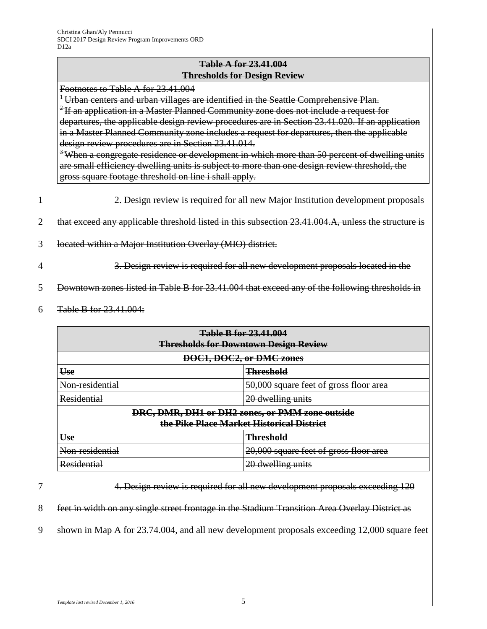### **Table A for 23.41.004 Thresholds for Design Review**

Footnotes to Table A for 23.41.004

<sup>1</sup> Urban centers and urban villages are identified in the Seattle Comprehensive Plan. <sup>2</sup> If an application in a Master Planned Community zone does not include a request for departures, the applicable design review procedures are in Section 23.41.020. If an application in a Master Planned Community zone includes a request for departures, then the applicable design review procedures are in Section 23.41.014.

<sup>3</sup>When a congregate residence or development in which more than 50 percent of dwelling units are small efficiency dwelling units is subject to more than one design review threshold, the gross square footage threshold on line i shall apply.

|   | 2. Design review is required for all new Major Institution development proposals                    |  |  |  |
|---|-----------------------------------------------------------------------------------------------------|--|--|--|
| 2 | that exceed any applicable threshold listed in this subsection 23.41.004.A, unless the structure is |  |  |  |
|   | located within a Major Institution Overlay (MIO) district.                                          |  |  |  |
|   | 3. Design review is required for all new development proposals located in the                       |  |  |  |
|   | Downtown zones listed in Table B for 23.41.004 that exceed any of the following thresholds in       |  |  |  |

6  $\sqrt{4}$  Table B for 23.41.004:

| <b>Table B for 23.41.004</b><br><b>Thresholds for Downtown Design Review</b>                 |                                        |  |  |
|----------------------------------------------------------------------------------------------|----------------------------------------|--|--|
|                                                                                              | DOC1, DOC2, or DMC zones               |  |  |
| Use<br><b>Threshold</b>                                                                      |                                        |  |  |
| Non-residential                                                                              | 50,000 square feet of gross floor area |  |  |
| <b>Residential</b>                                                                           | 20 dwelling units                      |  |  |
| DRC, DMR, DH1 or DH2 zones, or PMM zone outside<br>the Pike Place Market Historical District |                                        |  |  |
| Use<br><b>Threshold</b>                                                                      |                                        |  |  |
| Non-residential                                                                              | 20,000 square feet of gross floor area |  |  |
| <b>Residential</b>                                                                           | 20 dwelling units                      |  |  |

7 4. Design review is required for all new development proposals exceeding 120

8 **feet in width on any single street frontage in the Stadium Transition Area Overlay District as** 

9 shown in Map A for  $23.74.004$ , and all new development proposals exceeding 12,000 square feet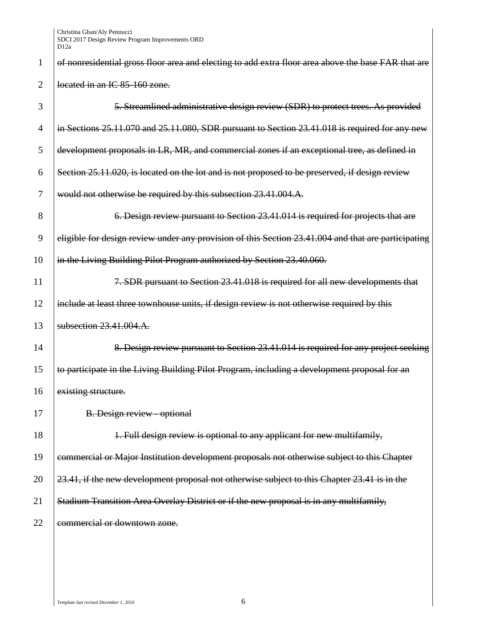|                | ี่ ∠ี่ ⊥∠น                                                                                          |
|----------------|-----------------------------------------------------------------------------------------------------|
| 1              | of nonresidential gross floor area and electing to add extra floor area above the base FAR that are |
| $\overline{2}$ | located in an IC 85-160 zone.                                                                       |
| 3              | 5. Streamlined administrative design review (SDR) to protect trees. As provided                     |
| $\overline{4}$ | in Sections 25.11.070 and 25.11.080, SDR pursuant to Section 23.41.018 is required for any new      |
| 5              | development proposals in LR, MR, and commercial zones if an exceptional tree, as defined in         |
| 6              | Section 25.11.020, is located on the lot and is not proposed to be preserved, if design review      |
| 7              | would not otherwise be required by this subsection 23.41.004.A.                                     |
| 8              | 6. Design review pursuant to Section 23.41.014 is required for projects that are                    |
| 9              | eligible for design review under any provision of this Section 23.41.004 and that are participating |
| 10             | in the Living Building Pilot Program authorized by Section 23.40.060.                               |
| 11             | 7. SDR pursuant to Section 23.41.018 is required for all new developments that                      |
| 12             | include at least three townhouse units, if design review is not otherwise required by this          |
| 13             | subsection 23.41.004.A.                                                                             |
| 14             | 8. Design review pursuant to Section 23.41.014 is required for any project seeking                  |
| 15             | to participate in the Living Building Pilot Program, including a development proposal for an        |
| 16             | existing structure.                                                                                 |
| 17             | B. Design review - optional                                                                         |
| 18             | 1. Full design review is optional to any applicant for new multifamily,                             |
| 19             | commercial or Major Institution development proposals not otherwise subject to this Chapter         |
| 20             | 23.41, if the new development proposal not otherwise subject to this Chapter 23.41 is in the        |
| 21             | Stadium Transition Area Overlay District or if the new proposal is in any multifamily,              |
| 22             | commercial or downtown zone.                                                                        |
|                |                                                                                                     |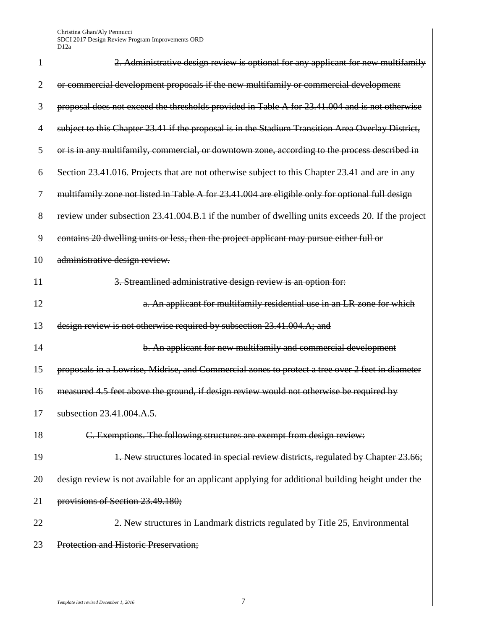| 1              | 2. Administrative design review is optional for any applicant for new multifamily                 |
|----------------|---------------------------------------------------------------------------------------------------|
| $\overline{2}$ | or commercial development proposals if the new multifamily or commercial development              |
| 3              | proposal does not exceed the thresholds provided in Table A for 23.41.004 and is not otherwise    |
| 4              | subject to this Chapter 23.41 if the proposal is in the Stadium Transition Area Overlay District, |
| 5              | or is in any multifamily, commercial, or downtown zone, according to the process described in     |
| 6              | Section 23.41.016. Projects that are not otherwise subject to this Chapter 23.41 and are in any   |
| 7              | multifamily zone not listed in Table A for 23.41.004 are eligible only for optional full design   |
| 8              | review under subsection 23.41.004.B.1 if the number of dwelling units exceeds 20. If the project  |
| 9              | contains 20 dwelling units or less, then the project applicant may pursue either full or          |
| 10             | administrative design review.                                                                     |
| 11             | 3. Streamlined administrative design review is an option for:                                     |
| 12             | a. An applicant for multifamily residential use in an LR zone for which                           |
| 13             | design review is not otherwise required by subsection 23.41.004.A; and                            |
| 14             | b. An applicant for new multifamily and commercial development                                    |
| 15             | proposals in a Lowrise, Midrise, and Commercial zones to protect a tree over 2 feet in diameter   |
| 16             | measured 4.5 feet above the ground, if design review would not otherwise be required by           |
| 17             | subsection 23.41.004.A.5.                                                                         |
| 18             | C. Exemptions. The following structures are exempt from design review:                            |
| 19             | 1. New structures located in special review districts, regulated by Chapter 23.66;                |
| 20             | design review is not available for an applicant applying for additional building height under the |
| 21             | provisions of Section 23.49.180;                                                                  |
| 22             | 2. New structures in Landmark districts regulated by Title 25, Environmental                      |
| 23             | <b>Protection and Historic Preservation;</b>                                                      |
|                |                                                                                                   |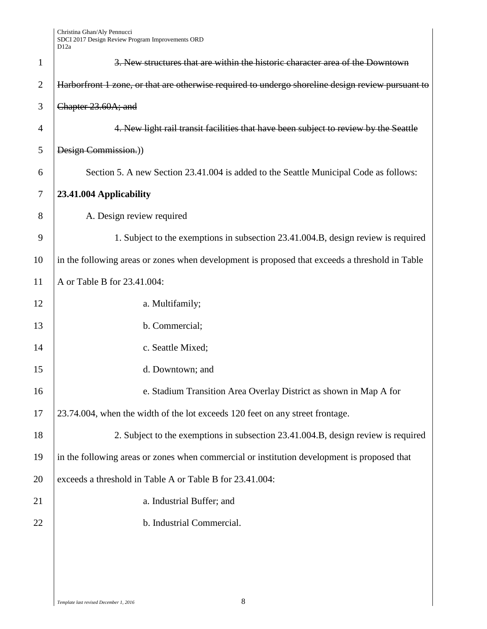| $\mathbf{1}$   | 3. New structures that are within the historic character area of the Downtown                     |  |  |
|----------------|---------------------------------------------------------------------------------------------------|--|--|
| $\overline{2}$ | Harborfront 1 zone, or that are otherwise required to undergo shoreline design review pursuant to |  |  |
| 3              | Chapter 23.60A; and                                                                               |  |  |
| 4              | 4. New light rail transit facilities that have been subject to review by the Seattle              |  |  |
| 5              | Design Commission.))                                                                              |  |  |
| 6              | Section 5. A new Section 23.41.004 is added to the Seattle Municipal Code as follows:             |  |  |
| 7              | 23.41.004 Applicability                                                                           |  |  |
| 8              | A. Design review required                                                                         |  |  |
| 9              | 1. Subject to the exemptions in subsection 23.41.004.B, design review is required                 |  |  |
| 10             | in the following areas or zones when development is proposed that exceeds a threshold in Table    |  |  |
| 11             | A or Table B for 23.41.004:                                                                       |  |  |
| 12             | a. Multifamily;                                                                                   |  |  |
| 13             | b. Commercial;                                                                                    |  |  |
| 14             | c. Seattle Mixed;                                                                                 |  |  |
| 15             | d. Downtown; and                                                                                  |  |  |
| 16             | e. Stadium Transition Area Overlay District as shown in Map A for                                 |  |  |
| 17             | 23.74.004, when the width of the lot exceeds 120 feet on any street frontage.                     |  |  |
| 18             | 2. Subject to the exemptions in subsection 23.41.004.B, design review is required                 |  |  |
| 19             | in the following areas or zones when commercial or institution development is proposed that       |  |  |
| 20             | exceeds a threshold in Table A or Table B for 23.41.004:                                          |  |  |
| 21             | a. Industrial Buffer; and                                                                         |  |  |
| 22             | b. Industrial Commercial.                                                                         |  |  |
|                |                                                                                                   |  |  |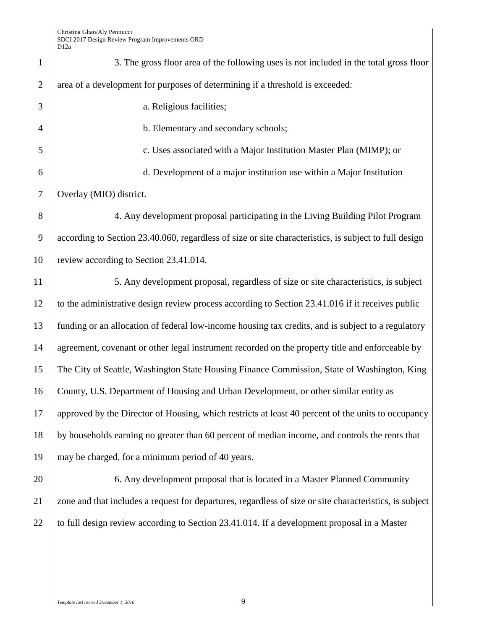| $\mathbf{1}$   | 3. The gross floor area of the following uses is not included in the total gross floor                  |  |  |
|----------------|---------------------------------------------------------------------------------------------------------|--|--|
| $\overline{2}$ | area of a development for purposes of determining if a threshold is exceeded:                           |  |  |
| 3              | a. Religious facilities;                                                                                |  |  |
| $\overline{4}$ | b. Elementary and secondary schools;                                                                    |  |  |
| 5              | c. Uses associated with a Major Institution Master Plan (MIMP); or                                      |  |  |
| 6              | d. Development of a major institution use within a Major Institution                                    |  |  |
| 7              | Overlay (MIO) district.                                                                                 |  |  |
| 8              | 4. Any development proposal participating in the Living Building Pilot Program                          |  |  |
| 9              | according to Section 23.40.060, regardless of size or site characteristics, is subject to full design   |  |  |
| 10             | review according to Section 23.41.014.                                                                  |  |  |
| 11             | 5. Any development proposal, regardless of size or site characteristics, is subject                     |  |  |
| 12             | to the administrative design review process according to Section 23.41.016 if it receives public        |  |  |
| 13             | funding or an allocation of federal low-income housing tax credits, and is subject to a regulatory      |  |  |
| 14             | agreement, covenant or other legal instrument recorded on the property title and enforceable by         |  |  |
| 15             | The City of Seattle, Washington State Housing Finance Commission, State of Washington, King             |  |  |
| 16             | County, U.S. Department of Housing and Urban Development, or other similar entity as                    |  |  |
| 17             | approved by the Director of Housing, which restricts at least 40 percent of the units to occupancy      |  |  |
| 18             | by households earning no greater than 60 percent of median income, and controls the rents that          |  |  |
| 19             | may be charged, for a minimum period of 40 years.                                                       |  |  |
| 20             | 6. Any development proposal that is located in a Master Planned Community                               |  |  |
| 21             | zone and that includes a request for departures, regardless of size or site characteristics, is subject |  |  |
| 22             | to full design review according to Section 23.41.014. If a development proposal in a Master             |  |  |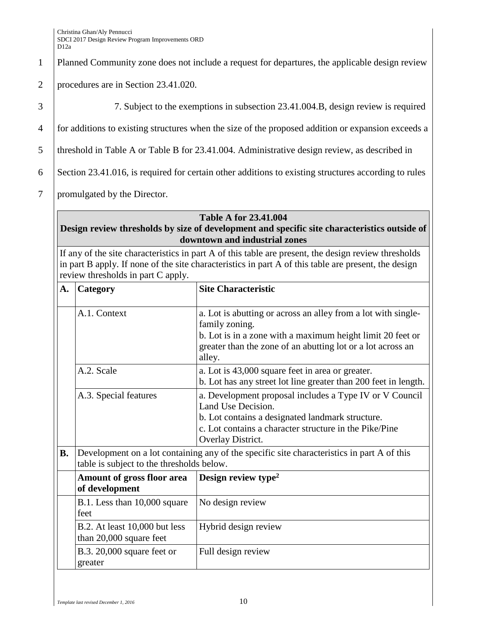1 Planned Community zone does not include a request for departures, the applicable design review

- 2 procedures are in Section 23.41.020.
- 

3 7. Subject to the exemptions in subsection 23.41.004.B, design review is required

4 for additions to existing structures when the size of the proposed addition or expansion exceeds a

5 | threshold in Table A or Table B for 23.41.004. Administrative design review, as described in

6 Section 23.41.016, is required for certain other additions to existing structures according to rules

7 promulgated by the Director.

#### **Table A for 23.41.004**

### **Design review thresholds by size of development and specific site characteristics outside of downtown and industrial zones**

If any of the site characteristics in part A of this table are present, the design review thresholds in part B apply. If none of the site characteristics in part A of this table are present, the design review thresholds in part C apply.

| A.         | Category                                                 | <b>Site Characteristic</b>                                                                                                                                                                                             |  |
|------------|----------------------------------------------------------|------------------------------------------------------------------------------------------------------------------------------------------------------------------------------------------------------------------------|--|
|            | A.1. Context                                             | a. Lot is abutting or across an alley from a lot with single-<br>family zoning.<br>b. Lot is in a zone with a maximum height limit 20 feet or<br>greater than the zone of an abutting lot or a lot across an<br>alley. |  |
| A.2. Scale |                                                          | a. Lot is 43,000 square feet in area or greater.<br>b. Lot has any street lot line greater than 200 feet in length.                                                                                                    |  |
|            | A.3. Special features                                    | a. Development proposal includes a Type IV or V Council<br>Land Use Decision.<br>b. Lot contains a designated landmark structure.<br>c. Lot contains a character structure in the Pike/Pine<br>Overlay District.       |  |
| <b>B.</b>  | table is subject to the thresholds below.                | Development on a lot containing any of the specific site characteristics in part A of this                                                                                                                             |  |
|            | Amount of gross floor area<br>of development             | Design review type <sup>2</sup>                                                                                                                                                                                        |  |
|            | B.1. Less than 10,000 square<br>feet                     | No design review                                                                                                                                                                                                       |  |
|            | B.2. At least 10,000 but less<br>than 20,000 square feet | Hybrid design review                                                                                                                                                                                                   |  |
|            | B.3. $20,000$ square feet or<br>greater                  | Full design review                                                                                                                                                                                                     |  |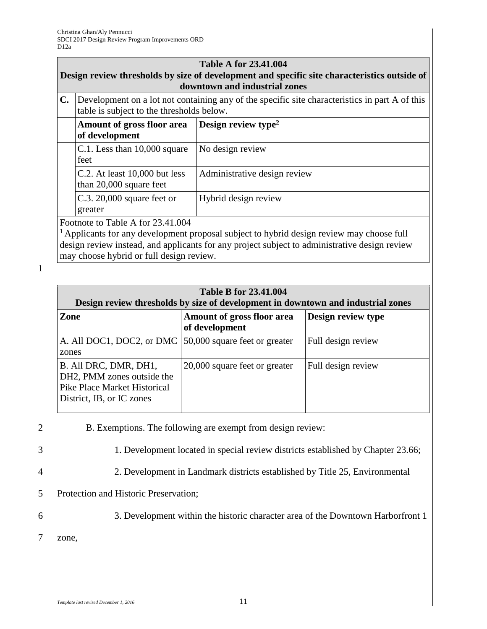| <b>Table A for 23.41.004</b><br>Design review thresholds by size of development and specific site characteristics outside of<br>downtown and industrial zones                                                                                                                          |                                                                                                                                             |                                 |  |
|----------------------------------------------------------------------------------------------------------------------------------------------------------------------------------------------------------------------------------------------------------------------------------------|---------------------------------------------------------------------------------------------------------------------------------------------|---------------------------------|--|
| $\mathbf{C}$ .                                                                                                                                                                                                                                                                         | Development on a lot not containing any of the specific site characteristics in part A of this<br>table is subject to the thresholds below. |                                 |  |
|                                                                                                                                                                                                                                                                                        | Amount of gross floor area<br>of development                                                                                                | Design review type <sup>2</sup> |  |
|                                                                                                                                                                                                                                                                                        | C.1. Less than 10,000 square<br>feet                                                                                                        | No design review                |  |
|                                                                                                                                                                                                                                                                                        | C.2. At least 10,000 but less<br>than 20,000 square feet                                                                                    | Administrative design review    |  |
|                                                                                                                                                                                                                                                                                        | $C.3.20,000$ square feet or<br>greater                                                                                                      | Hybrid design review            |  |
| Footnote to Table A for 23.41.004<br><sup>1</sup> Applicants for any development proposal subject to hybrid design review may choose full<br>design review instead, and applicants for any project subject to administrative design review<br>may choose hybrid or full design review. |                                                                                                                                             |                                 |  |
|                                                                                                                                                                                                                                                                                        |                                                                                                                                             |                                 |  |
| <b>Table B for 23.41.004</b><br>Design review thresholds by size of development in downtown and industrial zones                                                                                                                                                                       |                                                                                                                                             |                                 |  |
|                                                                                                                                                                                                                                                                                        |                                                                                                                                             |                                 |  |

| $\bullet$                                                                                                        |                                              |                    |
|------------------------------------------------------------------------------------------------------------------|----------------------------------------------|--------------------|
| <b>Zone</b>                                                                                                      | Amount of gross floor area<br>of development | Design review type |
| A. All DOC1, DOC2, or DMC 50,000 square feet or greater<br>zones                                                 |                                              | Full design review |
| B. All DRC, DMR, DH1,<br>DH2, PMM zones outside the<br>Pike Place Market Historical<br>District, IB, or IC zones | 20,000 square feet or greater                | Full design review |

2 B. Exemptions. The following are exempt from design review:

1

3 1. Development located in special review districts established by Chapter 23.66;

4 2. Development in Landmark districts established by Title 25, Environmental

5 Protection and Historic Preservation;

6 3. Development within the historic character area of the Downtown Harborfront 1

7 zone,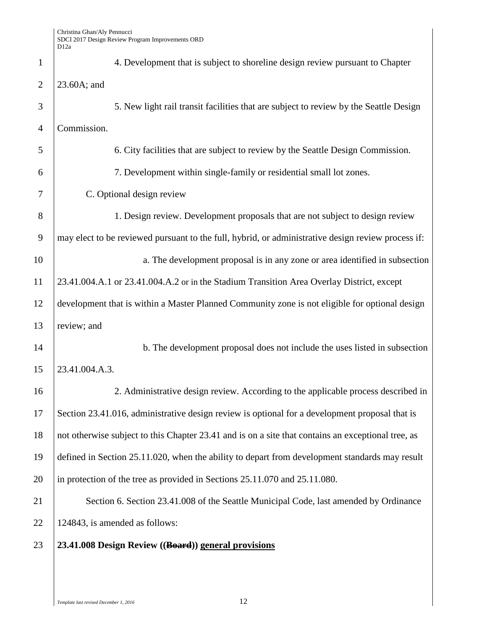| $\mathbf{1}$   | 4. Development that is subject to shoreline design review pursuant to Chapter                      |
|----------------|----------------------------------------------------------------------------------------------------|
| $\overline{2}$ | 23.60A; and                                                                                        |
| 3              | 5. New light rail transit facilities that are subject to review by the Seattle Design              |
| $\overline{4}$ | Commission.                                                                                        |
| 5              | 6. City facilities that are subject to review by the Seattle Design Commission.                    |
| 6              | 7. Development within single-family or residential small lot zones.                                |
| 7              | C. Optional design review                                                                          |
| 8              | 1. Design review. Development proposals that are not subject to design review                      |
| 9              | may elect to be reviewed pursuant to the full, hybrid, or administrative design review process if: |
| 10             | a. The development proposal is in any zone or area identified in subsection                        |
| 11             | 23.41.004.A.1 or 23.41.004.A.2 or in the Stadium Transition Area Overlay District, except          |
| 12             | development that is within a Master Planned Community zone is not eligible for optional design     |
| 13             | review; and                                                                                        |
| 14             | b. The development proposal does not include the uses listed in subsection                         |
| 15             | 23.41.004.A.3.                                                                                     |
| 16             | 2. Administrative design review. According to the applicable process described in                  |
| 17             | Section 23.41.016, administrative design review is optional for a development proposal that is     |
| 18             | not otherwise subject to this Chapter 23.41 and is on a site that contains an exceptional tree, as |
| 19             | defined in Section 25.11.020, when the ability to depart from development standards may result     |
| 20             | in protection of the tree as provided in Sections 25.11.070 and 25.11.080.                         |
| 21             | Section 6. Section 23.41.008 of the Seattle Municipal Code, last amended by Ordinance              |
| 22             | 124843, is amended as follows:                                                                     |
| 23             | 23.41.008 Design Review ((Board)) general provisions                                               |
|                |                                                                                                    |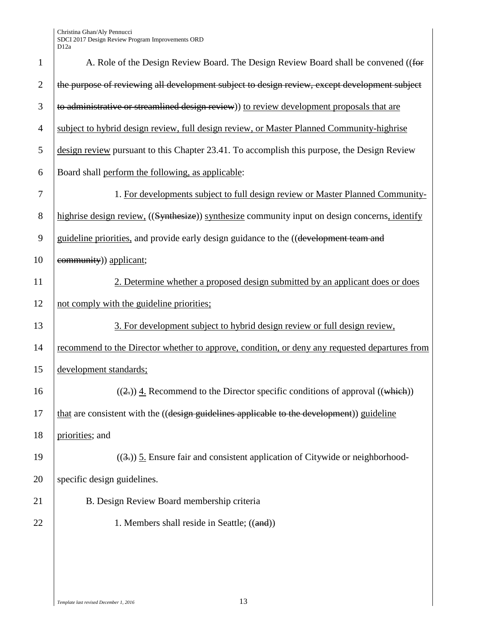| $\mathbf{1}$   | A. Role of the Design Review Board. The Design Review Board shall be convened ((for            |
|----------------|------------------------------------------------------------------------------------------------|
| $\overline{2}$ | the purpose of reviewing all development subject to design review, except development subject  |
| 3              | to administrative or streamlined design review) to review development proposals that are       |
| $\overline{4}$ | subject to hybrid design review, full design review, or Master Planned Community-highrise      |
| 5              | design review pursuant to this Chapter 23.41. To accomplish this purpose, the Design Review    |
| 6              | Board shall perform the following, as applicable:                                              |
| 7              | 1. For developments subject to full design review or Master Planned Community-                 |
| 8              | highrise design review. ((Synthesize)) synthesize community input on design concerns, identify |
| 9              | guideline priorities, and provide early design guidance to the ((development team and          |
| 10             | community)) applicant;                                                                         |
| 11             | 2. Determine whether a proposed design submitted by an applicant does or does                  |
| 12             | not comply with the guideline priorities;                                                      |
| 13             | 3. For development subject to hybrid design review or full design review,                      |
| 14             | recommend to the Director whether to approve, condition, or deny any requested departures from |
| 15             | development standards;                                                                         |
| 16             | $((2))$ 4. Recommend to the Director specific conditions of approval $((which))$               |
| 17             | that are consistent with the ((design guidelines applicable to the development)) guideline     |
| 18             | priorities; and                                                                                |
| 19             | $((3))$ 5. Ensure fair and consistent application of Citywide or neighborhood-                 |
| 20             | specific design guidelines.                                                                    |
| 21             | B. Design Review Board membership criteria                                                     |
| 22             | 1. Members shall reside in Seattle; ((and))                                                    |
|                |                                                                                                |
|                |                                                                                                |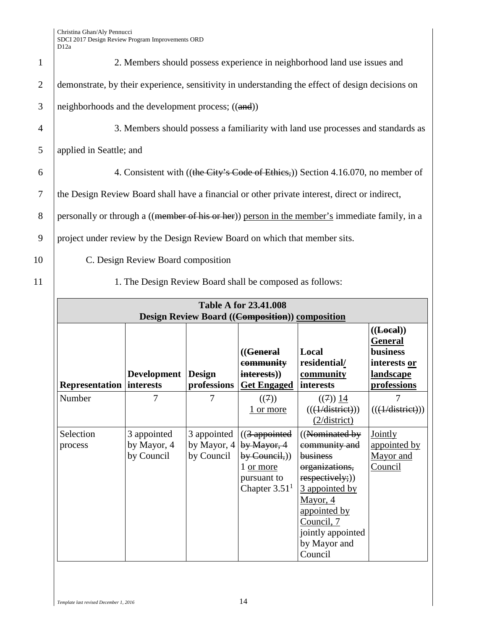| 1              | 2. Members should possess experience in neighborhood land use issues and                         |  |  |
|----------------|--------------------------------------------------------------------------------------------------|--|--|
| 2              | demonstrate, by their experience, sensitivity in understanding the effect of design decisions on |  |  |
| 3              | neighborhoods and the development process; $((and))$                                             |  |  |
| 4              | 3. Members should possess a familiarity with land use processes and standards as                 |  |  |
| 5              | applied in Seattle; and                                                                          |  |  |
| 6              | 4. Consistent with ((the City's Code of Ethics,)) Section 4.16.070, no member of                 |  |  |
| $\overline{7}$ | the Design Review Board shall have a financial or other private interest, direct or indirect,    |  |  |
| 8              | personally or through a ((member of his or her)) person in the member's immediate family, in a   |  |  |
| 9              | project under review by the Design Review Board on which that member sits.                       |  |  |
| 10             | C. Design Review Board composition                                                               |  |  |
| 11             | 1. The Design Review Board shall be composed as follows:                                         |  |  |
|                | <b>Table A for 23.41.008</b>                                                                     |  |  |
|                | <b>Design Review Board ((Composition)) composition</b>                                           |  |  |
|                | (( <b>Local</b> ))                                                                               |  |  |
|                | <b>General</b>                                                                                   |  |  |
|                | (( <del>General</del><br>Local<br>business                                                       |  |  |

| <b>Table A for 23.41.008</b>                    |                                          |                           |                                                                                                                                                           |                                                                                                                                                                                                          |                                                                                             |
|-------------------------------------------------|------------------------------------------|---------------------------|-----------------------------------------------------------------------------------------------------------------------------------------------------------|----------------------------------------------------------------------------------------------------------------------------------------------------------------------------------------------------------|---------------------------------------------------------------------------------------------|
| Design Review Board ((Composition)) composition |                                          |                           |                                                                                                                                                           |                                                                                                                                                                                                          |                                                                                             |
|                                                 | Development                              | <b>Design</b>             | (( <del>General</del><br><del>community</del><br>interests))                                                                                              | Local<br>residential/<br>community                                                                                                                                                                       | (( <b>Local</b> ))<br><b>General</b><br><b>business</b><br>interests or<br><b>landscape</b> |
| <b>Representation interests</b>                 |                                          | professions               | <b>Get Engaged</b>                                                                                                                                        | interests                                                                                                                                                                                                | professions                                                                                 |
| Number                                          |                                          | 7                         | ((7))<br><u>1 or more</u>                                                                                                                                 | $((7))$ 14<br>$((\left(\frac{1}{\text{distinct}}\right)))$<br>(2/district)                                                                                                                               | $((\text{(H/district)}))$                                                                   |
| Selection<br>process                            | 3 appointed<br>by Mayor, 4<br>by Council | 3 appointed<br>by Council | $\left($ (3 appointed<br>by Mayor, $4 \overline{\smash{\big)}\smash{\big)}$ by Mayor, 4<br>$by Council,$ )<br>1 or more<br>pursuant to<br>Chapter $3.511$ | ((N <sub>ominated</sub> by<br>community and<br>business<br>organizations,<br>respectively;))<br>3 appointed by<br>Mayor, 4<br>appointed by<br>Council, 7<br>jointly appointed<br>by Mayor and<br>Council | <b>Jointly</b><br>appointed by<br>Mayor and<br><b>Council</b>                               |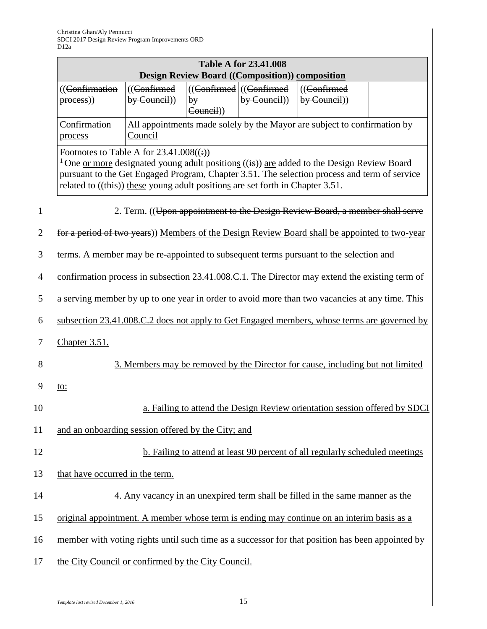|                |                                                                                                                                      |                              |                | <b>Table A for 23.41.008</b><br><b>Design Review Board ((Composition)) composition</b> |                                                                                                                                                                                                              |  |
|----------------|--------------------------------------------------------------------------------------------------------------------------------------|------------------------------|----------------|----------------------------------------------------------------------------------------|--------------------------------------------------------------------------------------------------------------------------------------------------------------------------------------------------------------|--|
|                | ((Confirmation<br>$process)$                                                                                                         | $((Confirmed$<br>by Council) | by<br>Council) | $((\text{Confirmed})$ $((\text{Confirmed})$<br>by Gumeil)                              | ((Confirmed<br>by <b>Count</b> )                                                                                                                                                                             |  |
|                | Confirmation<br>process                                                                                                              | Council                      |                |                                                                                        | All appointments made solely by the Mayor are subject to confirmation by                                                                                                                                     |  |
|                | Footnotes to Table A for $23.41.008((:))$<br>related to $((\text{this}))$ these young adult positions are set forth in Chapter 3.51. |                              |                |                                                                                        | <sup>1</sup> One <u>or more</u> designated young adult positions $((i)$ are added to the Design Review Board<br>pursuant to the Get Engaged Program, Chapter 3.51. The selection process and term of service |  |
| $\mathbf{1}$   |                                                                                                                                      |                              |                |                                                                                        | 2. Term. ((Upon appointment to the Design Review Board, a member shall serve                                                                                                                                 |  |
| $\overline{2}$ |                                                                                                                                      |                              |                |                                                                                        | for a period of two years)) Members of the Design Review Board shall be appointed to two-year                                                                                                                |  |
| 3              |                                                                                                                                      |                              |                |                                                                                        | terms. A member may be re-appointed to subsequent terms pursuant to the selection and                                                                                                                        |  |
| $\overline{4}$ |                                                                                                                                      |                              |                |                                                                                        | confirmation process in subsection 23.41.008.C.1. The Director may extend the existing term of                                                                                                               |  |
| 5              |                                                                                                                                      |                              |                |                                                                                        | a serving member by up to one year in order to avoid more than two vacancies at any time. This                                                                                                               |  |
| 6              | subsection 23.41.008.C.2 does not apply to Get Engaged members, whose terms are governed by                                          |                              |                |                                                                                        |                                                                                                                                                                                                              |  |
| 7              | <b>Chapter 3.51.</b>                                                                                                                 |                              |                |                                                                                        |                                                                                                                                                                                                              |  |
| 8              |                                                                                                                                      |                              |                |                                                                                        | 3. Members may be removed by the Director for cause, including but not limited                                                                                                                               |  |
| 9              | to:                                                                                                                                  |                              |                |                                                                                        |                                                                                                                                                                                                              |  |
| 10             |                                                                                                                                      |                              |                |                                                                                        | a. Failing to attend the Design Review orientation session offered by SDCI                                                                                                                                   |  |
| 11             | and an onboarding session offered by the City; and                                                                                   |                              |                |                                                                                        |                                                                                                                                                                                                              |  |
| 12             |                                                                                                                                      |                              |                |                                                                                        | b. Failing to attend at least 90 percent of all regularly scheduled meetings                                                                                                                                 |  |
| 13             | that have occurred in the term.                                                                                                      |                              |                |                                                                                        |                                                                                                                                                                                                              |  |
| 14             |                                                                                                                                      |                              |                |                                                                                        | 4. Any vacancy in an unexpired term shall be filled in the same manner as the                                                                                                                                |  |
| 15             |                                                                                                                                      |                              |                |                                                                                        | original appointment. A member whose term is ending may continue on an interim basis as a                                                                                                                    |  |
| 16             |                                                                                                                                      |                              |                |                                                                                        | member with voting rights until such time as a successor for that position has been appointed by                                                                                                             |  |
| 17             | the City Council or confirmed by the City Council.                                                                                   |                              |                |                                                                                        |                                                                                                                                                                                                              |  |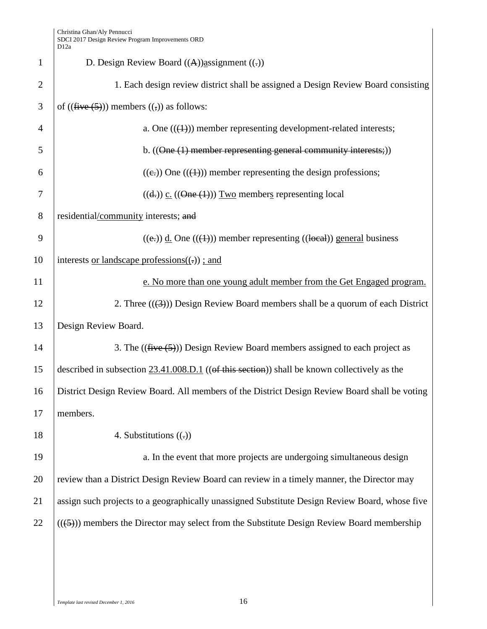| $\mathbf{1}$   | D. Design Review Board $((A))$ assignment $((.)$                                                       |
|----------------|--------------------------------------------------------------------------------------------------------|
| $\overline{2}$ | 1. Each design review district shall be assigned a Design Review Board consisting                      |
| 3              | of $((\text{five}(5)))$ members $((,))$ as follows:                                                    |
| 4              | a. One $((\text{4}))$ member representing development-related interests;                               |
| 5              | b. $((\text{One } (1) \text{ member representing general community interests}))$                       |
| 6              | $((e))$ One $((+)$ ) member representing the design professions;                                       |
| 7              | $((d))$ c. $((\Theta$ ne $(1))$ Two members representing local                                         |
| $8\phantom{.}$ | residential/community interests; and                                                                   |
| 9              | $((e))$ d. One $((+)$ ) member representing $((beed))$ general business                                |
| 10             | interests <u>or landscape</u> professions $((.)$ ; and                                                 |
| 11             | e. No more than one young adult member from the Get Engaged program.                                   |
| 12             | 2. Three $((3))$ Design Review Board members shall be a quorum of each District                        |
| 13             | Design Review Board.                                                                                   |
| 14             | 3. The $((\text{five}(5)))$ Design Review Board members assigned to each project as                    |
| 15             | described in subsection $23.41.008$ . D.1 ((of this section)) shall be known collectively as the       |
| 16             | District Design Review Board. All members of the District Design Review Board shall be voting          |
| 17             | members.                                                                                               |
| 18             | 4. Substitutions $((.)$                                                                                |
| 19             | a. In the event that more projects are undergoing simultaneous design                                  |
| 20             | review than a District Design Review Board can review in a timely manner, the Director may             |
| 21             | assign such projects to a geographically unassigned Substitute Design Review Board, whose five         |
| 22             | $((\leftarrow{5}))$ members the Director may select from the Substitute Design Review Board membership |
|                |                                                                                                        |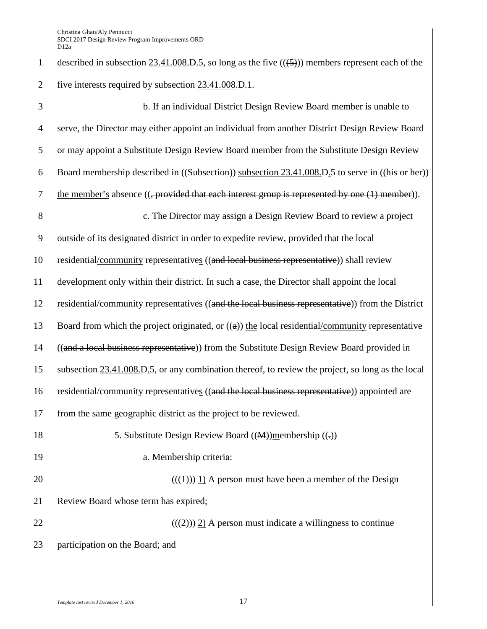1 described in subsection  $23.41.008$  D<sub>-</sub>5, so long as the five  $((\text{5}))$  members represent each of the 2 | five interests required by subsection  $23.41.008$ .D.1.

| 3              | b. If an individual District Design Review Board member is unable to                                               |
|----------------|--------------------------------------------------------------------------------------------------------------------|
| $\overline{4}$ | serve, the Director may either appoint an individual from another District Design Review Board                     |
| 5              | or may appoint a Substitute Design Review Board member from the Substitute Design Review                           |
| 6              | Board membership described in ((Subsection)) subsection 23.41.008.D.5 to serve in ((his or her))                   |
| $\tau$         | the member's absence $((, provided that each interest group is represented by one (1) member)).$                   |
| 8              | c. The Director may assign a Design Review Board to review a project                                               |
| 9              | outside of its designated district in order to expedite review, provided that the local                            |
| 10             | residential/community representatives ((and local business representative)) shall review                           |
| 11             | development only within their district. In such a case, the Director shall appoint the local                       |
| 12             | residential/community representatives ((and the local business representative)) from the District                  |
| 13             | Board from which the project originated, or $((a))$ the local residential/community representative                 |
| 14             | ((and a local business representative)) from the Substitute Design Review Board provided in                        |
| 15             | subsection $23.41.008$ , D <sub>.</sub> 5, or any combination thereof, to review the project, so long as the local |
| 16             | residential/community representatives ((and the local business representative)) appointed are                      |
| 17             | from the same geographic district as the project to be reviewed.                                                   |
| 18             | 5. Substitute Design Review Board $((M))$ membership $((.)$                                                        |
| 19             | a. Membership criteria:                                                                                            |
| 20             | $(((4))$ ) 1) A person must have been a member of the Design                                                       |
| 21             | Review Board whose term has expired;                                                                               |
| 22             | $((2))$ 2) A person must indicate a willingness to continue                                                        |
| 23             | participation on the Board; and                                                                                    |
|                |                                                                                                                    |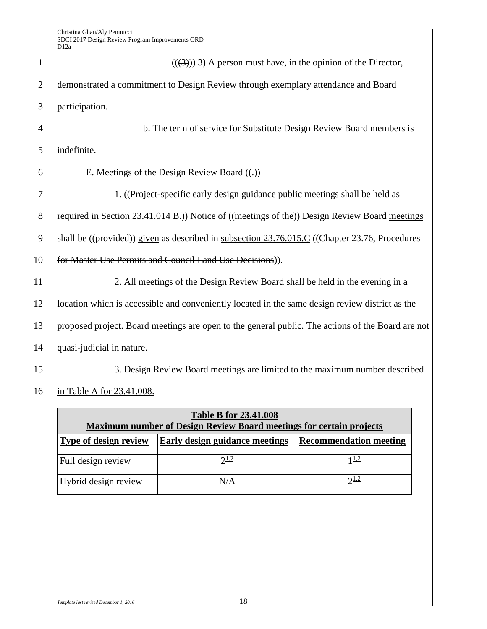| $\mathbf{1}$   | $((3))$ 3) A person must have, in the opinion of the Director,                                    |
|----------------|---------------------------------------------------------------------------------------------------|
| $\overline{2}$ | demonstrated a commitment to Design Review through exemplary attendance and Board                 |
| 3              | participation.                                                                                    |
| $\overline{4}$ | b. The term of service for Substitute Design Review Board members is                              |
| 5              | indefinite.                                                                                       |
| 6              | E. Meetings of the Design Review Board $((.)$                                                     |
| 7              | 1. ((Project-specific early design guidance public meetings shall be held as                      |
| 8              | required in Section 23.41.014 B.)) Notice of ((meetings of the)) Design Review Board meetings     |
| 9              | shall be ((provided)) given as described in subsection 23.76.015.C ((Chapter 23.76, Procedures    |
| 10             | for Master Use Permits and Council Land Use Decisions)).                                          |
| 11             | 2. All meetings of the Design Review Board shall be held in the evening in a                      |
| 12             | location which is accessible and conveniently located in the same design review district as the   |
| 13             | proposed project. Board meetings are open to the general public. The actions of the Board are not |
| 14             | quasi-judicial in nature.                                                                         |
| 15             | 3. Design Review Board meetings are limited to the maximum number described                       |
| 16             | in Table A for 23.41.008.                                                                         |

| <b>Table B for 23.41.008</b><br><b>Maximum number of Design Review Board meetings for certain projects</b> |                                       |                               |  |
|------------------------------------------------------------------------------------------------------------|---------------------------------------|-------------------------------|--|
| <b>Type of design review</b>                                                                               | <b>Early design guidance meetings</b> | <b>Recommendation meeting</b> |  |
| Full design review                                                                                         | $2^{1,2}$                             | 11.2                          |  |
| Hybrid design review                                                                                       | N/A                                   | $2^{1,2}$                     |  |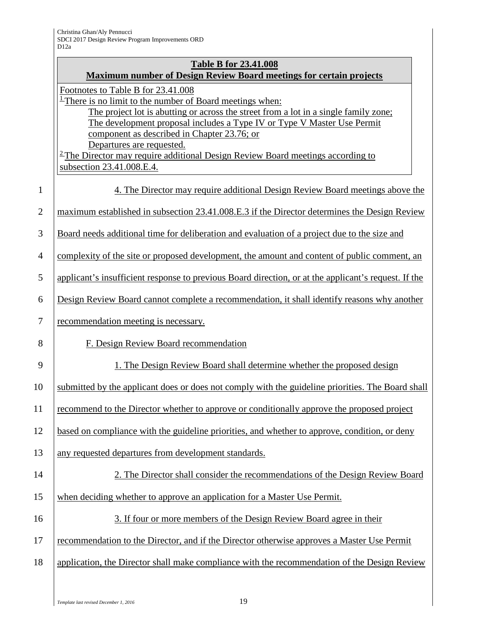# **Table B for 23.41.008**

|                | <b>Maximum number of Design Review Board meetings for certain projects</b>                                                                                                                                                                                                                                      |
|----------------|-----------------------------------------------------------------------------------------------------------------------------------------------------------------------------------------------------------------------------------------------------------------------------------------------------------------|
|                | Footnotes to Table B for 23.41.008<br>There is no limit to the number of Board meetings when:<br>The project lot is abutting or across the street from a lot in a single family zone;<br>The development proposal includes a Type IV or Type V Master Use Permit<br>component as described in Chapter 23.76; or |
|                | Departures are requested.<br>$2$ The Director may require additional Design Review Board meetings according to<br>subsection 23.41.008.E.4.                                                                                                                                                                     |
| $\mathbf{1}$   | 4. The Director may require additional Design Review Board meetings above the                                                                                                                                                                                                                                   |
| $\overline{2}$ | maximum established in subsection 23.41.008.E.3 if the Director determines the Design Review                                                                                                                                                                                                                    |
| 3              | Board needs additional time for deliberation and evaluation of a project due to the size and                                                                                                                                                                                                                    |
| $\overline{4}$ | complexity of the site or proposed development, the amount and content of public comment, an                                                                                                                                                                                                                    |
| 5              | applicant's insufficient response to previous Board direction, or at the applicant's request. If the                                                                                                                                                                                                            |
| 6              | Design Review Board cannot complete a recommendation, it shall identify reasons why another                                                                                                                                                                                                                     |
| $\overline{7}$ | recommendation meeting is necessary.                                                                                                                                                                                                                                                                            |
| 8              | F. Design Review Board recommendation                                                                                                                                                                                                                                                                           |
| 9              | 1. The Design Review Board shall determine whether the proposed design                                                                                                                                                                                                                                          |
| 10             | submitted by the applicant does or does not comply with the guideline priorities. The Board shall                                                                                                                                                                                                               |
| 11             | recommend to the Director whether to approve or conditionally approve the proposed project                                                                                                                                                                                                                      |
| 12             | based on compliance with the guideline priorities, and whether to approve, condition, or deny                                                                                                                                                                                                                   |
| 13             | any requested departures from development standards.                                                                                                                                                                                                                                                            |
| 14             | 2. The Director shall consider the recommendations of the Design Review Board                                                                                                                                                                                                                                   |
| 15             | when deciding whether to approve an application for a Master Use Permit.                                                                                                                                                                                                                                        |
| 16             | 3. If four or more members of the Design Review Board agree in their                                                                                                                                                                                                                                            |
| 17             | recommendation to the Director, and if the Director otherwise approves a Master Use Permit                                                                                                                                                                                                                      |
| 18             | application, the Director shall make compliance with the recommendation of the Design Review                                                                                                                                                                                                                    |
|                |                                                                                                                                                                                                                                                                                                                 |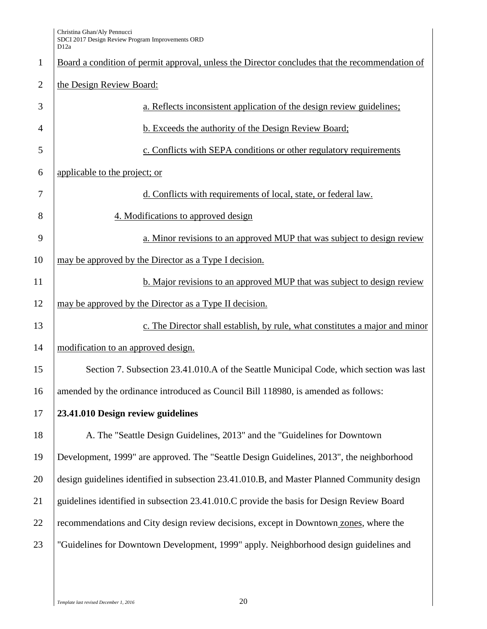| $\mathbf{1}$   | Board a condition of permit approval, unless the Director concludes that the recommendation of |
|----------------|------------------------------------------------------------------------------------------------|
| $\overline{2}$ | the Design Review Board:                                                                       |
| 3              | a. Reflects inconsistent application of the design review guidelines;                          |
| $\overline{4}$ | b. Exceeds the authority of the Design Review Board;                                           |
| 5              | c. Conflicts with SEPA conditions or other regulatory requirements                             |
| 6              | applicable to the project; or                                                                  |
| 7              | d. Conflicts with requirements of local, state, or federal law.                                |
| 8              | 4. Modifications to approved design                                                            |
| 9              | a. Minor revisions to an approved MUP that was subject to design review                        |
| 10             | may be approved by the Director as a Type I decision.                                          |
| 11             | b. Major revisions to an approved MUP that was subject to design review                        |
| 12             | may be approved by the Director as a Type II decision.                                         |
| 13             | c. The Director shall establish, by rule, what constitutes a major and minor                   |
| 14             | modification to an approved design.                                                            |
| 15             | Section 7. Subsection 23.41.010.A of the Seattle Municipal Code, which section was last        |
| 16             | amended by the ordinance introduced as Council Bill 118980, is amended as follows:             |
| 17             | 23.41.010 Design review guidelines                                                             |
| 18             | A. The "Seattle Design Guidelines, 2013" and the "Guidelines for Downtown                      |
| 19             | Development, 1999" are approved. The "Seattle Design Guidelines, 2013", the neighborhood       |
| 20             | design guidelines identified in subsection 23.41.010.B, and Master Planned Community design    |
| 21             | guidelines identified in subsection 23.41.010.C provide the basis for Design Review Board      |
| 22             | recommendations and City design review decisions, except in Downtown zones, where the          |
| 23             | "Guidelines for Downtown Development, 1999" apply. Neighborhood design guidelines and          |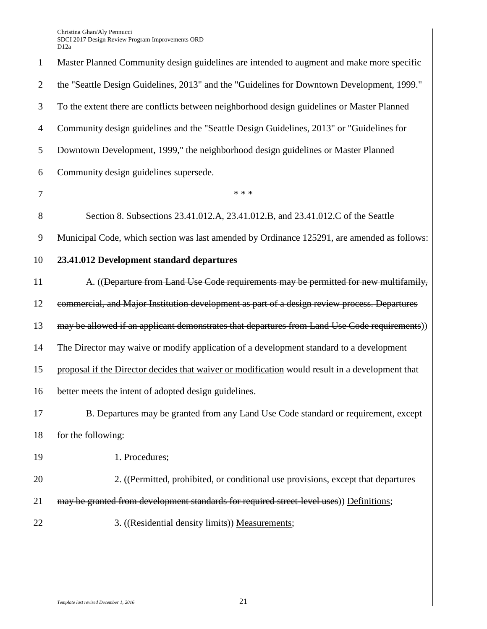| $\mathbf{1}$   | Master Planned Community design guidelines are intended to augment and make more specific       |
|----------------|-------------------------------------------------------------------------------------------------|
| $\overline{2}$ | the "Seattle Design Guidelines, 2013" and the "Guidelines for Downtown Development, 1999."      |
| 3              | To the extent there are conflicts between neighborhood design guidelines or Master Planned      |
| $\overline{4}$ | Community design guidelines and the "Seattle Design Guidelines, 2013" or "Guidelines for        |
| 5              | Downtown Development, 1999," the neighborhood design guidelines or Master Planned               |
| 6              | Community design guidelines supersede.                                                          |
| 7              | * * *                                                                                           |
| 8              | Section 8. Subsections 23.41.012.A, 23.41.012.B, and 23.41.012.C of the Seattle                 |
| 9              | Municipal Code, which section was last amended by Ordinance 125291, are amended as follows:     |
| 10             | 23.41.012 Development standard departures                                                       |
| 11             | A. ((Departure from Land Use Code requirements may be permitted for new multifamily,            |
| 12             | commercial, and Major Institution development as part of a design review process. Departures    |
| 13             | may be allowed if an applicant demonstrates that departures from Land Use Code requirements))   |
| 14             | The Director may waive or modify application of a development standard to a development         |
| 15             | proposal if the Director decides that waiver or modification would result in a development that |
| 16             | better meets the intent of adopted design guidelines.                                           |
| 17             | B. Departures may be granted from any Land Use Code standard or requirement, except             |
| 18             | for the following:                                                                              |
| 19             | 1. Procedures;                                                                                  |
| 20             | 2. ((Permitted, prohibited, or conditional use provisions, except that departures               |
| 21             | may be granted from development standards for required street-level uses)) Definitions;         |
| 22             | 3. ((Residential density limits)) Measurements;                                                 |
|                |                                                                                                 |
|                |                                                                                                 |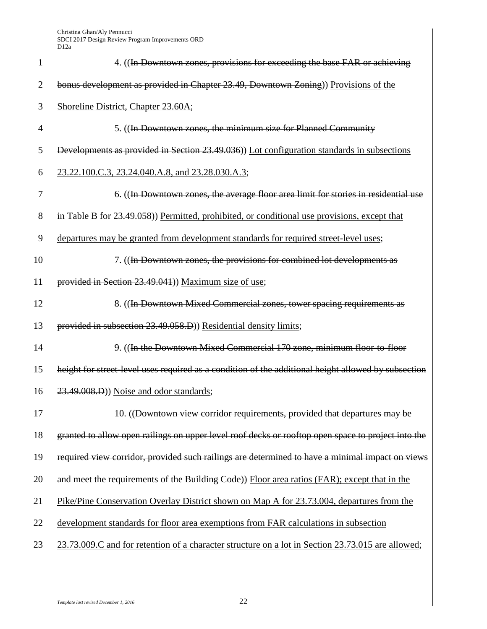| 1              | 4. ((In Downtown zones, provisions for exceeding the base FAR or achieving                          |
|----------------|-----------------------------------------------------------------------------------------------------|
| $\overline{2}$ | bonus development as provided in Chapter 23.49, Downtown Zoning) Provisions of the                  |
| 3              | Shoreline District, Chapter 23.60A;                                                                 |
| 4              | 5. ((In Downtown zones, the minimum size for Planned Community                                      |
| 5              | Developments as provided in Section 23.49.036)) Lot configuration standards in subsections          |
| 6              | 23.22.100.C.3, 23.24.040.A.8, and 23.28.030.A.3;                                                    |
| 7              | 6. ((In Downtown zones, the average floor area limit for stories in residential use                 |
| 8              | in Table B for 23.49.058) Permitted, prohibited, or conditional use provisions, except that         |
| 9              | departures may be granted from development standards for required street-level uses;                |
| 10             | 7. ( <i>(In Downtown zones, the provisions for combined lot developments as</i>                     |
| 11             | provided in Section 23.49.041)) Maximum size of use;                                                |
| 12             | 8. ((In Downtown Mixed Commercial zones, tower spacing requirements as                              |
| 13             | provided in subsection 23.49.058.D)) Residential density limits;                                    |
| 14             | 9. ((In the Downtown Mixed Commercial 170 zone, minimum floor-to-floor                              |
| 15             | height for street level uses required as a condition of the additional height allowed by subsection |
| 16             | 23.49.008.D)) Noise and odor standards;                                                             |
| 17             | 10. ((Downtown view corridor requirements, provided that departures may be                          |
| 18             | granted to allow open railings on upper level roof decks or rooftop open space to project into the  |
| 19             | required view corridor, provided such railings are determined to have a minimal impact on views     |
| 20             | and meet the requirements of the Building Code)) Floor area ratios (FAR); except that in the        |
| 21             | Pike/Pine Conservation Overlay District shown on Map A for 23.73.004, departures from the           |
| 22             | development standards for floor area exemptions from FAR calculations in subsection                 |
| 23             | 23.73.009.C and for retention of a character structure on a lot in Section 23.73.015 are allowed;   |
|                |                                                                                                     |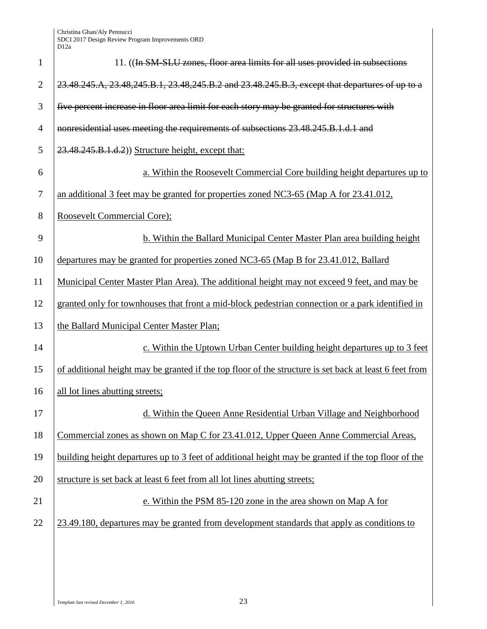| $\mathbf{1}$   | 11. ((In SM-SLU zones, floor area limits for all uses provided in subsections                          |
|----------------|--------------------------------------------------------------------------------------------------------|
| $\overline{2}$ | 23.48.245.A, 23.48,245.B.1, 23.48,245.B.2 and 23.48.245.B.3, except that departures of up to a         |
| 3              | five percent increase in floor area limit for each story may be granted for structures with            |
| 4              | nonresidential uses meeting the requirements of subsections 23.48.245.B.1.d.1 and                      |
| 5              | 23.48.245.B.1.d.2)) Structure height, except that:                                                     |
| 6              | a. Within the Roosevelt Commercial Core building height departures up to                               |
| 7              | an additional 3 feet may be granted for properties zoned NC3-65 (Map A for 23.41.012,                  |
| 8              | Roosevelt Commercial Core);                                                                            |
| 9              | b. Within the Ballard Municipal Center Master Plan area building height                                |
| 10             | departures may be granted for properties zoned NC3-65 (Map B for 23.41.012, Ballard                    |
| 11             | Municipal Center Master Plan Area). The additional height may not exceed 9 feet, and may be            |
| 12             | granted only for townhouses that front a mid-block pedestrian connection or a park identified in       |
| 13             | the Ballard Municipal Center Master Plan;                                                              |
| 14             | c. Within the Uptown Urban Center building height departures up to 3 feet                              |
| 15             | of additional height may be granted if the top floor of the structure is set back at least 6 feet from |
| 16             | all lot lines abutting streets;                                                                        |
| 17             | d. Within the Queen Anne Residential Urban Village and Neighborhood                                    |
| 18             | Commercial zones as shown on Map C for 23.41.012, Upper Queen Anne Commercial Areas,                   |
| 19             | building height departures up to 3 feet of additional height may be granted if the top floor of the    |
| 20             | structure is set back at least 6 feet from all lot lines abutting streets;                             |
| 21             | e. Within the PSM 85-120 zone in the area shown on Map A for                                           |
| 22             | 23.49.180, departures may be granted from development standards that apply as conditions to            |
|                |                                                                                                        |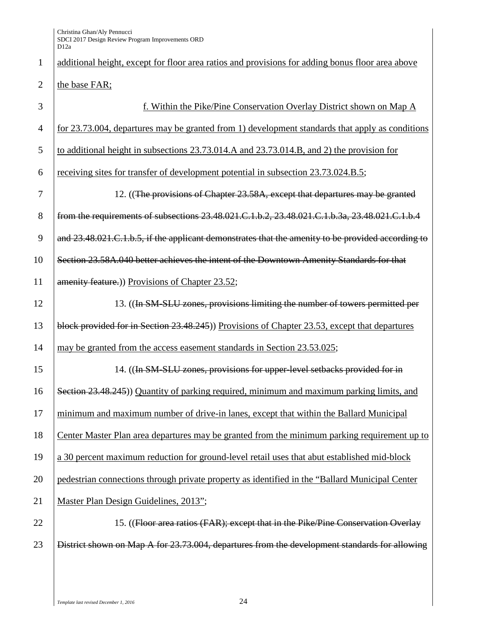# 1 additional height, except for floor area ratios and provisions for adding bonus floor area above 2  $\parallel$  the base FAR; 3 f. Within the Pike/Pine Conservation Overlay District shown on Map A 4 for 23.73.004, departures may be granted from 1) development standards that apply as conditions 5 to additional height in subsections 23.73.014.A and 23.73.014.B, and 2) the provision for 6 receiving sites for transfer of development potential in subsection 23.73.024.B.5; 7 12. ((The provisions of Chapter 23.58A, except that departures may be granted 8 from the requirements of subsections 23.48.021.C.1.b.2, 23.48.021.C.1.b.3a, 23.48.021.C.1.b.4 9 and  $23.48.021$ .C.1.b.5, if the applicant demonstrates that the amenity to be provided according to 10 Section 23.58A.040 better achieves the intent of the Downtown Amenity Standards for that 11 **amenity feature.**) Provisions of Chapter 23.52; 12 13. (In SM-SLU zones, provisions limiting the number of towers permitted per 13 block provided for in Section 23.48.245) Provisions of Chapter 23.53, except that departures 14 may be granted from the access easement standards in Section 23.53.025; 15 15 14. ((In SM-SLU zones, provisions for upper-level setbacks provided for in 16 Section 23.48.245)) Quantity of parking required, minimum and maximum parking limits, and 17 minimum and maximum number of drive-in lanes, except that within the Ballard Municipal 18 Center Master Plan area departures may be granted from the minimum parking requirement up to 19 a 30 percent maximum reduction for ground-level retail uses that abut established mid-block 20 pedestrian connections through private property as identified in the "Ballard Municipal Center 21 | Master Plan Design Guidelines, 2013"; 22 15. ((Floor area ratios (FAR); except that in the Pike/Pine Conservation Overlay 23 **District shown on Map A for 23.73.004, departures from the development standards for allowing**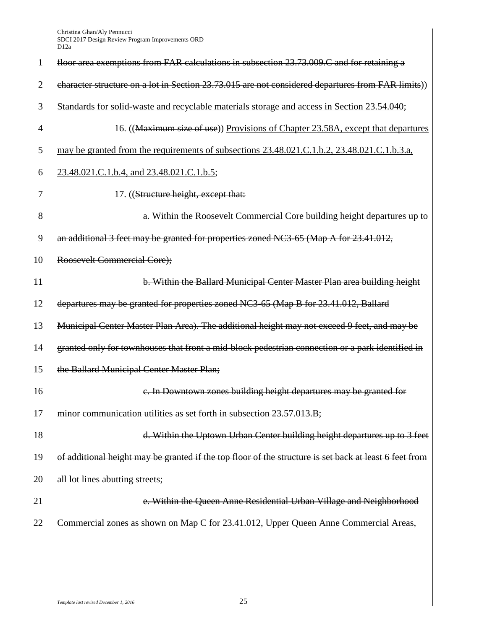| 1              | floor area exemptions from FAR calculations in subsection 23.73.009.C and for retaining a              |
|----------------|--------------------------------------------------------------------------------------------------------|
| $\overline{2}$ | character structure on a lot in Section 23.73.015 are not considered departures from FAR limits))      |
| 3              | Standards for solid-waste and recyclable materials storage and access in Section 23.54.040;            |
| $\overline{4}$ | 16. ((Maximum size of use)) Provisions of Chapter 23.58A, except that departures                       |
| 5              | may be granted from the requirements of subsections 23.48.021.C.1.b.2, 23.48.021.C.1.b.3.a,            |
| 6              | 23.48.021.C.1.b.4, and 23.48.021.C.1.b.5;                                                              |
| 7              | 17. ((Structure height, except that:                                                                   |
| 8              | a. Within the Roosevelt Commercial Core building height departures up to                               |
| 9              | an additional 3 feet may be granted for properties zoned NC3-65 (Map A for 23.41.012,                  |
| 10             | Roosevelt Commercial Core);                                                                            |
| 11             | b. Within the Ballard Municipal Center Master Plan area building height                                |
| 12             | departures may be granted for properties zoned NC3-65 (Map B for 23.41.012, Ballard                    |
| 13             | Municipal Center Master Plan Area). The additional height may not exceed 9 feet, and may be            |
| 14             | granted only for townhouses that front a mid-block pedestrian connection or a park identified in       |
| 15             | the Ballard Municipal Center Master Plan;                                                              |
| 16             | e. In Downtown zones building height departures may be granted for                                     |
| 17             | minor communication utilities as set forth in subsection 23.57.013.B;                                  |
| 18             | d. Within the Uptown Urban Center building height departures up to 3 feet                              |
| 19             | of additional height may be granted if the top floor of the structure is set back at least 6 feet from |
| 20             | all lot lines abutting streets;                                                                        |
| 21             | e. Within the Queen Anne Residential Urban Village and Neighborhood                                    |
| 22             | Commercial zones as shown on Map C for 23.41.012, Upper Queen Anne Commercial Areas,                   |
|                |                                                                                                        |

*Template last revised December 1, 2016* 25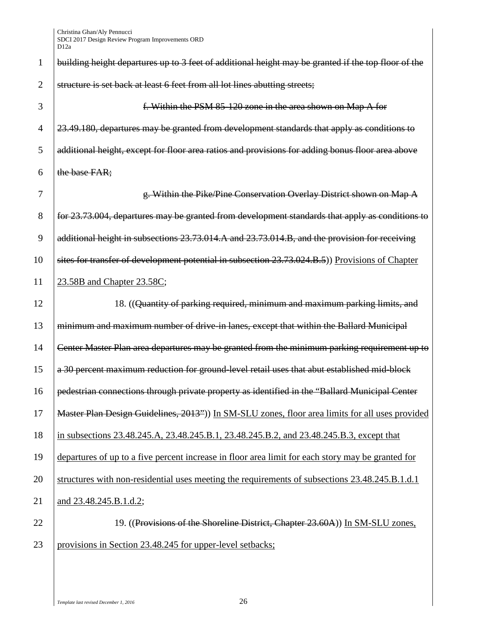| 1              | building height departures up to 3 feet of additional height may be granted if the top floor of the |
|----------------|-----------------------------------------------------------------------------------------------------|
| $\overline{2}$ | structure is set back at least 6 feet from all lot lines abutting streets;                          |
| 3              | f. Within the PSM 85-120 zone in the area shown on Map A for                                        |
| $\overline{4}$ | 23.49.180, departures may be granted from development standards that apply as conditions to         |
| 5              | additional height, except for floor area ratios and provisions for adding bonus floor area above    |
| 6              | the base FAR;                                                                                       |
| 7              | g. Within the Pike/Pine Conservation Overlay District shown on Map A                                |
| 8              | for 23.73.004, departures may be granted from development standards that apply as conditions to     |
| 9              | additional height in subsections 23.73.014.A and 23.73.014.B, and the provision for receiving       |
| 10             | sites for transfer of development potential in subsection 23.73.024.B.5)) Provisions of Chapter     |
| 11             | 23.58B and Chapter 23.58C;                                                                          |
| 12             | 18. ((Quantity of parking required, minimum and maximum parking limits, and                         |
| 13             | minimum and maximum number of drive-in lanes, except that within the Ballard Municipal              |
| 14             | Center Master Plan area departures may be granted from the minimum parking requirement up to        |
| 15             | a 30 percent maximum reduction for ground-level retail uses that abut established mid-block         |
| 16             | pedestrian connections through private property as identified in the "Ballard Municipal Center      |
| 17             | Master Plan Design Guidelines, 2013")) In SM-SLU zones, floor area limits for all uses provided     |
| 18             | in subsections 23.48.245.A, 23.48.245.B.1, 23.48.245.B.2, and 23.48.245.B.3, except that            |
| 19             | departures of up to a five percent increase in floor area limit for each story may be granted for   |
| 20             | structures with non-residential uses meeting the requirements of subsections 23.48.245.B.1.d.1      |
| 21             | and 23.48.245.B.1.d.2;                                                                              |
| 22             | 19. ((Provisions of the Shoreline District, Chapter 23.60A)) In SM-SLU zones,                       |
| 23             | provisions in Section 23.48.245 for upper-level setbacks;                                           |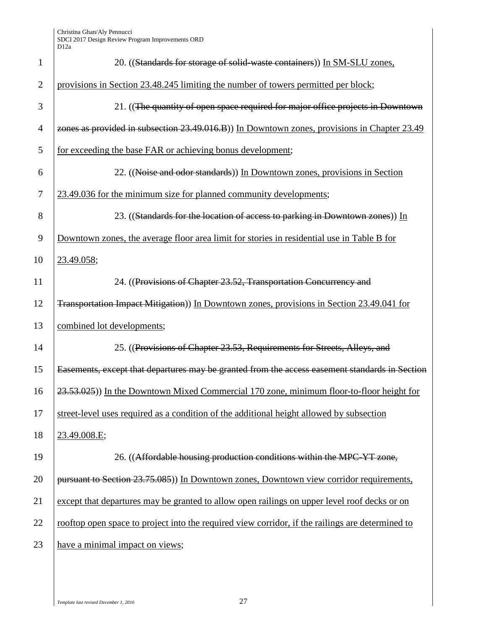| $\mathbf{1}$   | 20. ((Standards for storage of solid-waste containers)) In SM-SLU zones,                         |
|----------------|--------------------------------------------------------------------------------------------------|
| $\overline{2}$ | provisions in Section 23.48.245 limiting the number of towers permitted per block;               |
| 3              | 21. ((The quantity of open space required for major office projects in Downtown                  |
| $\overline{4}$ | zones as provided in subsection 23.49.016.B)) In Downtown zones, provisions in Chapter 23.49     |
| 5              | for exceeding the base FAR or achieving bonus development;                                       |
| 6              | 22. ((Noise and odor standards)) In Downtown zones, provisions in Section                        |
| 7              | 23.49.036 for the minimum size for planned community developments;                               |
| 8              | 23. ((Standards for the location of access to parking in Downtown zones)) In                     |
| 9              | Downtown zones, the average floor area limit for stories in residential use in Table B for       |
| 10             | <u>23.49.058;</u>                                                                                |
| 11             | 24. ((Provisions of Chapter 23.52, Transportation Concurrency and                                |
| 12             | Transportation Impact Mitigation)) In Downtown zones, provisions in Section 23.49.041 for        |
| 13             | combined lot developments;                                                                       |
| 14             | 25. ((Provisions of Chapter 23.53, Requirements for Streets, Alleys, and                         |
| 15             | Easements, except that departures may be granted from the access easement standards in Section   |
| 16             | 23.53.025)) In the Downtown Mixed Commercial 170 zone, minimum floor-to-floor height for         |
| 17             | street-level uses required as a condition of the additional height allowed by subsection         |
| 18             | 23.49.008.E;                                                                                     |
| 19             | 26. ((Affordable housing production conditions within the MPC-YT zone,                           |
| 20             | pursuant to Section 23.75.085)) In Downtown zones, Downtown view corridor requirements,          |
| 21             | except that departures may be granted to allow open railings on upper level roof decks or on     |
| 22             | rooftop open space to project into the required view corridor, if the railings are determined to |
| 23             | have a minimal impact on views;                                                                  |
|                |                                                                                                  |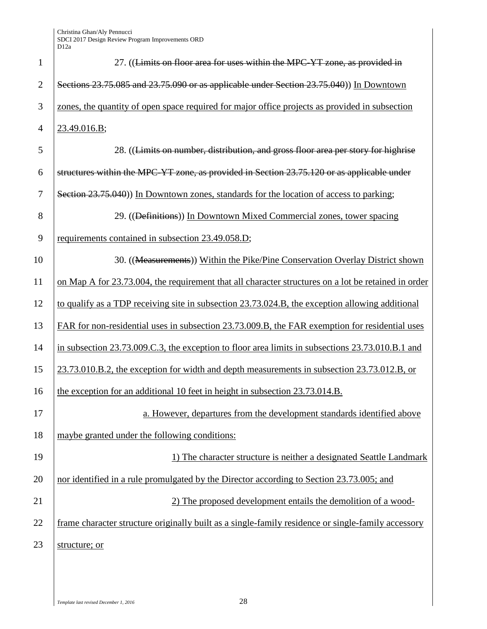| $\mathbf{1}$   | 27. ((Limits on floor area for uses within the MPC-YT zone, as provided in                          |
|----------------|-----------------------------------------------------------------------------------------------------|
| $\overline{2}$ | Sections 23.75.085 and 23.75.090 or as applicable under Section 23.75.040)) In Downtown             |
| 3              | zones, the quantity of open space required for major office projects as provided in subsection      |
| $\overline{4}$ | 23.49.016.B;                                                                                        |
| 5              | 28. ((Limits on number, distribution, and gross floor area per story for highrise                   |
| 6              | structures within the MPC-YT zone, as provided in Section 23.75.120 or as applicable under          |
| 7              | Section 23.75.040)) In Downtown zones, standards for the location of access to parking;             |
| 8              | 29. ((Definitions)) In Downtown Mixed Commercial zones, tower spacing                               |
| 9              | requirements contained in subsection 23.49.058.D;                                                   |
| 10             | 30. ((Measurements)) Within the Pike/Pine Conservation Overlay District shown                       |
| 11             | on Map A for 23.73.004, the requirement that all character structures on a lot be retained in order |
| 12             | to qualify as a TDP receiving site in subsection 23.73.024.B, the exception allowing additional     |
| 13             | FAR for non-residential uses in subsection 23.73.009.B, the FAR exemption for residential uses      |
| 14             | in subsection 23.73.009.C.3, the exception to floor area limits in subsections 23.73.010.B.1 and    |
| 15             | 23.73.010.B.2, the exception for width and depth measurements in subsection 23.73.012.B, or         |
| 16             | the exception for an additional 10 feet in height in subsection 23.73.014.B.                        |
| 17             | a. However, departures from the development standards identified above                              |
| 18             | maybe granted under the following conditions:                                                       |
| 19             | 1) The character structure is neither a designated Seattle Landmark                                 |
| 20             | nor identified in a rule promulgated by the Director according to Section 23.73.005; and            |
| 21             | 2) The proposed development entails the demolition of a wood-                                       |
| 22             | frame character structure originally built as a single-family residence or single-family accessory  |
| 23             | structure; or                                                                                       |
|                |                                                                                                     |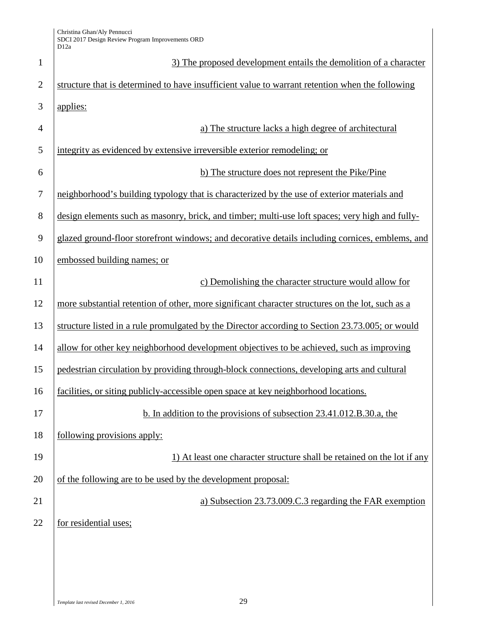| $\mathbf{1}$   | 3) The proposed development entails the demolition of a character                                |
|----------------|--------------------------------------------------------------------------------------------------|
| $\overline{2}$ | structure that is determined to have insufficient value to warrant retention when the following  |
| 3              | applies:                                                                                         |
| $\overline{4}$ | a) The structure lacks a high degree of architectural                                            |
| 5              | integrity as evidenced by extensive irreversible exterior remodeling; or                         |
| 6              | b) The structure does not represent the Pike/Pine                                                |
| $\tau$         | neighborhood's building typology that is characterized by the use of exterior materials and      |
| 8              | design elements such as masonry, brick, and timber; multi-use loft spaces; very high and fully-  |
| 9              | glazed ground-floor storefront windows; and decorative details including cornices, emblems, and  |
| 10             | embossed building names; or                                                                      |
| 11             | c) Demolishing the character structure would allow for                                           |
| 12             | more substantial retention of other, more significant character structures on the lot, such as a |
| 13             | structure listed in a rule promulgated by the Director according to Section 23.73.005; or would  |
| 14             | allow for other key neighborhood development objectives to be achieved, such as improving        |
| 15             | pedestrian circulation by providing through-block connections, developing arts and cultural      |
| 16             | facilities, or siting publicly-accessible open space at key neighborhood locations.              |
| 17             | b. In addition to the provisions of subsection 23.41.012.B.30.a, the                             |
| 18             | following provisions apply:                                                                      |
| 19             | 1) At least one character structure shall be retained on the lot if any                          |
| 20             | of the following are to be used by the development proposal:                                     |
| 21             | a) Subsection 23.73.009.C.3 regarding the FAR exemption                                          |
| 22             | for residential uses;                                                                            |
|                |                                                                                                  |
|                |                                                                                                  |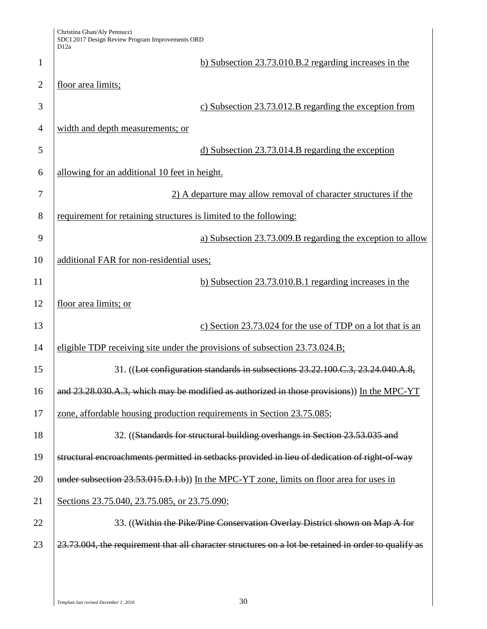| Christina Ghan/Aly Pennucci                      |
|--------------------------------------------------|
| SDCI 2017 Design Review Program Improvements ORD |
| D <sub>12a</sub>                                 |

|                | D <sub>12a</sub>                                                                                     |
|----------------|------------------------------------------------------------------------------------------------------|
| $\mathbf{1}$   | b) Subsection 23.73.010.B.2 regarding increases in the                                               |
| $\overline{2}$ | floor area limits;                                                                                   |
| 3              | c) Subsection 23.73.012.B regarding the exception from                                               |
| $\overline{4}$ | width and depth measurements; or                                                                     |
| 5              | d) Subsection 23.73.014.B regarding the exception                                                    |
| 6              | allowing for an additional 10 feet in height.                                                        |
| 7              | 2) A departure may allow removal of character structures if the                                      |
| 8              | requirement for retaining structures is limited to the following:                                    |
| 9              | a) Subsection 23.73.009.B regarding the exception to allow                                           |
| 10             | additional FAR for non-residential uses;                                                             |
| 11             | b) Subsection $23.73.010.B.1$ regarding increases in the                                             |
| 12             | floor area limits; or                                                                                |
| 13             | c) Section 23.73.024 for the use of TDP on a lot that is an                                          |
| 14             | eligible TDP receiving site under the provisions of subsection 23.73.024.B;                          |
| 15             | 31. ((Lot configuration standards in subsections 23.22.100.C.3, 23.24.040.A.8,                       |
| 16             | and 23.28.030.A.3, which may be modified as authorized in those provisions)) In the MPC-YT           |
| 17             | zone, affordable housing production requirements in Section 23.75.085;                               |
| 18             | 32. ((Standards for structural building overhangs in Section 23.53.035 and                           |
| 19             | structural encroachments permitted in setbacks provided in lieu of dedication of right-of-way        |
| 20             | under subsection 23.53.015.D.1.b)) In the MPC-YT zone, limits on floor area for uses in              |
| 21             | Sections 23.75.040, 23.75.085, or 23.75.090;                                                         |
| 22             | 33. ((Within the Pike/Pine Conservation Overlay District shown on Map A for                          |
| 23             | 23.73.004, the requirement that all character structures on a lot be retained in order to qualify as |
|                |                                                                                                      |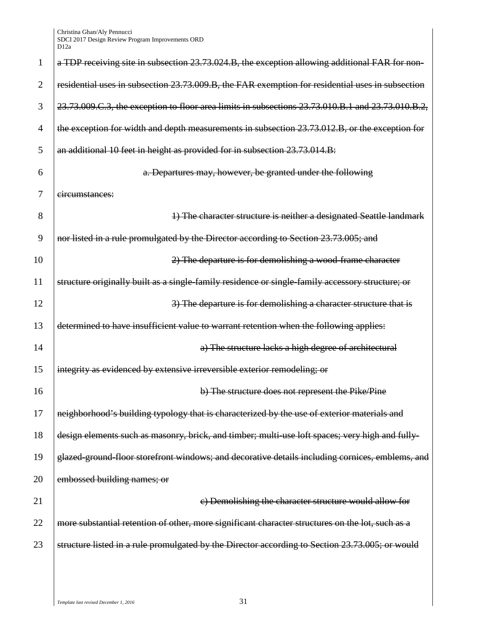| $\mathbf{1}$   | a TDP receiving site in subsection 23.73.024.B, the exception allowing additional FAR for non-    |
|----------------|---------------------------------------------------------------------------------------------------|
| $\overline{2}$ | residential uses in subsection 23.73.009.B, the FAR exemption for residential uses in subsection  |
| 3              | 23.73.009.C.3, the exception to floor area limits in subsections 23.73.010.B.1 and 23.73.010.B.2, |
| $\overline{4}$ | the exception for width and depth measurements in subsection 23.73.012.B, or the exception for    |
| 5              | an additional 10 feet in height as provided for in subsection 23.73.014.B:                        |
| 6              | a. Departures may, however, be granted under the following                                        |
| 7              | circumstances:                                                                                    |
| 8              | 1) The character structure is neither a designated Seattle landmark                               |
| 9              | nor listed in a rule promulgated by the Director according to Section 23.73.005; and              |
| 10             | 2) The departure is for demolishing a wood-frame character                                        |
| 11             | structure originally built as a single-family residence or single-family accessory structure; or  |
| 12             | 3) The departure is for demolishing a character structure that is                                 |
| 13             | determined to have insufficient value to warrant retention when the following applies:            |
| 14             | a) The structure lacks a high degree of architectural                                             |
| 15             | integrity as evidenced by extensive irreversible exterior remodeling; or                          |
| 16             | b) The structure does not represent the Pike/Pine                                                 |
| 17             | neighborhood's building typology that is characterized by the use of exterior materials and       |
| 18             | design elements such as masonry, brick, and timber; multi-use loft spaces; very high and fully-   |
| 19             | glazed-ground-floor storefront windows; and decorative details including cornices, emblems, and   |
| 20             | embossed building names; or                                                                       |
| 21             | e) Demolishing the character structure would allow for                                            |
| 22             | more substantial retention of other, more significant character structures on the lot, such as a  |
| 23             | structure listed in a rule promulgated by the Director according to Section 23.73.005; or would   |
|                |                                                                                                   |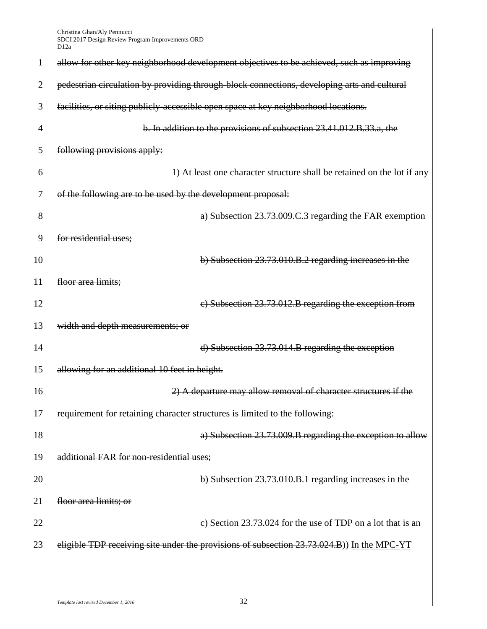| 1              | allow for other key neighborhood development objectives to be achieved, such as improving   |
|----------------|---------------------------------------------------------------------------------------------|
| $\overline{2}$ | pedestrian circulation by providing through-block connections, developing arts and cultural |
| 3              | facilities, or siting publicly-accessible open space at key neighborhood locations.         |
| $\overline{4}$ | b. In addition to the provisions of subsection 23.41.012.B.33.a, the                        |
| 5              | following provisions apply:                                                                 |
| 6              | 1) At least one character structure shall be retained on the lot if any                     |
| 7              | of the following are to be used by the development proposal:                                |
| 8              | a) Subsection 23.73.009.C.3 regarding the FAR exemption                                     |
| 9              | for residential uses;                                                                       |
| 10             | b) Subsection 23.73.010.B.2 regarding increases in the                                      |
| 11             | floor area limits;                                                                          |
| 12             | e) Subsection 23.73.012.B regarding the exception from                                      |
| 13             | width and depth measurements; or                                                            |
| 14             | d) Subsection 23.73.014.B regarding the exception                                           |
| 15             | allowing for an additional 10 feet in height.                                               |
| 16             | 2) A departure may allow removal of character structures if the                             |
| 17             | requirement for retaining character structures is limited to the following:                 |
| 18             | a) Subsection 23.73.009.B regarding the exception to allow                                  |
| 19             | additional FAR for non-residential uses;                                                    |
| 20             | b) Subsection 23.73.010.B.1 regarding increases in the                                      |
| 21             | floor area limits; or                                                                       |
| 22             | e) Section 23.73.024 for the use of TDP on a lot that is an                                 |
| 23             | eligible TDP receiving site under the provisions of subsection 23.73.024.B)) In the MPC-YT  |
|                |                                                                                             |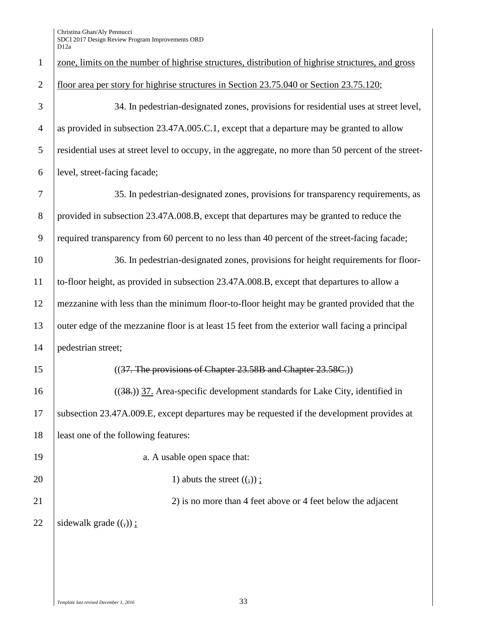| $\mathbf{1}$   | zone, limits on the number of highrise structures, distribution of highrise structures, and gross    |
|----------------|------------------------------------------------------------------------------------------------------|
| $\overline{2}$ | floor area per story for highrise structures in Section 23.75.040 or Section 23.75.120;              |
| 3              | 34. In pedestrian-designated zones, provisions for residential uses at street level,                 |
| $\overline{4}$ | as provided in subsection 23.47A.005.C.1, except that a departure may be granted to allow            |
| 5              | residential uses at street level to occupy, in the aggregate, no more than 50 percent of the street- |
| 6              | level, street-facing facade;                                                                         |
| 7              | 35. In pedestrian-designated zones, provisions for transparency requirements, as                     |
| 8              | provided in subsection 23.47A.008.B, except that departures may be granted to reduce the             |
| 9              | required transparency from 60 percent to no less than 40 percent of the street-facing facade;        |
| 10             | 36. In pedestrian-designated zones, provisions for height requirements for floor-                    |
| 11             | to-floor height, as provided in subsection 23.47A.008.B, except that departures to allow a           |
| 12             | mezzanine with less than the minimum floor-to-floor height may be granted provided that the          |
| 13             | outer edge of the mezzanine floor is at least 15 feet from the exterior wall facing a principal      |
| 14             | pedestrian street;                                                                                   |
| 15             | ((37. The provisions of Chapter 23.58B and Chapter 23.58C.))                                         |
| 16             | $((38))$ 37. Area-specific development standards for Lake City, identified in                        |
| 17             | subsection 23.47A.009.E, except departures may be requested if the development provides at           |
| 18             | least one of the following features:                                                                 |
| 19             | a. A usable open space that:                                                                         |
| 20             | 1) abuts the street $((,))$ ;                                                                        |
| 21             | 2) is no more than 4 feet above or 4 feet below the adjacent                                         |
| 22             | sidewalk grade $((,))$ ;                                                                             |
|                |                                                                                                      |
|                |                                                                                                      |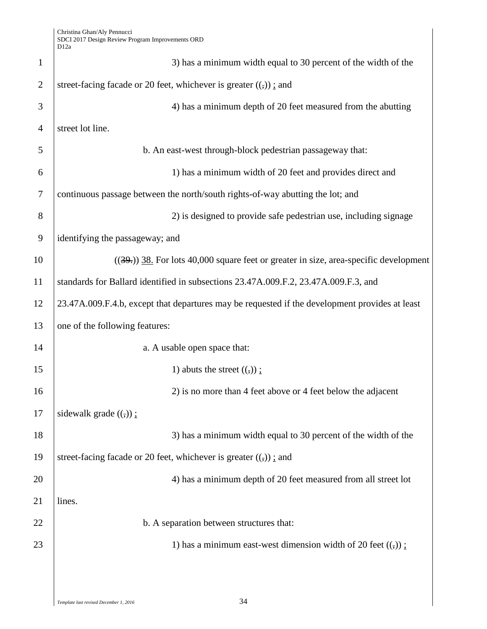| $\mathbf{1}$   | 3) has a minimum width equal to 30 percent of the width of the                                 |
|----------------|------------------------------------------------------------------------------------------------|
| $\overline{2}$ | street-facing facade or 20 feet, whichever is greater $((,))$ ; and                            |
| 3              | 4) has a minimum depth of 20 feet measured from the abutting                                   |
| $\overline{4}$ | street lot line.                                                                               |
| 5              | b. An east-west through-block pedestrian passageway that:                                      |
| 6              | 1) has a minimum width of 20 feet and provides direct and                                      |
| $\tau$         | continuous passage between the north/south rights-of-way abutting the lot; and                 |
| 8              | 2) is designed to provide safe pedestrian use, including signage                               |
| 9              | identifying the passageway; and                                                                |
| 10             | $((39))$ 38. For lots 40,000 square feet or greater in size, area-specific development         |
| 11             | standards for Ballard identified in subsections 23.47A.009.F.2, 23.47A.009.F.3, and            |
| 12             | 23.47A.009.F.4.b, except that departures may be requested if the development provides at least |
| 13             | one of the following features:                                                                 |
| 14             | a. A usable open space that:                                                                   |
| 15             | 1) abuts the street $((,))$ :                                                                  |
| 16             | 2) is no more than 4 feet above or 4 feet below the adjacent                                   |
| 17             | sidewalk grade $((,))$ ;                                                                       |
| 18             | 3) has a minimum width equal to 30 percent of the width of the                                 |
| 19             | street-facing facade or 20 feet, whichever is greater $((,))$ : and                            |
| 20             | 4) has a minimum depth of 20 feet measured from all street lot                                 |
| 21             | lines.                                                                                         |
| 22             | b. A separation between structures that:                                                       |
| 23             | 1) has a minimum east-west dimension width of 20 feet $((,))$ :                                |
|                |                                                                                                |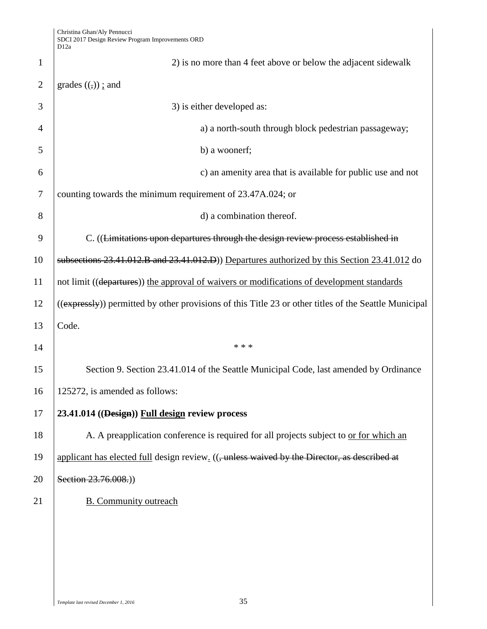|                | D1∠a                                                                                                  |
|----------------|-------------------------------------------------------------------------------------------------------|
| 1              | 2) is no more than 4 feet above or below the adjacent sidewalk                                        |
| $\overline{2}$ | grades $((,))$ ; and                                                                                  |
| 3              | 3) is either developed as:                                                                            |
| 4              | a) a north-south through block pedestrian passageway;                                                 |
| 5              | b) a woonerf;                                                                                         |
| 6              | c) an amenity area that is available for public use and not                                           |
| 7              | counting towards the minimum requirement of 23.47A.024; or                                            |
| 8              | d) a combination thereof.                                                                             |
| 9              | C. ((Limitations upon departures through the design review process established in                     |
| 10             | subsections 23.41.012.B and 23.41.012.D) Departures authorized by this Section 23.41.012 do           |
| 11             | not limit ((departures)) the approval of waivers or modifications of development standards            |
| 12             | ((expressly)) permitted by other provisions of this Title 23 or other titles of the Seattle Municipal |
| 13             | Code.                                                                                                 |
| 14             | * * *                                                                                                 |
| 15             | Section 9. Section 23.41.014 of the Seattle Municipal Code, last amended by Ordinance                 |
| 16             | 125272, is amended as follows:                                                                        |
| 17             | 23.41.014 ((Design)) Full design review process                                                       |
| 18             | A. A preapplication conference is required for all projects subject to or for which an                |
| 19             | applicant has elected full design review. ((, unless waived by the Director, as described at          |
| 20             | Section 23.76.008.)                                                                                   |
| 21             | <b>B.</b> Community outreach                                                                          |
|                |                                                                                                       |
|                |                                                                                                       |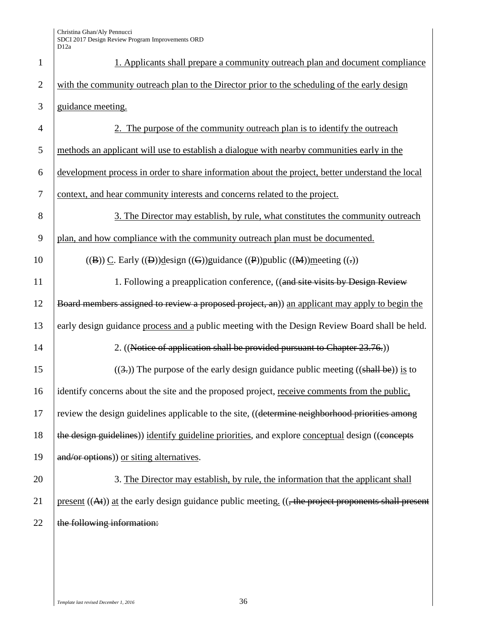| $\mathbf{1}$   | 1. Applicants shall prepare a community outreach plan and document compliance                            |
|----------------|----------------------------------------------------------------------------------------------------------|
| $\overline{2}$ | with the community outreach plan to the Director prior to the scheduling of the early design             |
| 3              | guidance meeting.                                                                                        |
| $\overline{4}$ | 2. The purpose of the community outreach plan is to identify the outreach                                |
| 5              | methods an applicant will use to establish a dialogue with nearby communities early in the               |
| 6              | development process in order to share information about the project, better understand the local         |
| $\tau$         | context, and hear community interests and concerns related to the project.                               |
| 8              | 3. The Director may establish, by rule, what constitutes the community outreach                          |
| 9              | plan, and how compliance with the community outreach plan must be documented.                            |
| 10             | $((B))$ C. Early $((D))$ design $((G))$ guidance $((P))$ public $((M))$ meeting $((.)$                   |
| 11             | 1. Following a preapplication conference, ((and site visits by Design Review                             |
| 12             | Board members assigned to review a proposed project, an)) an applicant may apply to begin the            |
| 13             | early design guidance process and a public meeting with the Design Review Board shall be held.           |
| 14             | 2. ((Notice of application shall be provided pursuant to Chapter 23.76.))                                |
| 15             | $((3))$ . The purpose of the early design guidance public meeting $((\text{shall be}))$ is to            |
| 16             | identify concerns about the site and the proposed project, receive comments from the public,             |
| 17             | review the design guidelines applicable to the site, ((determine neighborhood priorities among           |
| 18             | the design guidelines)) identify guideline priorities, and explore conceptual design ((concepts          |
| 19             | and/or options)) or siting alternatives.                                                                 |
| 20             | 3. The Director may establish, by rule, the information that the applicant shall                         |
| 21             | present $((At))$ at the early design guidance public meeting. $((, the$ project proponents shall present |
| 22             | the following information:                                                                               |
|                |                                                                                                          |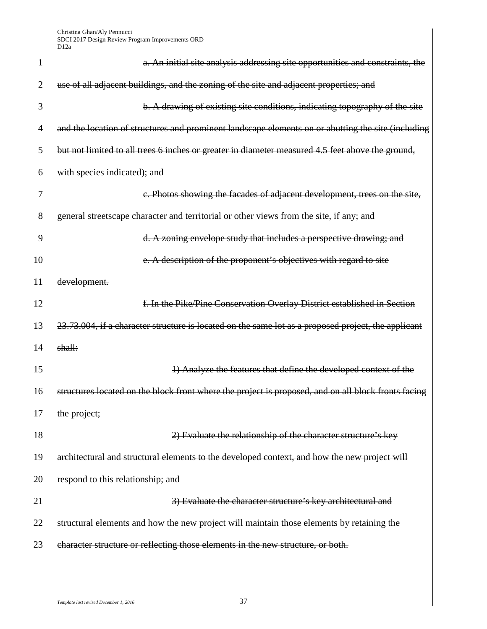| 1              | a. An initial site analysis addressing site opportunities and constraints, the                      |
|----------------|-----------------------------------------------------------------------------------------------------|
| $\overline{2}$ | use of all adjacent buildings, and the zoning of the site and adjacent properties; and              |
| 3              | b. A drawing of existing site conditions, indicating topography of the site                         |
| $\overline{4}$ | and the location of structures and prominent landscape elements on or abutting the site (including  |
| 5              | but not limited to all trees 6 inches or greater in diameter measured 4.5 feet above the ground,    |
| 6              | with species indicated); and                                                                        |
| 7              | c. Photos showing the facades of adjacent development, trees on the site,                           |
| 8              | general streetscape character and territorial or other views from the site, if any; and             |
| 9              | d. A zoning envelope study that includes a perspective drawing; and                                 |
| 10             | e. A description of the proponent's objectives with regard to site                                  |
| 11             | development.                                                                                        |
| 12             | f. In the Pike/Pine Conservation Overlay District established in Section                            |
| 13             | 23.73.004, if a character structure is located on the same lot as a proposed project, the applicant |
| 14             | shall:                                                                                              |
| 15             | 1) Analyze the features that define the developed context of the                                    |
| 16             | structures located on the block front where the project is proposed, and on all block fronts facing |
| 17             | the project;                                                                                        |
| 18             | 2) Evaluate the relationship of the character structure's key                                       |
| 19             | architectural and structural elements to the developed context, and how the new project will        |
| 20             | respond to this relationship; and                                                                   |
| 21             | 3) Evaluate the character structure's key architectural and                                         |
| 22             | structural elements and how the new project will maintain those elements by retaining the           |
| 23             | character structure or reflecting those elements in the new structure, or both.                     |
|                |                                                                                                     |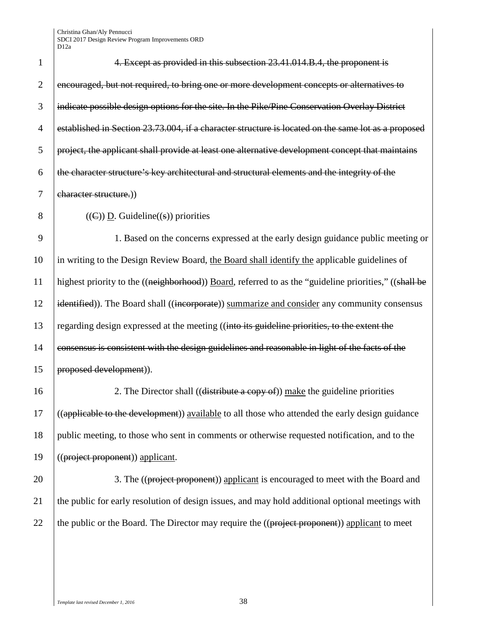| 1              | 4. Except as provided in this subsection 23.41.014.B.4, the proponent is                              |
|----------------|-------------------------------------------------------------------------------------------------------|
| $\overline{2}$ | encouraged, but not required, to bring one or more development concepts or alternatives to            |
| 3              | indicate possible design options for the site. In the Pike/Pine Conservation Overlay District         |
| $\overline{4}$ | established in Section 23.73.004, if a character structure is located on the same lot as a proposed   |
| 5              | project, the applicant shall provide at least one alternative development concept that maintains      |
| 6              | the character structure's key architectural and structural elements and the integrity of the          |
| $\overline{7}$ | character structure.))                                                                                |
| 8              | $((\infty)$ ) D. Guideline((s)) priorities                                                            |
| 9              | 1. Based on the concerns expressed at the early design guidance public meeting or                     |
| 10             | in writing to the Design Review Board, the Board shall identify the applicable guidelines of          |
| 11             | highest priority to the ((neighborhood)) Board, referred to as the "guideline priorities," ((shall be |
| 12             | identified)). The Board shall ((incorporate)) summarize and consider any community consensus          |
| 13             | regarding design expressed at the meeting ((into its guideline priorities, to the extent the          |
| 14             | consensus is consistent with the design guidelines and reasonable in light of the facts of the        |
| 15             | proposed development)).                                                                               |
| 16             | 2. The Director shall ((distribute a copy of)) make the guideline priorities                          |
| 17             | ((applicable to the development)) available to all those who attended the early design guidance       |
| 18             | public meeting, to those who sent in comments or otherwise requested notification, and to the         |
| 19             | ((project proponent)) applicant.                                                                      |
| 20             | 3. The ((project proponent)) applicant is encouraged to meet with the Board and                       |
| 21             | the public for early resolution of design issues, and may hold additional optional meetings with      |

22  $\int$  the public or the Board. The Director may require the ((project proponent)) applicant to meet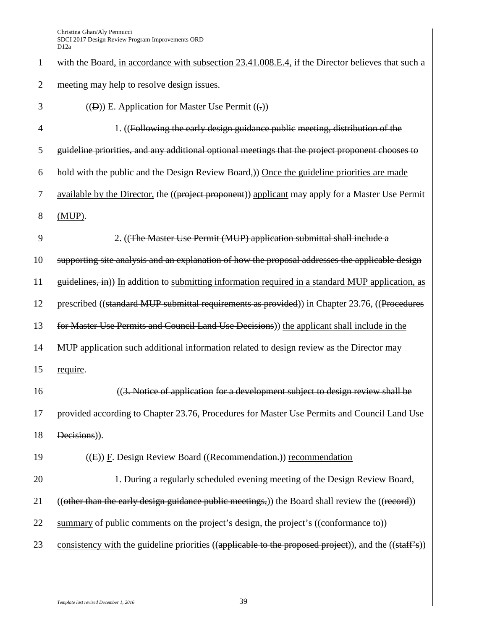1 with the Board, in accordance with subsection 23.41.008.E.4, if the Director believes that such a 2 meeting may help to resolve design issues.

| 3              | $((D))$ E. Application for Master Use Permit $((.)$                                                                           |
|----------------|-------------------------------------------------------------------------------------------------------------------------------|
| $\overline{4}$ | 1. ((Following the early design guidance public meeting, distribution of the                                                  |
| 5              | guideline priorities, and any additional optional meetings that the project proponent chooses to                              |
| 6              | hold with the public and the Design Review Board,)) Once the guideline priorities are made                                    |
| 7              | available by the Director, the ((project proponent)) applicant may apply for a Master Use Permit                              |
| 8              | $(MUP)$ .                                                                                                                     |
| 9              | 2. ((The Master Use Permit (MUP) application submittal shall include a                                                        |
| 10             | supporting site analysis and an explanation of how the proposal addresses the applicable design                               |
| 11             | guidelines, in)) In addition to submitting information required in a standard MUP application, as                             |
| 12             | prescribed ((standard MUP submittal requirements as provided)) in Chapter 23.76, ((Procedures                                 |
| 13             | for Master Use Permits and Council Land Use Decisions) the applicant shall include in the                                     |
| 14             | MUP application such additional information related to design review as the Director may                                      |
| 15             | require.                                                                                                                      |
| 16             | ((3. Notice of application for a development subject to design review shall be                                                |
| 17             | provided according to Chapter 23.76, Procedures for Master Use Permits and Council Land Use                                   |
| 18             | Decisions)).                                                                                                                  |
| 19             | $((E))$ F. Design Review Board ((Recommendation.)) recommendation                                                             |
| 20             | 1. During a regularly scheduled evening meeting of the Design Review Board,                                                   |
| 21             | ((other than the early design guidance public meetings,)) the Board shall review the ((record))                               |
| 22             | summary of public comments on the project's design, the project's ((conformance to))                                          |
| 23             | consistency with the guideline priorities ( $\alpha$ ) (applicable to the proposed project)), and the ( $\alpha$ ) (staff's)) |
|                |                                                                                                                               |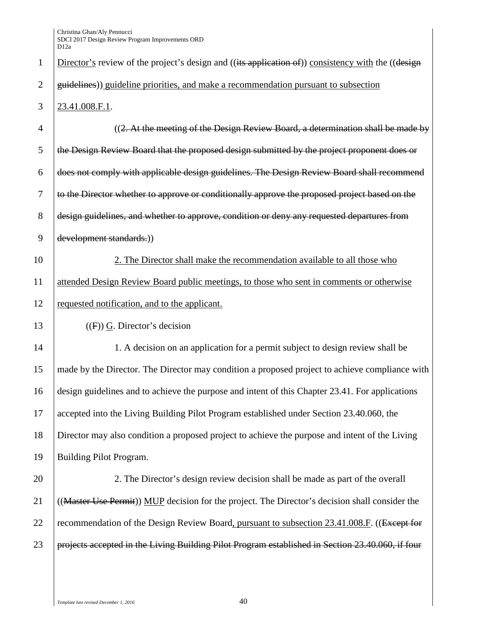| $\mathbf{1}$   | Director's review of the project's design and ((its application of)) consistency with the ((design |
|----------------|----------------------------------------------------------------------------------------------------|
| $\mathbf{2}$   | guidelines)) guideline priorities, and make a recommendation pursuant to subsection                |
| 3              | 23.41.008.F.1.                                                                                     |
| $\overline{4}$ | $((2. At the meeting of the Design Review Board, a determination shall be made by)$                |
| 5              | the Design Review Board that the proposed design submitted by the project proponent does or        |
| 6              | does not comply with applicable design guidelines. The Design Review Board shall recommend         |
| $\tau$         | to the Director whether to approve or conditionally approve the proposed project based on the      |
| 8              | design guidelines, and whether to approve, condition or deny any requested departures from         |
| 9              | development standards.))                                                                           |
| 10             | 2. The Director shall make the recommendation available to all those who                           |
| 11             | attended Design Review Board public meetings, to those who sent in comments or otherwise           |
| 12             | requested notification, and to the applicant.                                                      |
| 13             | $((F))$ G. Director's decision                                                                     |
| 14             | 1. A decision on an application for a permit subject to design review shall be                     |
| 15             | made by the Director. The Director may condition a proposed project to achieve compliance with     |
| 16             | design guidelines and to achieve the purpose and intent of this Chapter 23.41. For applications    |
| 17             | accepted into the Living Building Pilot Program established under Section 23.40.060, the           |
| 18             | Director may also condition a proposed project to achieve the purpose and intent of the Living     |
| 19             | Building Pilot Program.                                                                            |
| 20             | 2. The Director's design review decision shall be made as part of the overall                      |
| 21             | ((Master Use Permit)) MUP decision for the project. The Director's decision shall consider the     |
| 22             | recommendation of the Design Review Board, pursuant to subsection 23.41.008.F. ((Except for        |
| 23             | projects accepted in the Living Building Pilot Program established in Section 23.40.060, if four   |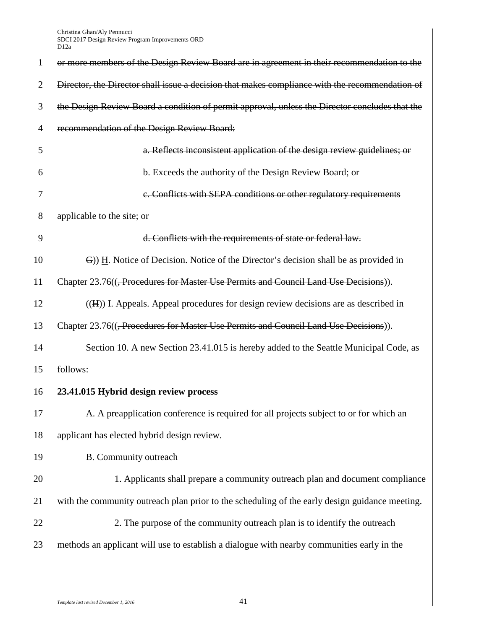| $\mathbf{1}$   | or more members of the Design Review Board are in agreement in their recommendation to the        |
|----------------|---------------------------------------------------------------------------------------------------|
| $\overline{2}$ | Director, the Director shall issue a decision that makes compliance with the recommendation of    |
| 3              | the Design Review Board a condition of permit approval, unless the Director concludes that the    |
| $\overline{4}$ | recommendation of the Design Review Board:                                                        |
| 5              | a. Reflects inconsistent application of the design review guidelines; or                          |
| 6              | b. Exceeds the authority of the Design Review Board; or                                           |
| 7              | e. Conflicts with SEPA conditions or other regulatory requirements                                |
| 8              | applicable to the site; or                                                                        |
| 9              | d. Conflicts with the requirements of state or federal law.                                       |
| 10             | G) H. Notice of Decision. Notice of the Director's decision shall be as provided in               |
| 11             | Chapter 23.76(( <del>, Procedures for Master Use Permits and Council Land Use Decisions</del> )). |
| 12             | $((H))$ I. Appeals. Appeal procedures for design review decisions are as described in             |
| 13             | Chapter 23.76(( <del>, Procedures for Master Use Permits and Council Land Use Decisions</del> )). |
| 14             | Section 10. A new Section 23.41.015 is hereby added to the Seattle Municipal Code, as             |
| 15             | follows:                                                                                          |
| 16             | 23.41.015 Hybrid design review process                                                            |
| 17             | A. A preapplication conference is required for all projects subject to or for which an            |
| 18             | applicant has elected hybrid design review.                                                       |
| 19             | B. Community outreach                                                                             |
| 20             | 1. Applicants shall prepare a community outreach plan and document compliance                     |
| 21             | with the community outreach plan prior to the scheduling of the early design guidance meeting.    |
| 22             | 2. The purpose of the community outreach plan is to identify the outreach                         |
| 23             | methods an applicant will use to establish a dialogue with nearby communities early in the        |
|                |                                                                                                   |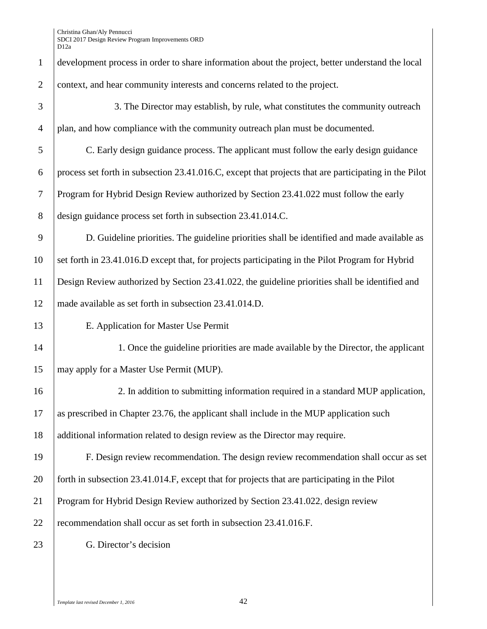| $\mathbf{1}$   | development process in order to share information about the project, better understand the local      |
|----------------|-------------------------------------------------------------------------------------------------------|
| $\overline{2}$ | context, and hear community interests and concerns related to the project.                            |
| 3              | 3. The Director may establish, by rule, what constitutes the community outreach                       |
| $\overline{4}$ | plan, and how compliance with the community outreach plan must be documented.                         |
| 5              | C. Early design guidance process. The applicant must follow the early design guidance                 |
| 6              | process set forth in subsection 23.41.016.C, except that projects that are participating in the Pilot |
| $\overline{7}$ | Program for Hybrid Design Review authorized by Section 23.41.022 must follow the early                |
| 8              | design guidance process set forth in subsection 23.41.014.C.                                          |
| 9              | D. Guideline priorities. The guideline priorities shall be identified and made available as           |
| 10             | set forth in 23.41.016.D except that, for projects participating in the Pilot Program for Hybrid      |
| 11             | Design Review authorized by Section 23.41.022, the guideline priorities shall be identified and       |
| 12             | made available as set forth in subsection 23.41.014.D.                                                |
| 13             | E. Application for Master Use Permit                                                                  |
| 14             | 1. Once the guideline priorities are made available by the Director, the applicant                    |
| 15             | may apply for a Master Use Permit (MUP).                                                              |
| 16             | 2. In addition to submitting information required in a standard MUP application,                      |
| 17             | as prescribed in Chapter 23.76, the applicant shall include in the MUP application such               |
| 18             | additional information related to design review as the Director may require.                          |
| 19             | F. Design review recommendation. The design review recommendation shall occur as set                  |
| 20             | forth in subsection 23.41.014.F, except that for projects that are participating in the Pilot         |
| 21             | Program for Hybrid Design Review authorized by Section 23.41.022, design review                       |
| 22             | recommendation shall occur as set forth in subsection 23.41.016.F.                                    |
| 23             | G. Director's decision                                                                                |
|                |                                                                                                       |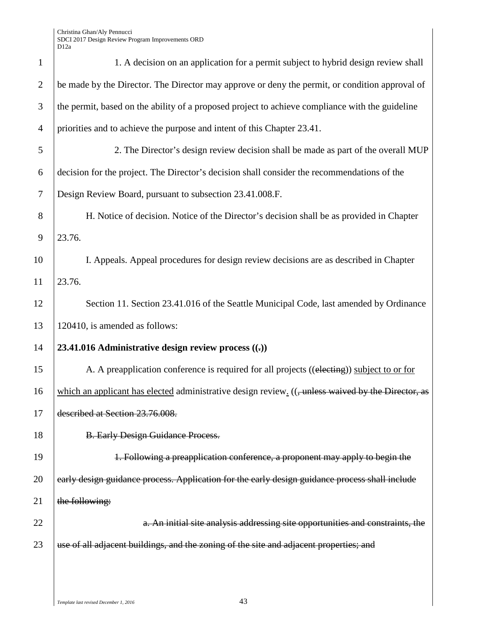| $\mathbf{1}$   | 1. A decision on an application for a permit subject to hybrid design review shall                 |
|----------------|----------------------------------------------------------------------------------------------------|
| $\mathfrak{2}$ | be made by the Director. The Director may approve or deny the permit, or condition approval of     |
| 3              | the permit, based on the ability of a proposed project to achieve compliance with the guideline    |
| $\overline{4}$ | priorities and to achieve the purpose and intent of this Chapter 23.41.                            |
| 5              | 2. The Director's design review decision shall be made as part of the overall MUP                  |
| 6              | decision for the project. The Director's decision shall consider the recommendations of the        |
| 7              | Design Review Board, pursuant to subsection 23.41.008.F.                                           |
| 8              | H. Notice of decision. Notice of the Director's decision shall be as provided in Chapter           |
| 9              | 23.76.                                                                                             |
| 10             | I. Appeals. Appeal procedures for design review decisions are as described in Chapter              |
| 11             | 23.76.                                                                                             |
| 12             | Section 11. Section 23.41.016 of the Seattle Municipal Code, last amended by Ordinance             |
| 13             | 120410, is amended as follows:                                                                     |
| 14             | 23.41.016 Administrative design review process $((.)$                                              |
| 15             | A. A preapplication conference is required for all projects ((electing)) subject to or for         |
| 16             | which an applicant has elected administrative design review. ((, unless waived by the Director, as |
| 17             | described at Section 23.76.008.                                                                    |
| 18             | <b>B. Early Design Guidance Process.</b>                                                           |
| 19             | 1. Following a preapplication conference, a proponent may apply to begin the                       |
| 20             | early design guidance process. Application for the early design guidance process shall include     |
| 21             | the following:                                                                                     |
| 22             | a. An initial site analysis addressing site opportunities and constraints, the                     |
| 23             | use of all adjacent buildings, and the zoning of the site and adjacent properties; and             |
|                |                                                                                                    |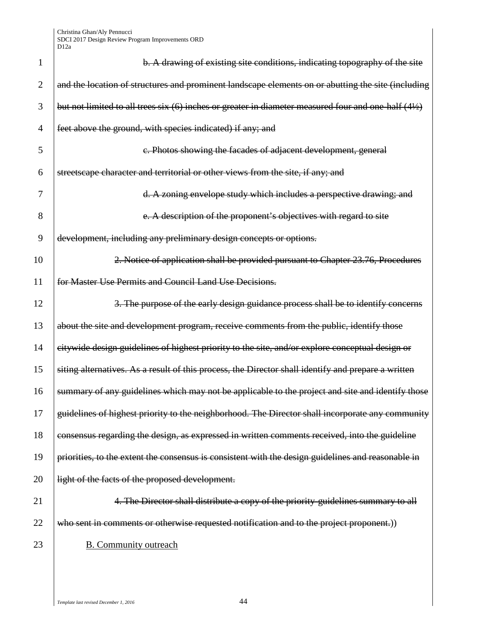| 1  | b. A drawing of existing site conditions, indicating topography of the site                          |
|----|------------------------------------------------------------------------------------------------------|
| 2  | and the location of structures and prominent landscape elements on or abutting the site (including   |
| 3  | but not limited to all trees six (6) inches or greater in diameter measured four and one-half (41/2) |
| 4  | feet above the ground, with species indicated) if any; and                                           |
| 5  | c. Photos showing the facades of adjacent development, general                                       |
| 6  | streetscape character and territorial or other views from the site, if any; and                      |
| 7  | d. A zoning envelope study which includes a perspective drawing; and                                 |
| 8  | e. A description of the proponent's objectives with regard to site                                   |
| 9  | development, including any preliminary design concepts or options.                                   |
| 10 | 2. Notice of application shall be provided pursuant to Chapter 23.76, Procedures                     |
| 11 | for Master Use Permits and Council Land Use Decisions.                                               |
| 12 | 3. The purpose of the early design guidance process shall be to identify concerns                    |
| 13 | about the site and development program, receive comments from the public, identify those             |
| 14 | citywide design guidelines of highest priority to the site, and/or explore conceptual design or      |
| 15 | siting alternatives. As a result of this process, the Director shall identify and prepare a written  |
| 16 | summary of any guidelines which may not be applicable to the project and site and identify those     |
| 17 | guidelines of highest priority to the neighborhood. The Director shall incorporate any community     |
| 18 | consensus regarding the design, as expressed in written comments received, into the guideline        |
| 19 | priorities, to the extent the consensus is consistent with the design guidelines and reasonable in   |
| 20 | light of the facts of the proposed development.                                                      |
| 21 | 4. The Director shall distribute a copy of the priority-guidelines summary to all                    |
| 22 | who sent in comments or otherwise requested notification and to the project proponent.))             |
| 23 | <b>B.</b> Community outreach                                                                         |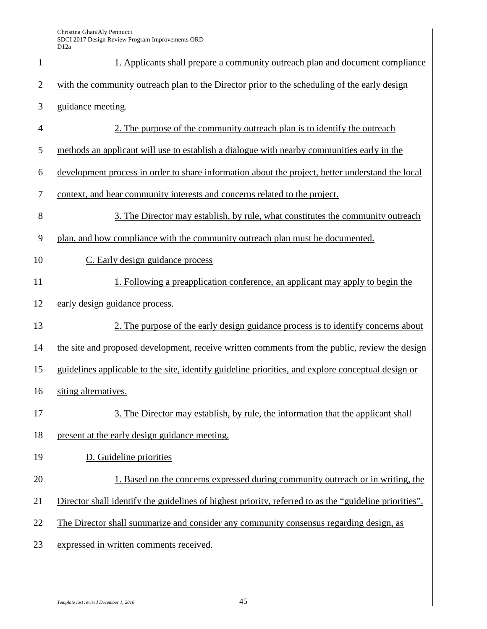| $\mathbf{1}$   | 1. Applicants shall prepare a community outreach plan and document compliance                          |
|----------------|--------------------------------------------------------------------------------------------------------|
| $\overline{2}$ | with the community outreach plan to the Director prior to the scheduling of the early design           |
| 3              | guidance meeting.                                                                                      |
| $\overline{4}$ | 2. The purpose of the community outreach plan is to identify the outreach                              |
| 5              | methods an applicant will use to establish a dialogue with nearby communities early in the             |
| 6              | development process in order to share information about the project, better understand the local       |
| $\overline{7}$ | context, and hear community interests and concerns related to the project.                             |
| 8              | 3. The Director may establish, by rule, what constitutes the community outreach                        |
| 9              | plan, and how compliance with the community outreach plan must be documented.                          |
| 10             | C. Early design guidance process                                                                       |
| 11             | 1. Following a preapplication conference, an applicant may apply to begin the                          |
| 12             | early design guidance process.                                                                         |
| 13             | 2. The purpose of the early design guidance process is to identify concerns about                      |
| 14             | the site and proposed development, receive written comments from the public, review the design         |
| 15             | guidelines applicable to the site, identify guideline priorities, and explore conceptual design or     |
| 16             | siting alternatives.                                                                                   |
| 17             | 3. The Director may establish, by rule, the information that the applicant shall                       |
| 18             | present at the early design guidance meeting.                                                          |
| 19             | D. Guideline priorities                                                                                |
| 20             | 1. Based on the concerns expressed during community outreach or in writing, the                        |
| 21             | Director shall identify the guidelines of highest priority, referred to as the "guideline priorities". |
| 22             | The Director shall summarize and consider any community consensus regarding design, as                 |
| 23             | expressed in written comments received.                                                                |
|                |                                                                                                        |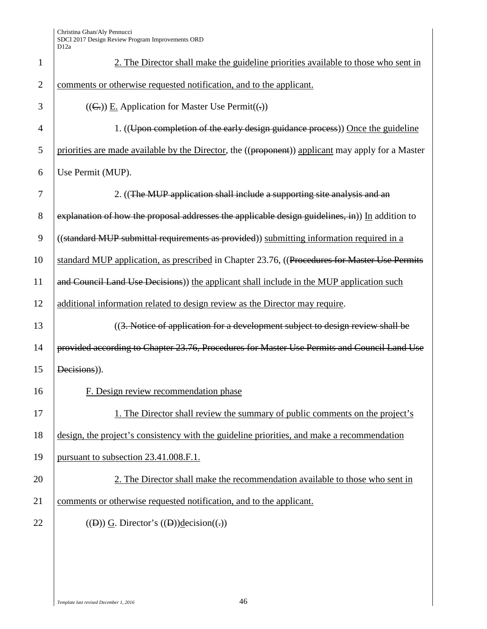| $\mathbf{1}$   | 2. The Director shall make the guideline priorities available to those who sent in                |
|----------------|---------------------------------------------------------------------------------------------------|
| $\overline{2}$ | comments or otherwise requested notification, and to the applicant.                               |
| 3              | $((\subseteq))$ E. Application for Master Use Permit $((\cdot))$                                  |
| 4              | 1. ((Upon completion of the early design guidance process)) Once the guideline                    |
| 5              | priorities are made available by the Director, the ((proponent)) applicant may apply for a Master |
| 6              | Use Permit (MUP).                                                                                 |
| 7              | 2. ((The MUP application shall include a supporting site analysis and an                          |
| 8              | explanation of how the proposal addresses the applicable design guidelines, in)) In addition to   |
| 9              | ((standard MUP submittal requirements as provided)) submitting information required in a          |
| 10             | standard MUP application, as prescribed in Chapter 23.76, ((Procedures for Master Use Permits     |
| 11             | and Council Land Use Decisions) the applicant shall include in the MUP application such           |
| 12             | additional information related to design review as the Director may require.                      |
| 13             | ((3. Notice of application for a development subject to design review shall be                    |
| 14             | provided according to Chapter 23.76, Procedures for Master Use Permits and Council Land Use       |
| 15             | Decisions)).                                                                                      |
| 16             | F. Design review recommendation phase                                                             |
| 17             | 1. The Director shall review the summary of public comments on the project's                      |
| 18             | design, the project's consistency with the guideline priorities, and make a recommendation        |
| 19             | pursuant to subsection 23.41.008.F.1.                                                             |
| 20             | 2. The Director shall make the recommendation available to those who sent in                      |
| 21             | comments or otherwise requested notification, and to the applicant.                               |
| 22             | $((D))$ G. Director's $((D))$ decision $((.))$                                                    |
|                |                                                                                                   |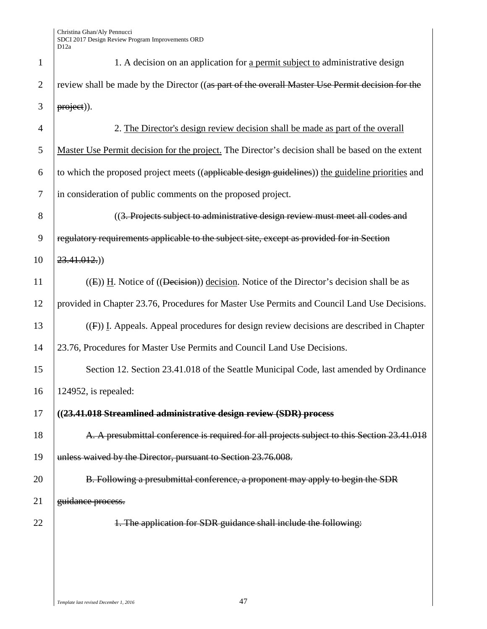| $\mathbf{1}$   | 1. A decision on an application for a permit subject to administrative design                           |
|----------------|---------------------------------------------------------------------------------------------------------|
| $\overline{2}$ | review shall be made by the Director ((as part of the overall Master Use Permit decision for the        |
| 3              | project)).                                                                                              |
| $\overline{4}$ | 2. The Director's design review decision shall be made as part of the overall                           |
| 5              | Master Use Permit decision for the project. The Director's decision shall be based on the extent        |
| 6              | to which the proposed project meets ((applicable design guidelines)) the guideline priorities and       |
| 7              | in consideration of public comments on the proposed project.                                            |
| 8              | ((3. Projects subject to administrative design review must meet all codes and                           |
| 9              | regulatory requirements applicable to the subject site, except as provided for in Section               |
| 10             | $23.41.012.$ )                                                                                          |
| 11             | $(1)$ (E)) H. Notice of $(1)$ Decision (Decision Election Notice of the Director's decision shall be as |
| 12             | provided in Chapter 23.76, Procedures for Master Use Permits and Council Land Use Decisions.            |
| 13             | $(4)$ I. Appeals. Appeal procedures for design review decisions are described in Chapter                |
| 14             | 23.76, Procedures for Master Use Permits and Council Land Use Decisions.                                |
| 15             | Section 12. Section 23.41.018 of the Seattle Municipal Code, last amended by Ordinance                  |
| 16             | 124952, is repealed:                                                                                    |
| 17             | ((23.41.018 Streamlined administrative design review (SDR) process                                      |
| 18             | A. A presubmittal conference is required for all projects subject to this Section 23.41.018             |
| 19             | unless waived by the Director, pursuant to Section 23.76.008.                                           |
| 20             | B. Following a presubmittal conference, a proponent may apply to begin the SDR                          |
| 21             | guidance process.                                                                                       |
| 22             | 1. The application for SDR guidance shall include the following:                                        |
|                |                                                                                                         |
|                |                                                                                                         |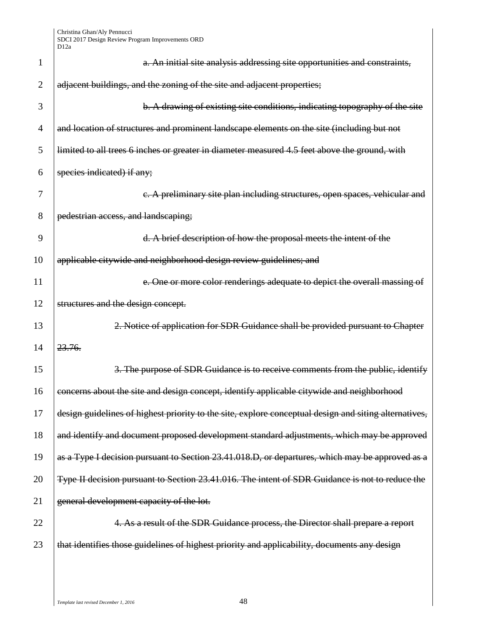| 1  | a. An initial site analysis addressing site opportunities and constraints,                            |
|----|-------------------------------------------------------------------------------------------------------|
| 2  | adjacent buildings, and the zoning of the site and adjacent properties;                               |
| 3  | b. A drawing of existing site conditions, indicating topography of the site                           |
| 4  | and location of structures and prominent landscape elements on the site (including but not            |
| 5  | limited to all trees 6 inches or greater in diameter measured 4.5 feet above the ground, with         |
| 6  | species indicated) if any;                                                                            |
| 7  | c. A preliminary site plan including structures, open spaces, vehicular and                           |
| 8  | pedestrian access, and landscaping;                                                                   |
| 9  | d. A brief description of how the proposal meets the intent of the                                    |
| 10 | applicable citywide and neighborhood design review guidelines; and                                    |
| 11 | e. One or more color renderings adequate to depict the overall massing of                             |
| 12 | structures and the design concept.                                                                    |
| 13 | 2. Notice of application for SDR Guidance shall be provided pursuant to Chapter                       |
| 14 | 23.76.                                                                                                |
| 15 | 3. The purpose of SDR Guidance is to receive comments from the public, identify                       |
| 16 | concerns about the site and design concept, identify applicable citywide and neighborhood             |
| 17 | design guidelines of highest priority to the site, explore conceptual design and siting alternatives, |
| 18 | and identify and document proposed development standard adjustments, which may be approved            |
| 19 | as a Type I decision pursuant to Section 23.41.018.D, or departures, which may be approved as a       |
| 20 | Type II decision pursuant to Section 23.41.016. The intent of SDR Guidance is not to reduce the       |
| 21 | general development capacity of the lot.                                                              |
| 22 | 4. As a result of the SDR Guidance process, the Director shall prepare a report                       |
| 23 | that identifies those guidelines of highest priority and applicability, documents any design          |
|    |                                                                                                       |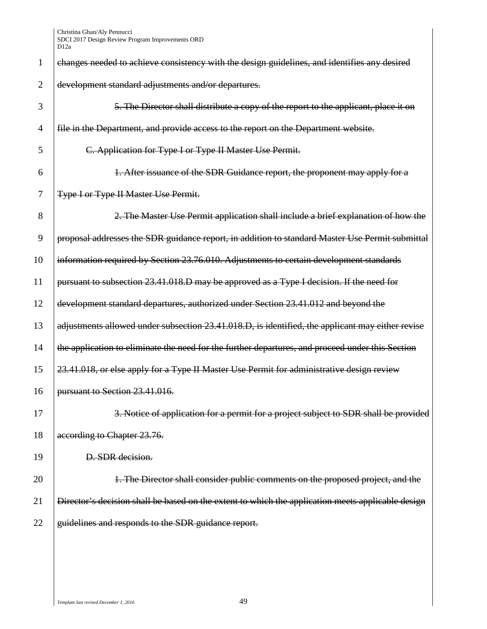| 1              | changes needed to achieve consistency with the design guidelines, and identifies any desired      |
|----------------|---------------------------------------------------------------------------------------------------|
| $\overline{2}$ | development standard adjustments and/or departures.                                               |
| 3              | 5. The Director shall distribute a copy of the report to the applicant, place it on               |
| 4              | file in the Department, and provide access to the report on the Department website.               |
| 5              | C. Application for Type I or Type II Master Use Permit.                                           |
| 6              | 1. After issuance of the SDR Guidance report, the proponent may apply for a                       |
| 7              | Type I or Type II Master Use Permit.                                                              |
| 8              | 2. The Master Use Permit application shall include a brief explanation of how the                 |
| 9              | proposal addresses the SDR guidance report, in addition to standard Master Use Permit submittal   |
| 10             | information required by Section 23.76.010. Adjustments to certain development standards           |
| 11             | pursuant to subsection 23.41.018.D may be approved as a Type I decision. If the need for          |
| 12             | development standard departures, authorized under Section 23.41.012 and beyond the                |
| 13             | adjustments allowed under subsection 23.41.018.D, is identified, the applicant may either revise  |
| 14             | the application to eliminate the need for the further departures, and proceed under this Section  |
| 15             | 23.41.018, or else apply for a Type II Master Use Permit for administrative design review         |
| 16             | pursuant to Section 23.41.016.                                                                    |
| 17             | 3. Notice of application for a permit for a project subject to SDR shall be provided              |
| 18             | according to Chapter 23.76.                                                                       |
| 19             | D. SDR decision.                                                                                  |
| 20             | 1. The Director shall consider public comments on the proposed project, and the                   |
| 21             | Director's decision shall be based on the extent to which the application meets applicable design |
| 22             | guidelines and responds to the SDR guidance report.                                               |
|                |                                                                                                   |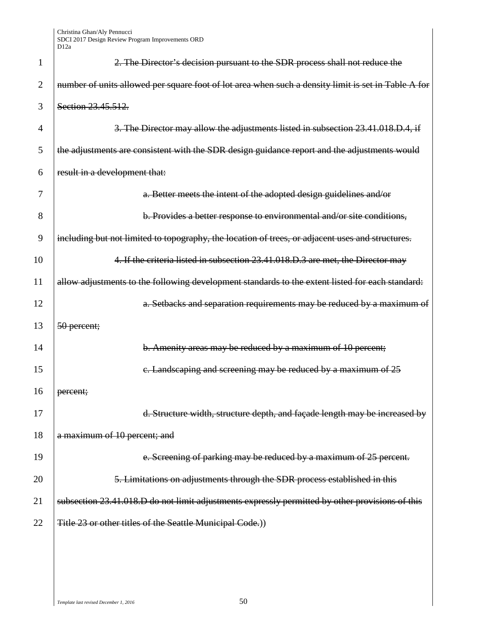| 1              | 2. The Director's decision pursuant to the SDR process shall not reduce the                         |
|----------------|-----------------------------------------------------------------------------------------------------|
| $\overline{2}$ | number of units allowed per square foot of lot area when such a density limit is set in Table A for |
| 3              | Section 23.45.512.                                                                                  |
| $\overline{4}$ | 3. The Director may allow the adjustments listed in subsection 23.41.018.D.4, if                    |
| 5              | the adjustments are consistent with the SDR design guidance report and the adjustments would        |
| 6              | result in a development that:                                                                       |
| 7              | a. Better meets the intent of the adopted design guidelines and/or                                  |
| 8              | b. Provides a better response to environmental and/or site conditions,                              |
| 9              | including but not limited to topography, the location of trees, or adjacent uses and structures.    |
| 10             | 4. If the criteria listed in subsection 23.41.018.D.3 are met, the Director may                     |
| 11             | allow adjustments to the following development standards to the extent listed for each standard:    |
| 12             | a. Setbacks and separation requirements may be reduced by a maximum of                              |
| 13             | 50 percent;                                                                                         |
| 14             | b. Amenity areas may be reduced by a maximum of 10 percent;                                         |
| 15             | e. Landscaping and screening may be reduced by a maximum of 25                                      |
| 16             | percent;                                                                                            |
| 17             | d. Structure width, structure depth, and façade length may be increased by                          |
| 18             | a maximum of 10 percent; and                                                                        |
| 19             | e. Screening of parking may be reduced by a maximum of 25 percent.                                  |
| 20             | 5. Limitations on adjustments through the SDR process established in this                           |
| 21             | subsection 23.41.018.D do not limit adjustments expressly permitted by other provisions of this     |
| 22             | Title 23 or other titles of the Seattle Municipal Code.))                                           |
|                |                                                                                                     |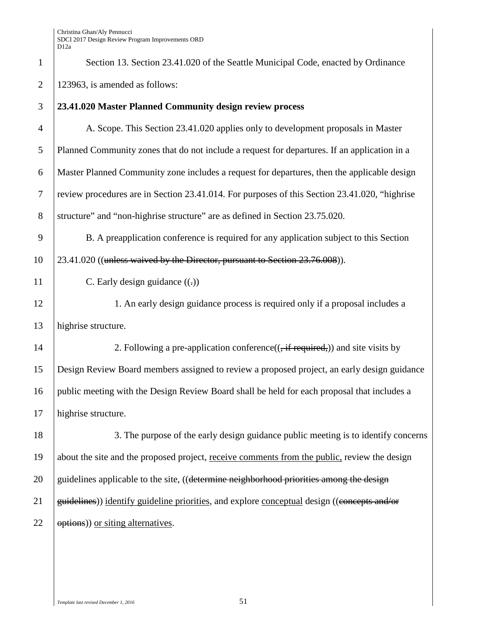| $\mathbf{1}$     | Section 13. Section 23.41.020 of the Seattle Municipal Code, enacted by Ordinance             |
|------------------|-----------------------------------------------------------------------------------------------|
| $\overline{2}$   | 123963, is amended as follows:                                                                |
| 3                | 23.41.020 Master Planned Community design review process                                      |
| $\overline{4}$   | A. Scope. This Section 23.41.020 applies only to development proposals in Master              |
| 5                | Planned Community zones that do not include a request for departures. If an application in a  |
| $\boldsymbol{6}$ | Master Planned Community zone includes a request for departures, then the applicable design   |
| $\boldsymbol{7}$ | review procedures are in Section 23.41.014. For purposes of this Section 23.41.020, "highrise |
| 8                | structure" and "non-highrise structure" are as defined in Section 23.75.020.                  |
| 9                | B. A preapplication conference is required for any application subject to this Section        |
| 10               | 23.41.020 ((unless waived by the Director, pursuant to Section 23.76.008)).                   |
| 11               | C. Early design guidance $((.)$                                                               |
| 12               | 1. An early design guidance process is required only if a proposal includes a                 |
| 13               | highrise structure.                                                                           |
| 14               | 2. Following a pre-application conference( $($ , if required,)) and site visits by            |
| 15               | Design Review Board members assigned to review a proposed project, an early design guidance   |
| 16               | public meeting with the Design Review Board shall be held for each proposal that includes a   |
| 17               | highrise structure.                                                                           |
| 18               | 3. The purpose of the early design guidance public meeting is to identify concerns            |
| 19               | about the site and the proposed project, receive comments from the public, review the design  |
| 20               | guidelines applicable to the site, ((determine neighborhood priorities among the design       |
| 21               | guidelines)) identify guideline priorities, and explore conceptual design ((concepts and/or   |
| 22               | options)) or siting alternatives.                                                             |
|                  |                                                                                               |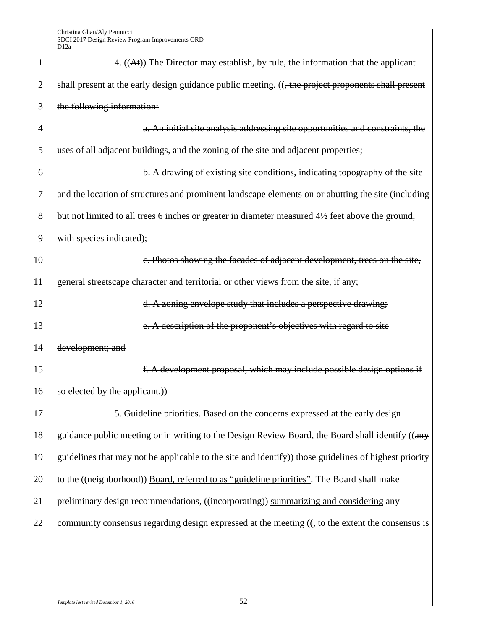| 1              | 4. ((At)) The Director may establish, by rule, the information that the applicant                    |
|----------------|------------------------------------------------------------------------------------------------------|
| 2              | shall present at the early design guidance public meeting. ((, the project proponents shall present  |
| 3              | the following information:                                                                           |
| $\overline{4}$ | a. An initial site analysis addressing site opportunities and constraints, the                       |
| 5              | uses of all adjacent buildings, and the zoning of the site and adjacent properties;                  |
| 6              | b. A drawing of existing site conditions, indicating topography of the site                          |
| 7              | and the location of structures and prominent landscape elements on or abutting the site (including   |
| 8              | but not limited to all trees 6 inches or greater in diameter measured 41/2 feet above the ground,    |
| 9              | with species indicated);                                                                             |
| 10             | c. Photos showing the facades of adjacent development, trees on the site,                            |
| 11             | general streetscape character and territorial or other views from the site, if any;                  |
| 12             | d. A zoning envelope study that includes a perspective drawing;                                      |
| 13             | e. A description of the proponent's objectives with regard to site                                   |
| 14             | development; and                                                                                     |
| 15             | f. A development proposal, which may include possible design options if                              |
| 16             | so elected by the applicant.))                                                                       |
| 17             | 5. Guideline priorities. Based on the concerns expressed at the early design                         |
| 18             | guidance public meeting or in writing to the Design Review Board, the Board shall identify ((any     |
| 19             | guidelines that may not be applicable to the site and identify) those guidelines of highest priority |
| 20             | to the ((neighborhood)) Board, referred to as "guideline priorities". The Board shall make           |
| 21             | preliminary design recommendations, ((incorporating)) summarizing and considering any                |
| 22             | community consensus regarding design expressed at the meeting ((, to the extent the consensus is     |
|                |                                                                                                      |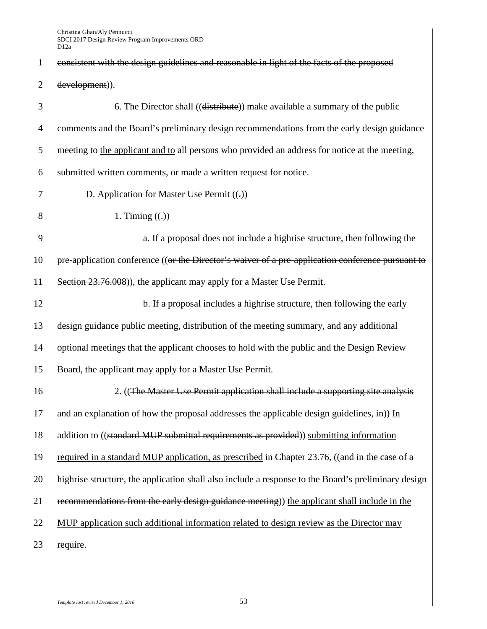| $\mathbf{1}$   | consistent with the design guidelines and reasonable in light of the facts of the proposed          |
|----------------|-----------------------------------------------------------------------------------------------------|
| $\overline{2}$ | development)).                                                                                      |
| 3              | 6. The Director shall ((distribute)) make available a summary of the public                         |
| $\overline{4}$ | comments and the Board's preliminary design recommendations from the early design guidance          |
| 5              | meeting to the applicant and to all persons who provided an address for notice at the meeting,      |
| 6              | submitted written comments, or made a written request for notice.                                   |
| 7              | D. Application for Master Use Permit ((-))                                                          |
| 8              | 1. Timing $((.)$                                                                                    |
| 9              | a. If a proposal does not include a highrise structure, then following the                          |
| 10             | pre-application conference ((or the Director's waiver of a pre-application conference pursuant to   |
| 11             | Section 23.76.008), the applicant may apply for a Master Use Permit.                                |
| 12             | b. If a proposal includes a highrise structure, then following the early                            |
| 13             | design guidance public meeting, distribution of the meeting summary, and any additional             |
| 14             | optional meetings that the applicant chooses to hold with the public and the Design Review          |
| 15             | Board, the applicant may apply for a Master Use Permit.                                             |
| 16             | 2. ((The Master Use Permit application shall include a supporting site analysis                     |
| 17             | and an explanation of how the proposal addresses the applicable design guidelines, in)) In          |
| 18             | addition to ((standard MUP submittal requirements as provided)) submitting information              |
| 19             | required in a standard MUP application, as prescribed in Chapter 23.76, ((and in the case of a      |
| 20             | highrise structure, the application shall also include a response to the Board's preliminary design |
| 21             | recommendations from the early design guidance meeting)) the applicant shall include in the         |
| 22             | MUP application such additional information related to design review as the Director may            |
| 23             | require.                                                                                            |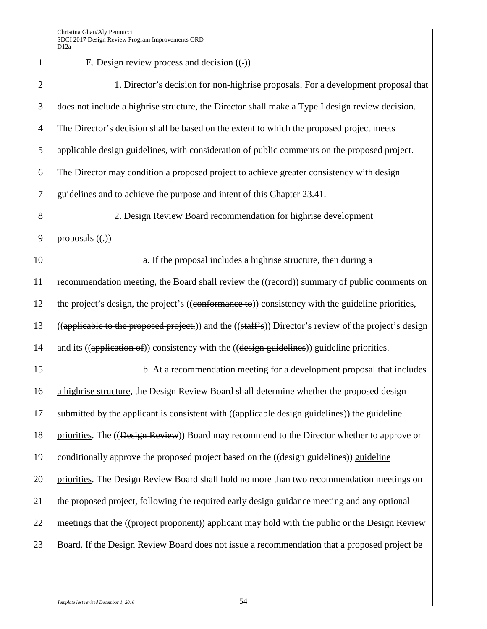1 E. Design review process and decision  $((.)$ 2 1. Director's decision for non-highrise proposals. For a development proposal that 3 does not include a highrise structure, the Director shall make a Type I design review decision. 4 The Director's decision shall be based on the extent to which the proposed project meets 5 applicable design guidelines, with consideration of public comments on the proposed project. 6 The Director may condition a proposed project to achieve greater consistency with design 7 guidelines and to achieve the purpose and intent of this Chapter 23.41. 8 2. Design Review Board recommendation for highrise development 9 | proposals  $((.)$ 10 a. If the proposal includes a highrise structure, then during a high-11 recommendation meeting, the Board shall review the ((record)) summary of public comments on 12 the project's design, the project's ((conformance to)) consistency with the guideline priorities, 13  $((\text{appliedble to the proposed project.})\)$  and the  $((\text{staff'}\text{s}))$  Director's review of the project's design 14 and its ((application of)) consistency with the ((design guidelines)) guideline priorities. 15 b. At a recommendation meeting for a development proposal that includes 16 a highrise structure, the Design Review Board shall determine whether the proposed design  $17$  submitted by the applicant is consistent with ((applicable design guidelines)) the guideline 18 priorities. The ((<del>Design Review</del>)) Board may recommend to the Director whether to approve or 19 conditionally approve the proposed project based on the  $((\text{design guidelines}) )$  guideline 20 priorities. The Design Review Board shall hold no more than two recommendation meetings on 21 the proposed project, following the required early design guidance meeting and any optional 22 meetings that the  $((\text{project proportion})$  applicant may hold with the public or the Design Review 23 Board. If the Design Review Board does not issue a recommendation that a proposed project be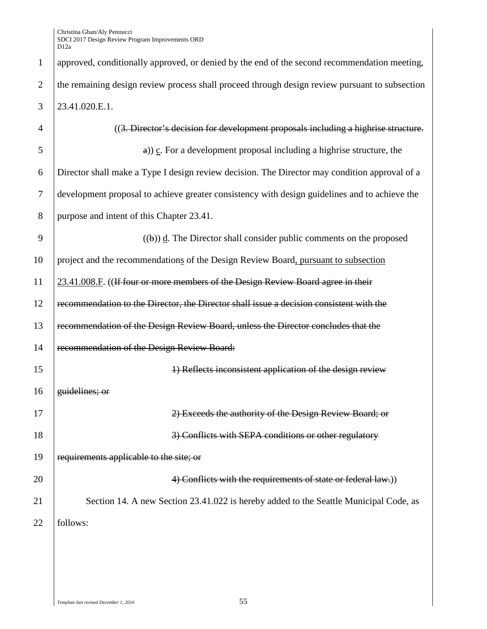| $\mathbf{1}$   | approved, conditionally approved, or denied by the end of the second recommendation meeting,   |
|----------------|------------------------------------------------------------------------------------------------|
| $\overline{2}$ | the remaining design review process shall proceed through design review pursuant to subsection |
| 3              | 23.41.020.E.1.                                                                                 |
| 4              | ((3. Director's decision for development proposals including a highrise structure.             |
| 5              | $\alpha$ ) c. For a development proposal including a highrise structure, the                   |
| 6              | Director shall make a Type I design review decision. The Director may condition approval of a  |
| 7              | development proposal to achieve greater consistency with design guidelines and to achieve the  |
| 8              | purpose and intent of this Chapter 23.41.                                                      |
| 9              | $(1)$ d. The Director shall consider public comments on the proposed                           |
| 10             | project and the recommendations of the Design Review Board, pursuant to subsection             |
| 11             | 23.41.008.F. ((If four or more members of the Design Review Board agree in their               |
| 12             | recommendation to the Director, the Director shall issue a decision consistent with the        |
| 13             | recommendation of the Design Review Board, unless the Director concludes that the              |
| 14             | recommendation of the Design Review Board:                                                     |
| 15             | 1) Reflects inconsistent application of the design review                                      |
| 16             | guidelines; or                                                                                 |
| 17             | 2) Exceeds the authority of the Design Review Board; or                                        |
| 18             | 3) Conflicts with SEPA conditions or other regulatory                                          |
| 19             | requirements applicable to the site; or                                                        |
| 20             | 4) Conflicts with the requirements of state or federal law.)                                   |
| 21             | Section 14. A new Section 23.41.022 is hereby added to the Seattle Municipal Code, as          |
| 22             | follows:                                                                                       |
|                |                                                                                                |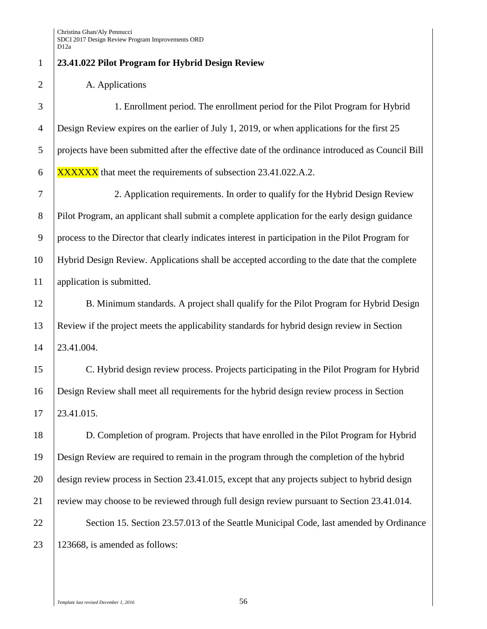## **23.41.022 Pilot Program for Hybrid Design Review**

2 A. Applications

 1. Enrollment period. The enrollment period for the Pilot Program for Hybrid Design Review expires on the earlier of July 1, 2019, or when applications for the first 25 projects have been submitted after the effective date of the ordinance introduced as Council Bill  $\overline{\text{XXXXX} \times \text{MAX}}$  that meet the requirements of subsection 23.41.022.A.2.

 2. Application requirements. In order to qualify for the Hybrid Design Review Pilot Program, an applicant shall submit a complete application for the early design guidance process to the Director that clearly indicates interest in participation in the Pilot Program for Hybrid Design Review. Applications shall be accepted according to the date that the complete application is submitted.

12 B. Minimum standards. A project shall qualify for the Pilot Program for Hybrid Design Review if the project meets the applicability standards for hybrid design review in Section 23.41.004.

 C. Hybrid design review process. Projects participating in the Pilot Program for Hybrid Design Review shall meet all requirements for the hybrid design review process in Section 23.41.015.

 D. Completion of program. Projects that have enrolled in the Pilot Program for Hybrid Design Review are required to remain in the program through the completion of the hybrid design review process in Section 23.41.015, except that any projects subject to hybrid design review may choose to be reviewed through full design review pursuant to Section 23.41.014. 22 Section 15. Section 23.57.013 of the Seattle Municipal Code, last amended by Ordinance

123668, is amended as follows:

*Template last revised December 1, 2016* 56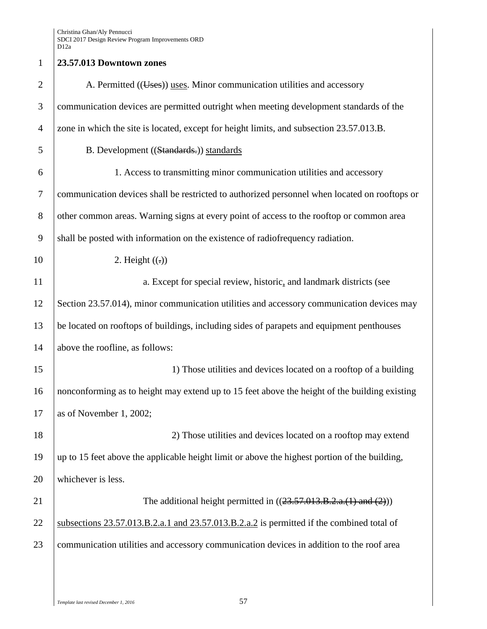## 1 **23.57.013 Downtown zones** 2  $\vert$  A. Permitted ((Uses)) uses. Minor communication utilities and accessory 3 communication devices are permitted outright when meeting development standards of the 4 zone in which the site is located, except for height limits, and subsection 23.57.013.B. 5 B. Development ((Standards.)) standards 6 1. Access to transmitting minor communication utilities and accessory 7 communication devices shall be restricted to authorized personnel when located on rooftops or 8 other common areas. Warning signs at every point of access to the rooftop or common area 9 shall be posted with information on the existence of radiofrequency radiation. 10 2. Height  $((.)$ 11 a. Except for special review, historic, and landmark districts (see 12 Section 23.57.014), minor communication utilities and accessory communication devices may 13 be located on rooftops of buildings, including sides of parapets and equipment penthouses 14 above the roofline, as follows: 15 15 15 15 10 1) Those utilities and devices located on a rooftop of a building 16 nonconforming as to height may extend up to 15 feet above the height of the building existing 17 as of November 1, 2002; 18 2) Those utilities and devices located on a rooftop may extend 19 up to 15 feet above the applicable height limit or above the highest portion of the building, 20 whichever is less. 21 The additional height permitted in  $((23.57.013.B.2.a.(1) and (2)))$ 22 Subsections 23.57.013.B.2.a.1 and 23.57.013.B.2.a.2 is permitted if the combined total of 23 communication utilities and accessory communication devices in addition to the roof area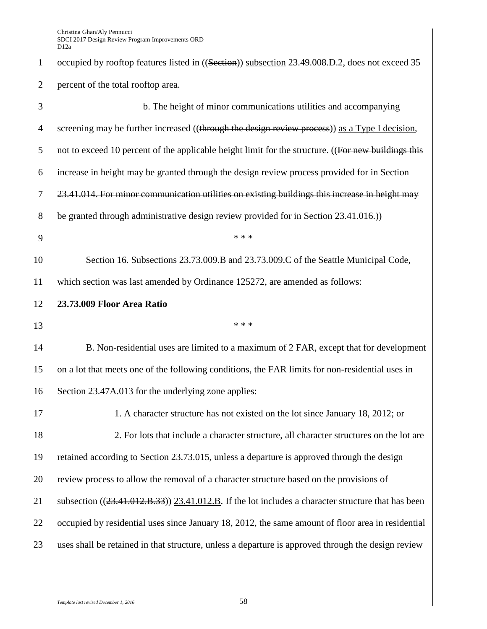1 occupied by rooftop features listed in ((Section)) subsection 23.49.008.D.2, does not exceed 35 2 percent of the total rooftop area. 3 b. The height of minor communications utilities and accompanying 4 screening may be further increased ((through the design review process)) as a Type I decision,  $5$  not to exceed 10 percent of the applicable height limit for the structure. ((For new buildings this  $6$  increase in height may be granted through the design review process provided for in Section 7 23.41.014. For minor communication utilities on existing buildings this increase in height may 8 be granted through administrative design review provided for in Section 23.41.016.) 9  $\vert$  \*\*\* 10 Section 16. Subsections 23.73.009.B and 23.73.009.C of the Seattle Municipal Code, 11 which section was last amended by Ordinance 125272, are amended as follows: 12 **23.73.009 Floor Area Ratio**  $13$  \*\*\* 14 B. Non-residential uses are limited to a maximum of 2 FAR, except that for development 15 on a lot that meets one of the following conditions, the FAR limits for non-residential uses in 16 Section 23.47A.013 for the underlying zone applies: 17 1. A character structure has not existed on the lot since January 18, 2012; or 18 2. For lots that include a character structure, all character structures on the lot are 19 retained according to Section 23.73.015, unless a departure is approved through the design 20 review process to allow the removal of a character structure based on the provisions of 21 Subsection  $((23.41.012.B.33))$  23.41.012.B. If the lot includes a character structure that has been 22 occupied by residential uses since January 18, 2012, the same amount of floor area in residential 23 uses shall be retained in that structure, unless a departure is approved through the design review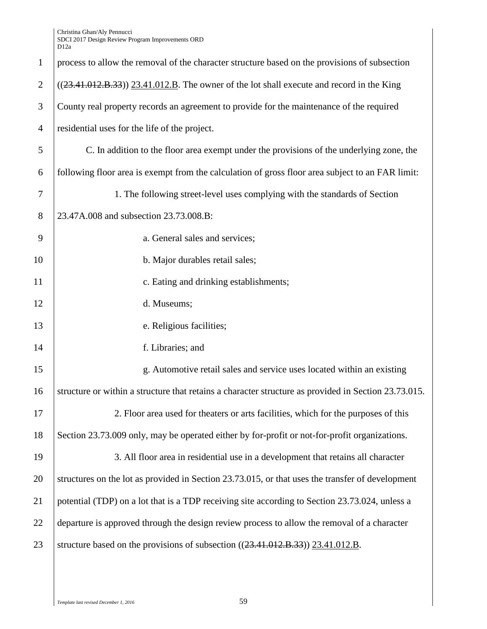| $\mathbf{1}$   | process to allow the removal of the character structure based on the provisions of subsection        |
|----------------|------------------------------------------------------------------------------------------------------|
| $\overline{2}$ | $((23.41.012.B.33))$ $(23.41.012.B.$ The owner of the lot shall execute and record in the King       |
| 3              | County real property records an agreement to provide for the maintenance of the required             |
| $\overline{4}$ | residential uses for the life of the project.                                                        |
| 5              | C. In addition to the floor area exempt under the provisions of the underlying zone, the             |
| 6              | following floor area is exempt from the calculation of gross floor area subject to an FAR limit:     |
| $\tau$         | 1. The following street-level uses complying with the standards of Section                           |
| 8              | 23.47A.008 and subsection 23.73.008.B:                                                               |
| 9              | a. General sales and services;                                                                       |
| 10             | b. Major durables retail sales;                                                                      |
| 11             | c. Eating and drinking establishments;                                                               |
| 12             | d. Museums;                                                                                          |
| 13             | e. Religious facilities;                                                                             |
| 14             | f. Libraries; and                                                                                    |
| 15             | g. Automotive retail sales and service uses located within an existing                               |
| 16             | structure or within a structure that retains a character structure as provided in Section 23.73.015. |
| 17             | 2. Floor area used for theaters or arts facilities, which for the purposes of this                   |
| 18             | Section 23.73.009 only, may be operated either by for-profit or not-for-profit organizations.        |
| 19             | 3. All floor area in residential use in a development that retains all character                     |
| 20             | structures on the lot as provided in Section 23.73.015, or that uses the transfer of development     |
| 21             | potential (TDP) on a lot that is a TDP receiving site according to Section 23.73.024, unless a       |
| 22             | departure is approved through the design review process to allow the removal of a character          |
| 23             | structure based on the provisions of subsection $((23.41.012.B.33))$ $(23.41.012.B.$                 |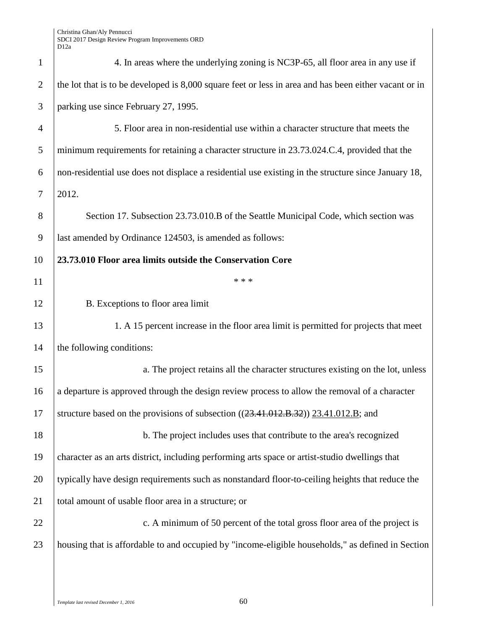| $\mathbf{1}$   | 4. In areas where the underlying zoning is NC3P-65, all floor area in any use if                      |
|----------------|-------------------------------------------------------------------------------------------------------|
| $\overline{2}$ | the lot that is to be developed is 8,000 square feet or less in area and has been either vacant or in |
| 3              | parking use since February 27, 1995.                                                                  |
| $\overline{4}$ | 5. Floor area in non-residential use within a character structure that meets the                      |
| 5              | minimum requirements for retaining a character structure in 23.73.024.C.4, provided that the          |
| 6              | non-residential use does not displace a residential use existing in the structure since January 18,   |
| 7              | 2012.                                                                                                 |
| 8              | Section 17. Subsection 23.73.010.B of the Seattle Municipal Code, which section was                   |
| 9              | last amended by Ordinance 124503, is amended as follows:                                              |
| 10             | 23.73.010 Floor area limits outside the Conservation Core                                             |
| 11             | * * *                                                                                                 |
| 12             | B. Exceptions to floor area limit                                                                     |
| 13             | 1. A 15 percent increase in the floor area limit is permitted for projects that meet                  |
| 14             | the following conditions:                                                                             |
| 15             | a. The project retains all the character structures existing on the lot, unless                       |
| 16             | a departure is approved through the design review process to allow the removal of a character         |
| 17             | structure based on the provisions of subsection ((23.41.012.B.32)) 23.41.012.B; and                   |
| 18             | b. The project includes uses that contribute to the area's recognized                                 |
| 19             | character as an arts district, including performing arts space or artist-studio dwellings that        |
| 20             | typically have design requirements such as nonstandard floor-to-ceiling heights that reduce the       |
| 21             | total amount of usable floor area in a structure; or                                                  |
| 22             | c. A minimum of 50 percent of the total gross floor area of the project is                            |
| 23             | housing that is affordable to and occupied by "income-eligible households," as defined in Section     |
|                |                                                                                                       |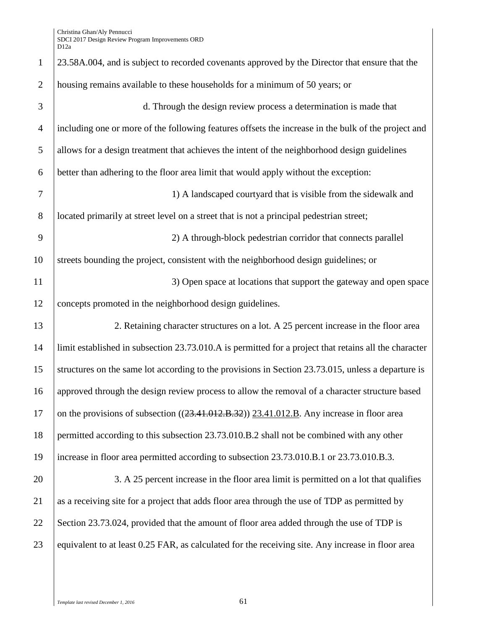| $\mathbf{1}$   | 23.58A.004, and is subject to recorded covenants approved by the Director that ensure that the        |
|----------------|-------------------------------------------------------------------------------------------------------|
| $\overline{2}$ | housing remains available to these households for a minimum of 50 years; or                           |
| 3              | d. Through the design review process a determination is made that                                     |
| $\overline{4}$ | including one or more of the following features offsets the increase in the bulk of the project and   |
| 5              | allows for a design treatment that achieves the intent of the neighborhood design guidelines          |
| 6              | better than adhering to the floor area limit that would apply without the exception:                  |
| $\overline{7}$ | 1) A landscaped courtyard that is visible from the sidewalk and                                       |
| 8              | located primarily at street level on a street that is not a principal pedestrian street;              |
| 9              | 2) A through-block pedestrian corridor that connects parallel                                         |
| 10             | streets bounding the project, consistent with the neighborhood design guidelines; or                  |
| 11             | 3) Open space at locations that support the gateway and open space                                    |
| 12             | concepts promoted in the neighborhood design guidelines.                                              |
| 13             | 2. Retaining character structures on a lot. A 25 percent increase in the floor area                   |
| 14             | limit established in subsection 23.73.010.A is permitted for a project that retains all the character |
| 15             | structures on the same lot according to the provisions in Section 23.73.015, unless a departure is    |
| 16             | approved through the design review process to allow the removal of a character structure based        |
| 17             | on the provisions of subsection ((23.41.012.B.32)) 23.41.012.B. Any increase in floor area            |
| 18             | permitted according to this subsection 23.73.010.B.2 shall not be combined with any other             |
| 19             | increase in floor area permitted according to subsection 23.73.010.B.1 or 23.73.010.B.3.              |
| 20             | 3. A 25 percent increase in the floor area limit is permitted on a lot that qualifies                 |
| 21             | as a receiving site for a project that adds floor area through the use of TDP as permitted by         |
| 22             | Section 23.73.024, provided that the amount of floor area added through the use of TDP is             |
| 23             | equivalent to at least 0.25 FAR, as calculated for the receiving site. Any increase in floor area     |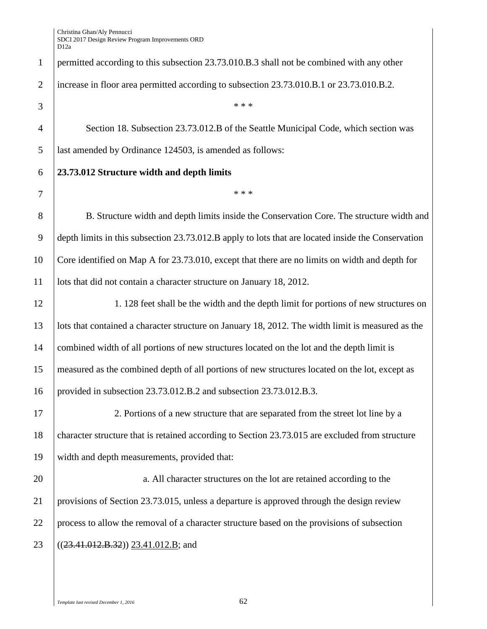permitted according to this subsection 23.73.010.B.3 shall not be combined with any other increase in floor area permitted according to subsection 23.73.010.B.1 or 23.73.010.B.2.  $3 \mid$  \*\*\* Section 18. Subsection 23.73.012.B of the Seattle Municipal Code, which section was last amended by Ordinance 124503, is amended as follows: **23.73.012 Structure width and depth limits** \* \* \* 8 B. Structure width and depth limits inside the Conservation Core. The structure width and depth limits in this subsection 23.73.012.B apply to lots that are located inside the Conservation Core identified on Map A for 23.73.010, except that there are no limits on width and depth for lots that did not contain a character structure on January 18, 2012. 12 1. 128 feet shall be the width and the depth limit for portions of new structures on lots that contained a character structure on January 18, 2012. The width limit is measured as the combined width of all portions of new structures located on the lot and the depth limit is measured as the combined depth of all portions of new structures located on the lot, except as provided in subsection 23.73.012.B.2 and subsection 23.73.012.B.3. 2. Portions of a new structure that are separated from the street lot line by a 18 character structure that is retained according to Section 23.73.015 are excluded from structure width and depth measurements, provided that: **a.** All character structures on the lot are retained according to the provisions of Section 23.73.015, unless a departure is approved through the design review process to allow the removal of a character structure based on the provisions of subsection  $((23.41.012.B.32))$   $(23.41.012.B;$  and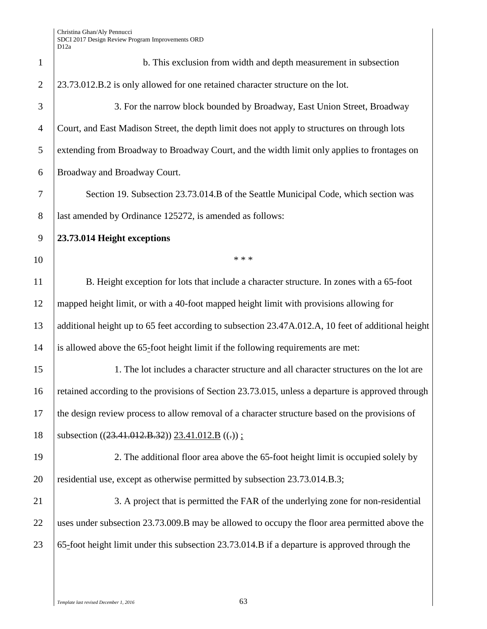| $\mathbf{1}$   | b. This exclusion from width and depth measurement in subsection                                   |
|----------------|----------------------------------------------------------------------------------------------------|
| $\overline{2}$ | 23.73.012.B.2 is only allowed for one retained character structure on the lot.                     |
| 3              | 3. For the narrow block bounded by Broadway, East Union Street, Broadway                           |
| $\overline{4}$ | Court, and East Madison Street, the depth limit does not apply to structures on through lots       |
| 5              | extending from Broadway to Broadway Court, and the width limit only applies to frontages on        |
| 6              | Broadway and Broadway Court.                                                                       |
| 7              | Section 19. Subsection 23.73.014.B of the Seattle Municipal Code, which section was                |
| 8              | last amended by Ordinance 125272, is amended as follows:                                           |
| 9              | 23.73.014 Height exceptions                                                                        |
| 10             | * * *                                                                                              |
| 11             | B. Height exception for lots that include a character structure. In zones with a 65-foot           |
| 12             | mapped height limit, or with a 40-foot mapped height limit with provisions allowing for            |
| 13             | additional height up to 65 feet according to subsection 23.47A.012.A, 10 feet of additional height |
| 14             | is allowed above the 65-foot height limit if the following requirements are met:                   |
| 15             | 1. The lot includes a character structure and all character structures on the lot are              |
| 16             | retained according to the provisions of Section 23.73.015, unless a departure is approved through  |
| 17             | the design review process to allow removal of a character structure based on the provisions of     |
| 18             | subsection $((23.41.012.B.32))$ $23.41.012.B$ $((.))$ ;                                            |
| 19             | 2. The additional floor area above the 65-foot height limit is occupied solely by                  |
| 20             | residential use, except as otherwise permitted by subsection 23.73.014.B.3;                        |
| 21             | 3. A project that is permitted the FAR of the underlying zone for non-residential                  |
| 22             | uses under subsection 23.73.009.B may be allowed to occupy the floor area permitted above the      |
| 23             | 65-foot height limit under this subsection 23.73.014.B if a departure is approved through the      |
|                |                                                                                                    |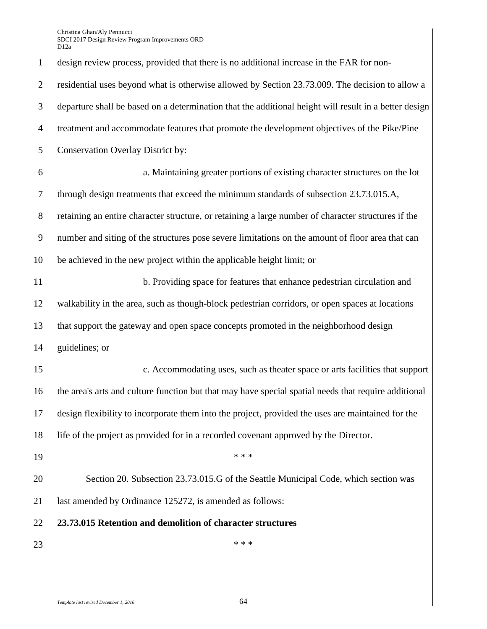| $\mathbf{1}$   | design review process, provided that there is no additional increase in the FAR for non-              |
|----------------|-------------------------------------------------------------------------------------------------------|
| $\overline{2}$ | residential uses beyond what is otherwise allowed by Section 23.73.009. The decision to allow a       |
| 3              | departure shall be based on a determination that the additional height will result in a better design |
| $\overline{4}$ | treatment and accommodate features that promote the development objectives of the Pike/Pine           |
| 5              | <b>Conservation Overlay District by:</b>                                                              |
| 6              | a. Maintaining greater portions of existing character structures on the lot                           |
| 7              | through design treatments that exceed the minimum standards of subsection 23.73.015.A,                |
| 8              | retaining an entire character structure, or retaining a large number of character structures if the   |
| 9              | number and siting of the structures pose severe limitations on the amount of floor area that can      |
| 10             | be achieved in the new project within the applicable height limit; or                                 |
| 11             | b. Providing space for features that enhance pedestrian circulation and                               |
| 12             | walkability in the area, such as though-block pedestrian corridors, or open spaces at locations       |
| 13             | that support the gateway and open space concepts promoted in the neighborhood design                  |
| 14             | guidelines; or                                                                                        |
| 15             | c. Accommodating uses, such as theater space or arts facilities that support                          |
| 16             | the area's arts and culture function but that may have special spatial needs that require additional  |
| 17             | design flexibility to incorporate them into the project, provided the uses are maintained for the     |
| 18             | life of the project as provided for in a recorded covenant approved by the Director.                  |
| 19             | * * *                                                                                                 |
| 20             | Section 20. Subsection 23.73.015.G of the Seattle Municipal Code, which section was                   |
| 21             | last amended by Ordinance 125272, is amended as follows:                                              |
| 22             | 23.73.015 Retention and demolition of character structures                                            |
| 23             | * * *                                                                                                 |
|                |                                                                                                       |
|                |                                                                                                       |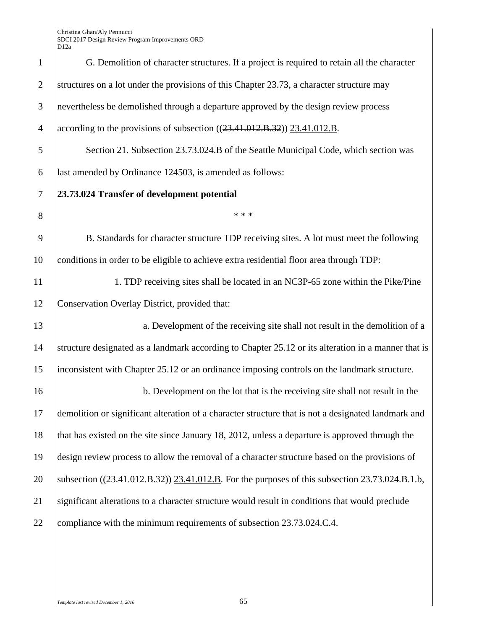| $\mathbf{1}$   | G. Demolition of character structures. If a project is required to retain all the character         |
|----------------|-----------------------------------------------------------------------------------------------------|
| $\overline{2}$ | structures on a lot under the provisions of this Chapter 23.73, a character structure may           |
| $\mathfrak{Z}$ | nevertheless be demolished through a departure approved by the design review process                |
| $\overline{4}$ | according to the provisions of subsection $((23.41.012.B.32))$ $(23.41.012.B.32)$                   |
| 5              | Section 21. Subsection 23.73.024.B of the Seattle Municipal Code, which section was                 |
| 6              | last amended by Ordinance 124503, is amended as follows:                                            |
| $\tau$         | 23.73.024 Transfer of development potential                                                         |
| 8              | * * *                                                                                               |
| 9              | B. Standards for character structure TDP receiving sites. A lot must meet the following             |
| 10             | conditions in order to be eligible to achieve extra residential floor area through TDP:             |
| 11             | 1. TDP receiving sites shall be located in an NC3P-65 zone within the Pike/Pine                     |
| 12             | Conservation Overlay District, provided that:                                                       |
| 13             | a. Development of the receiving site shall not result in the demolition of a                        |
| 14             | structure designated as a landmark according to Chapter 25.12 or its alteration in a manner that is |
| 15             | inconsistent with Chapter 25.12 or an ordinance imposing controls on the landmark structure.        |
| 16             | b. Development on the lot that is the receiving site shall not result in the                        |
| 17             | demolition or significant alteration of a character structure that is not a designated landmark and |
| 18             | that has existed on the site since January 18, 2012, unless a departure is approved through the     |
| 19             | design review process to allow the removal of a character structure based on the provisions of      |
| 20             | subsection ((23.41.012.B.32)) 23.41.012.B. For the purposes of this subsection 23.73.024.B.1.b,     |
| 21             | significant alterations to a character structure would result in conditions that would preclude     |
| 22             | compliance with the minimum requirements of subsection 23.73.024.C.4.                               |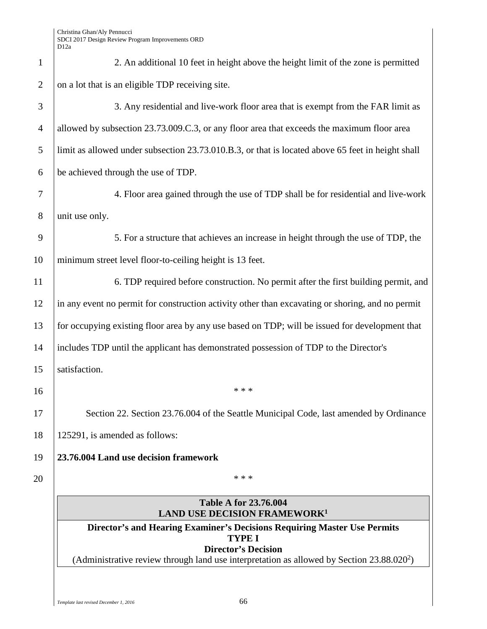| $\mathbf{1}$     | 2. An additional 10 feet in height above the height limit of the zone is permitted                                         |
|------------------|----------------------------------------------------------------------------------------------------------------------------|
| $\overline{2}$   | on a lot that is an eligible TDP receiving site.                                                                           |
| 3                | 3. Any residential and live-work floor area that is exempt from the FAR limit as                                           |
| $\overline{4}$   | allowed by subsection 23.73.009.C.3, or any floor area that exceeds the maximum floor area                                 |
| 5                | limit as allowed under subsection 23.73.010.B.3, or that is located above 65 feet in height shall                          |
| 6                | be achieved through the use of TDP.                                                                                        |
| $\boldsymbol{7}$ | 4. Floor area gained through the use of TDP shall be for residential and live-work                                         |
| 8                | unit use only.                                                                                                             |
| 9                | 5. For a structure that achieves an increase in height through the use of TDP, the                                         |
| 10               | minimum street level floor-to-ceiling height is 13 feet.                                                                   |
| 11               | 6. TDP required before construction. No permit after the first building permit, and                                        |
| 12               | in any event no permit for construction activity other than excavating or shoring, and no permit                           |
| 13               | for occupying existing floor area by any use based on TDP; will be issued for development that                             |
| 14               | includes TDP until the applicant has demonstrated possession of TDP to the Director's                                      |
| 15               | satisfaction.                                                                                                              |
| 16               | * * *                                                                                                                      |
| 17               | Section 22. Section 23.76.004 of the Seattle Municipal Code, last amended by Ordinance                                     |
| 18               | 125291, is amended as follows:                                                                                             |
| 19               | 23.76.004 Land use decision framework                                                                                      |
| 20               | * * *                                                                                                                      |
|                  | <b>Table A for 23.76.004</b><br><b>LAND USE DECISION FRAMEWORK1</b>                                                        |
|                  | Director's and Hearing Examiner's Decisions Requiring Master Use Permits<br><b>TYPE I</b>                                  |
|                  | <b>Director's Decision</b><br>(Administrative review through land use interpretation as allowed by Section $23.88.020^2$ ) |
|                  |                                                                                                                            |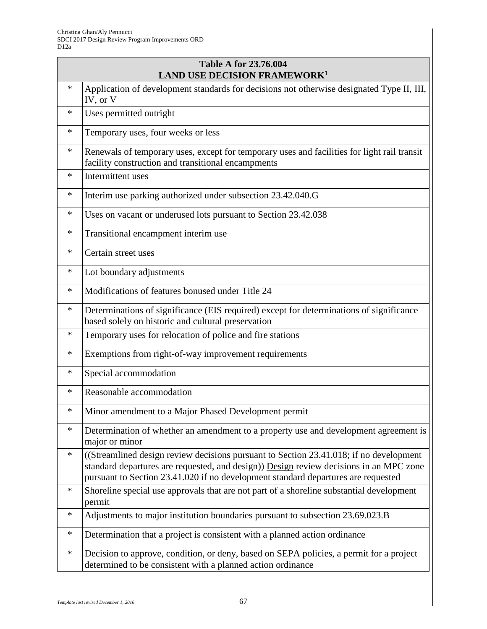| <b>Table A for 23.76.004</b><br><b>LAND USE DECISION FRAMEWORK<sup>1</sup></b> |                                                                                                                                                                                                                                                                       |
|--------------------------------------------------------------------------------|-----------------------------------------------------------------------------------------------------------------------------------------------------------------------------------------------------------------------------------------------------------------------|
| $\ast$                                                                         | Application of development standards for decisions not otherwise designated Type II, III,<br>IV, or V                                                                                                                                                                 |
| $\ast$                                                                         | Uses permitted outright                                                                                                                                                                                                                                               |
| ∗                                                                              | Temporary uses, four weeks or less                                                                                                                                                                                                                                    |
| $\ast$                                                                         | Renewals of temporary uses, except for temporary uses and facilities for light rail transit<br>facility construction and transitional encampments                                                                                                                     |
| $\ast$                                                                         | Intermittent uses                                                                                                                                                                                                                                                     |
| $\ast$                                                                         | Interim use parking authorized under subsection 23.42.040.G                                                                                                                                                                                                           |
| *                                                                              | Uses on vacant or underused lots pursuant to Section 23.42.038                                                                                                                                                                                                        |
| *                                                                              | Transitional encampment interim use                                                                                                                                                                                                                                   |
| $\ast$                                                                         | Certain street uses                                                                                                                                                                                                                                                   |
| $\ast$                                                                         | Lot boundary adjustments                                                                                                                                                                                                                                              |
| $\ast$                                                                         | Modifications of features bonused under Title 24                                                                                                                                                                                                                      |
| $\ast$                                                                         | Determinations of significance (EIS required) except for determinations of significance<br>based solely on historic and cultural preservation                                                                                                                         |
| *                                                                              | Temporary uses for relocation of police and fire stations                                                                                                                                                                                                             |
| $\ast$                                                                         | Exemptions from right-of-way improvement requirements                                                                                                                                                                                                                 |
| *                                                                              | Special accommodation                                                                                                                                                                                                                                                 |
| $\ast$                                                                         | Reasonable accommodation                                                                                                                                                                                                                                              |
| ∗                                                                              | Minor amendment to a Major Phased Development permit                                                                                                                                                                                                                  |
| $\ast$                                                                         | Determination of whether an amendment to a property use and development agreement is<br>major or minor                                                                                                                                                                |
| ∗                                                                              | ((Streamlined design review decisions pursuant to Section 23.41.018; if no development<br>standard departures are requested, and design)) Design review decisions in an MPC zone<br>pursuant to Section 23.41.020 if no development standard departures are requested |
| $\ast$                                                                         | Shoreline special use approvals that are not part of a shoreline substantial development<br>permit                                                                                                                                                                    |
| $\ast$                                                                         | Adjustments to major institution boundaries pursuant to subsection 23.69.023.B                                                                                                                                                                                        |
| *                                                                              | Determination that a project is consistent with a planned action ordinance                                                                                                                                                                                            |
| ∗                                                                              | Decision to approve, condition, or deny, based on SEPA policies, a permit for a project<br>determined to be consistent with a planned action ordinance                                                                                                                |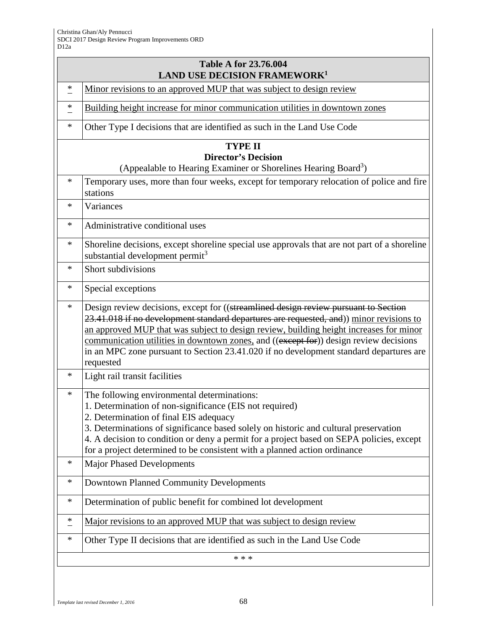| <b>Table A for 23.76.004</b><br><b>LAND USE DECISION FRAMEWORK<sup>1</sup></b>                                             |                                                                                                                                                                                                                                                                                                                                                                                                                                                                          |
|----------------------------------------------------------------------------------------------------------------------------|--------------------------------------------------------------------------------------------------------------------------------------------------------------------------------------------------------------------------------------------------------------------------------------------------------------------------------------------------------------------------------------------------------------------------------------------------------------------------|
| ∗                                                                                                                          | Minor revisions to an approved MUP that was subject to design review                                                                                                                                                                                                                                                                                                                                                                                                     |
| *                                                                                                                          | Building height increase for minor communication utilities in downtown zones                                                                                                                                                                                                                                                                                                                                                                                             |
| *                                                                                                                          | Other Type I decisions that are identified as such in the Land Use Code                                                                                                                                                                                                                                                                                                                                                                                                  |
| <b>TYPE II</b><br><b>Director's Decision</b><br>(Appealable to Hearing Examiner or Shorelines Hearing Board <sup>3</sup> ) |                                                                                                                                                                                                                                                                                                                                                                                                                                                                          |
| *                                                                                                                          | Temporary uses, more than four weeks, except for temporary relocation of police and fire<br>stations                                                                                                                                                                                                                                                                                                                                                                     |
| *                                                                                                                          | Variances                                                                                                                                                                                                                                                                                                                                                                                                                                                                |
| *                                                                                                                          | Administrative conditional uses                                                                                                                                                                                                                                                                                                                                                                                                                                          |
| *                                                                                                                          | Shoreline decisions, except shoreline special use approvals that are not part of a shoreline<br>substantial development permit <sup>3</sup>                                                                                                                                                                                                                                                                                                                              |
| *                                                                                                                          | Short subdivisions                                                                                                                                                                                                                                                                                                                                                                                                                                                       |
| *                                                                                                                          | Special exceptions                                                                                                                                                                                                                                                                                                                                                                                                                                                       |
| *                                                                                                                          | Design review decisions, except for ((streamlined design review pursuant to Section<br>23.41.018 if no development standard departures are requested, and)) minor revisions to<br>an approved MUP that was subject to design review, building height increases for minor<br>communication utilities in downtown zones, and ((except for)) design review decisions<br>in an MPC zone pursuant to Section 23.41.020 if no development standard departures are<br>requested |
| *                                                                                                                          | Light rail transit facilities                                                                                                                                                                                                                                                                                                                                                                                                                                            |
| *                                                                                                                          | The following environmental determinations:<br>1. Determination of non-significance (EIS not required)<br>2. Determination of final EIS adequacy<br>3. Determinations of significance based solely on historic and cultural preservation<br>4. A decision to condition or deny a permit for a project based on SEPA policies, except<br>for a project determined to be consistent with a planned action ordinance                                                        |
| *                                                                                                                          | <b>Major Phased Developments</b>                                                                                                                                                                                                                                                                                                                                                                                                                                         |
| *                                                                                                                          | <b>Downtown Planned Community Developments</b>                                                                                                                                                                                                                                                                                                                                                                                                                           |
| *                                                                                                                          | Determination of public benefit for combined lot development                                                                                                                                                                                                                                                                                                                                                                                                             |
| ∗                                                                                                                          | <u>Major revisions to an approved MUP that was subject to design review</u>                                                                                                                                                                                                                                                                                                                                                                                              |
| *                                                                                                                          | Other Type II decisions that are identified as such in the Land Use Code                                                                                                                                                                                                                                                                                                                                                                                                 |
|                                                                                                                            | * * *                                                                                                                                                                                                                                                                                                                                                                                                                                                                    |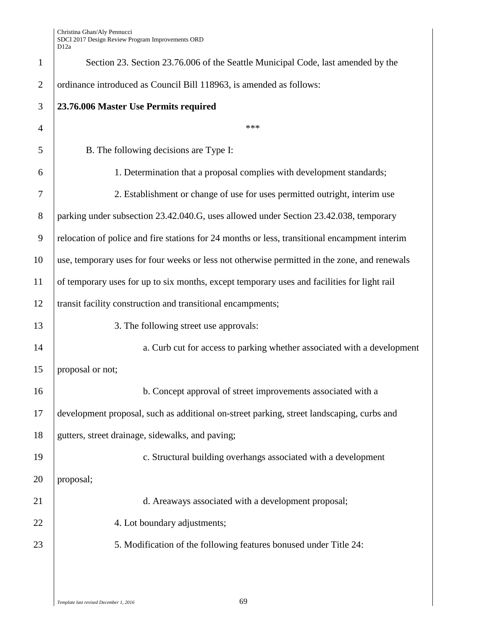| $\mathbf{1}$   | Section 23. Section 23.76.006 of the Seattle Municipal Code, last amended by the              |
|----------------|-----------------------------------------------------------------------------------------------|
| $\mathfrak{2}$ | ordinance introduced as Council Bill 118963, is amended as follows:                           |
| 3              | 23.76.006 Master Use Permits required                                                         |
| $\overline{4}$ | ***                                                                                           |
| 5              | B. The following decisions are Type I:                                                        |
| 6              | 1. Determination that a proposal complies with development standards;                         |
| 7              | 2. Establishment or change of use for uses permitted outright, interim use                    |
| 8              | parking under subsection 23.42.040.G, uses allowed under Section 23.42.038, temporary         |
| 9              | relocation of police and fire stations for 24 months or less, transitional encampment interim |
| 10             | use, temporary uses for four weeks or less not otherwise permitted in the zone, and renewals  |
| 11             | of temporary uses for up to six months, except temporary uses and facilities for light rail   |
| 12             | transit facility construction and transitional encampments;                                   |
| 13             | 3. The following street use approvals:                                                        |
| 14             | a. Curb cut for access to parking whether associated with a development                       |
| 15             | proposal or not;                                                                              |
| 16             | b. Concept approval of street improvements associated with a                                  |
| 17             | development proposal, such as additional on-street parking, street landscaping, curbs and     |
| 18             | gutters, street drainage, sidewalks, and paving;                                              |
| 19             | c. Structural building overhangs associated with a development                                |
| 20             | proposal;                                                                                     |
| 21             | d. Areaways associated with a development proposal;                                           |
| 22             | 4. Lot boundary adjustments;                                                                  |
| 23             | 5. Modification of the following features bonused under Title 24:                             |
|                |                                                                                               |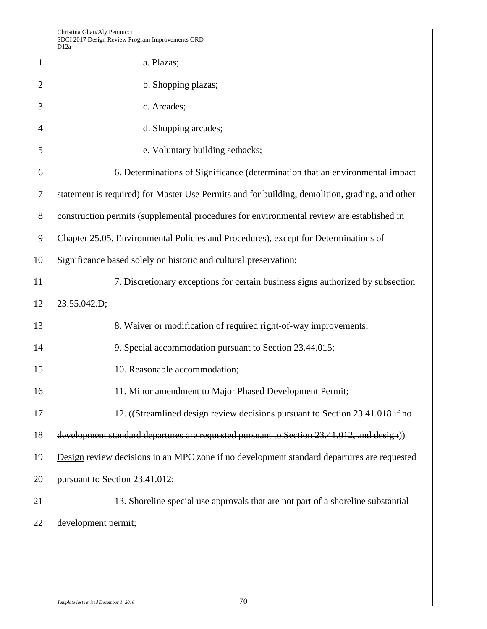|                | D <sub>12</sub> a                                                                              |
|----------------|------------------------------------------------------------------------------------------------|
| $\mathbf{1}$   | a. Plazas;                                                                                     |
| $\overline{2}$ | b. Shopping plazas;                                                                            |
| 3              | c. Arcades;                                                                                    |
| $\overline{4}$ | d. Shopping arcades;                                                                           |
| 5              | e. Voluntary building setbacks;                                                                |
| 6              | 6. Determinations of Significance (determination that an environmental impact                  |
| $\tau$         | statement is required) for Master Use Permits and for building, demolition, grading, and other |
| 8              | construction permits (supplemental procedures for environmental review are established in      |
| 9              | Chapter 25.05, Environmental Policies and Procedures), except for Determinations of            |
| 10             | Significance based solely on historic and cultural preservation;                               |
| 11             | 7. Discretionary exceptions for certain business signs authorized by subsection                |
| 12             | 23.55.042.D;                                                                                   |
| 13             | 8. Waiver or modification of required right-of-way improvements;                               |
| 14             | 9. Special accommodation pursuant to Section 23.44.015;                                        |
| 15             | 10. Reasonable accommodation;                                                                  |
| 16             | 11. Minor amendment to Major Phased Development Permit;                                        |
| 17             | 12. ((Streamlined design review decisions pursuant to Section 23.41.018 if no                  |
| 18             | development standard departures are requested pursuant to Section 23.41.012, and design))      |
| 19             | Design review decisions in an MPC zone if no development standard departures are requested     |
| 20             | pursuant to Section 23.41.012;                                                                 |
| 21             | 13. Shoreline special use approvals that are not part of a shoreline substantial               |
| 22             | development permit;                                                                            |
|                |                                                                                                |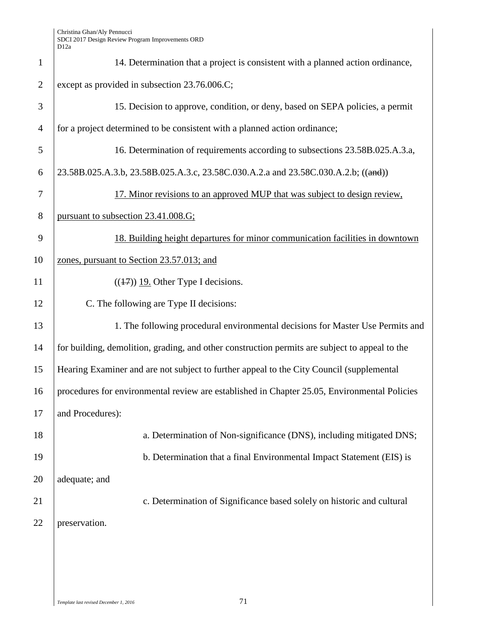| $\mathbf{1}$   | 14. Determination that a project is consistent with a planned action ordinance,                |
|----------------|------------------------------------------------------------------------------------------------|
| $\overline{2}$ | except as provided in subsection 23.76.006.C;                                                  |
| 3              | 15. Decision to approve, condition, or deny, based on SEPA policies, a permit                  |
| $\overline{4}$ | for a project determined to be consistent with a planned action ordinance;                     |
| 5              | 16. Determination of requirements according to subsections 23.58B.025.A.3.a,                   |
| 6              | 23.58B.025.A.3.b, 23.58B.025.A.3.c, 23.58C.030.A.2.a and 23.58C.030.A.2.b; ((and))             |
| 7              | 17. Minor revisions to an approved MUP that was subject to design review,                      |
| 8              | pursuant to subsection 23.41.008.G;                                                            |
| 9              | 18. Building height departures for minor communication facilities in downtown                  |
| 10             | zones, pursuant to Section 23.57.013; and                                                      |
| 11             | $((17))$ 19. Other Type I decisions.                                                           |
| 12             | C. The following are Type II decisions:                                                        |
| 13             | 1. The following procedural environmental decisions for Master Use Permits and                 |
| 14             | for building, demolition, grading, and other construction permits are subject to appeal to the |
| 15             | Hearing Examiner and are not subject to further appeal to the City Council (supplemental       |
| 16             | procedures for environmental review are established in Chapter 25.05, Environmental Policies   |
| 17             | and Procedures):                                                                               |
| 18             | a. Determination of Non-significance (DNS), including mitigated DNS;                           |
| 19             | b. Determination that a final Environmental Impact Statement (EIS) is                          |
| 20             | adequate; and                                                                                  |
| 21             | c. Determination of Significance based solely on historic and cultural                         |
| 22             | preservation.                                                                                  |
|                |                                                                                                |
|                |                                                                                                |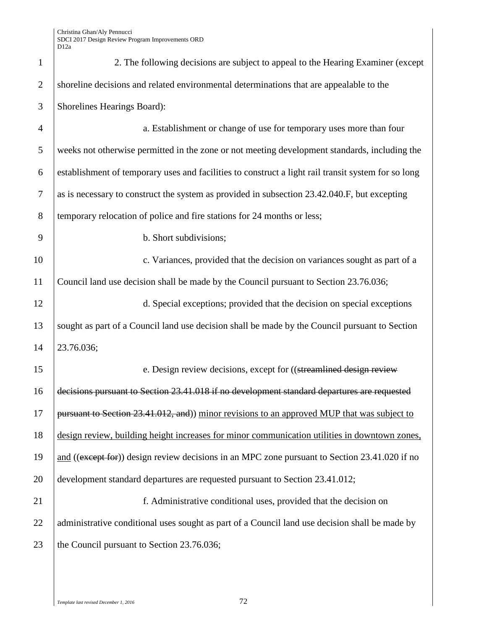| $\mathbf{1}$   | 2. The following decisions are subject to appeal to the Hearing Examiner (except                    |
|----------------|-----------------------------------------------------------------------------------------------------|
| $\overline{2}$ | shoreline decisions and related environmental determinations that are appealable to the             |
| 3              | Shorelines Hearings Board):                                                                         |
| $\overline{4}$ | a. Establishment or change of use for temporary uses more than four                                 |
| 5              | weeks not otherwise permitted in the zone or not meeting development standards, including the       |
| 6              | establishment of temporary uses and facilities to construct a light rail transit system for so long |
| $\tau$         | as is necessary to construct the system as provided in subsection 23.42.040.F, but excepting        |
| 8              | temporary relocation of police and fire stations for 24 months or less;                             |
| 9              | b. Short subdivisions;                                                                              |
| 10             | c. Variances, provided that the decision on variances sought as part of a                           |
| 11             | Council land use decision shall be made by the Council pursuant to Section 23.76.036;               |
| 12             | d. Special exceptions; provided that the decision on special exceptions                             |
| 13             | sought as part of a Council land use decision shall be made by the Council pursuant to Section      |
| 14             | 23.76.036;                                                                                          |
| 15             | e. Design review decisions, except for ((streamlined design review                                  |
| 16             | decisions pursuant to Section 23.41.018 if no development standard departures are requested         |
| 17             | pursuant to Section 23.41.012, and)) minor revisions to an approved MUP that was subject to         |
| 18             | design review, building height increases for minor communication utilities in downtown zones,       |
| 19             | and ((except for)) design review decisions in an MPC zone pursuant to Section 23.41.020 if no       |
| 20             | development standard departures are requested pursuant to Section 23.41.012;                        |
| 21             | f. Administrative conditional uses, provided that the decision on                                   |
| 22             | administrative conditional uses sought as part of a Council land use decision shall be made by      |
| 23             | the Council pursuant to Section 23.76.036;                                                          |
|                |                                                                                                     |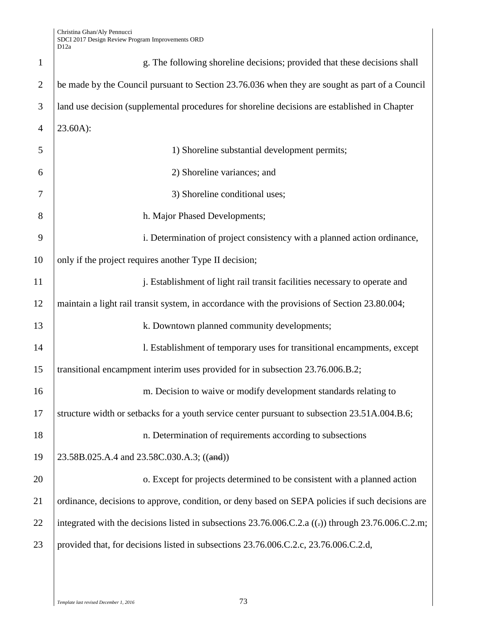| $\mathbf{1}$   | g. The following shoreline decisions; provided that these decisions shall                                |  |
|----------------|----------------------------------------------------------------------------------------------------------|--|
| $\overline{2}$ | be made by the Council pursuant to Section 23.76.036 when they are sought as part of a Council           |  |
| 3              | land use decision (supplemental procedures for shoreline decisions are established in Chapter            |  |
| $\overline{4}$ | 23.60A):                                                                                                 |  |
| 5              | 1) Shoreline substantial development permits;                                                            |  |
| 6              | 2) Shoreline variances; and                                                                              |  |
| 7              | 3) Shoreline conditional uses;                                                                           |  |
| 8              | h. Major Phased Developments;                                                                            |  |
| 9              | i. Determination of project consistency with a planned action ordinance,                                 |  |
| 10             | only if the project requires another Type II decision;                                                   |  |
| 11             | j. Establishment of light rail transit facilities necessary to operate and                               |  |
| 12             | maintain a light rail transit system, in accordance with the provisions of Section 23.80.004;            |  |
| 13             | k. Downtown planned community developments;                                                              |  |
| 14             | 1. Establishment of temporary uses for transitional encampments, except                                  |  |
| 15             | transitional encampment interim uses provided for in subsection 23.76.006.B.2;                           |  |
| 16             | m. Decision to waive or modify development standards relating to                                         |  |
| 17             | structure width or setbacks for a youth service center pursuant to subsection 23.51A.004.B.6;            |  |
| 18             | n. Determination of requirements according to subsections                                                |  |
| 19             | 23.58B.025.A.4 and 23.58C.030.A.3; ((and))                                                               |  |
| 20             | o. Except for projects determined to be consistent with a planned action                                 |  |
| 21             | ordinance, decisions to approve, condition, or deny based on SEPA policies if such decisions are         |  |
| 22             | integrated with the decisions listed in subsections $23.76.006$ .C.2.a ((-)) through $23.76.006$ .C.2.m; |  |
| 23             | provided that, for decisions listed in subsections 23.76.006.C.2.c, 23.76.006.C.2.d,                     |  |
|                |                                                                                                          |  |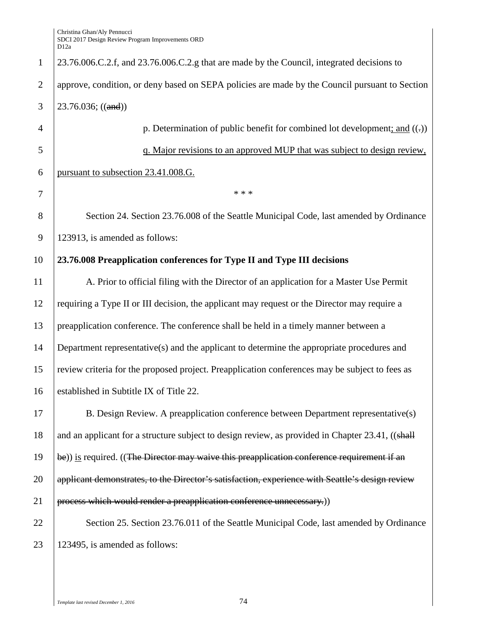23.76.006.C.2.f, and 23.76.006.C.2.g that are made by the Council, integrated decisions to approve, condition, or deny based on SEPA policies are made by the Council pursuant to Section 3 |  $23.76.036$ ; ((and)) **p. Determination of public benefit for combined lot development; and ((-))**  q. Major revisions to an approved MUP that was subject to design review, pursuant to subsection 23.41.008.G. 7 \* \* \* 8 Section 24. Section 23.76.008 of the Seattle Municipal Code, last amended by Ordinance 123913, is amended as follows: **23.76.008 Preapplication conferences for Type II and Type III decisions** 11 A. Prior to official filing with the Director of an application for a Master Use Permit

 requiring a Type II or III decision, the applicant may request or the Director may require a preapplication conference. The conference shall be held in a timely manner between a Department representative(s) and the applicant to determine the appropriate procedures and review criteria for the proposed project. Preapplication conferences may be subject to fees as 16 established in Subtitle IX of Title 22.

17 B. Design Review. A preapplication conference between Department representative(s) 18 and an applicant for a structure subject to design review, as provided in Chapter 23.41, ((shall 19  $\vert$  be)) is required. ((The Director may waive this preapplication conference requirement if an 20 **applicant demonstrates, to the Director's satisfaction, experience with Seattle's design review** 21  $\vert$  process which would render a preapplication conference unnecessary.)

22 Section 25. Section 23.76.011 of the Seattle Municipal Code, last amended by Ordinance 23 123495, is amended as follows: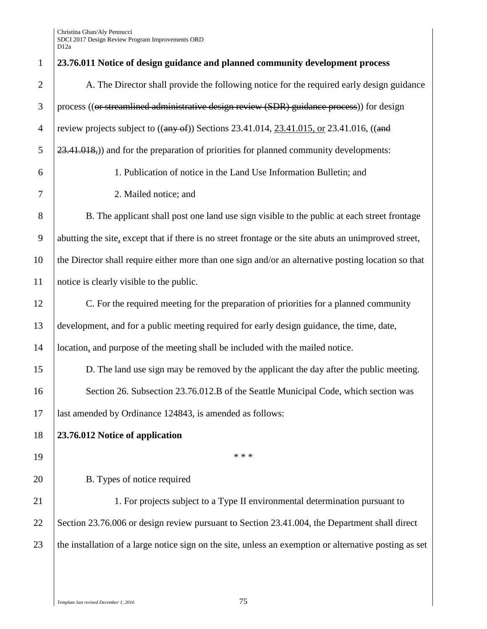| $\mathbf{1}$   | 23.76.011 Notice of design guidance and planned community development process                          |  |
|----------------|--------------------------------------------------------------------------------------------------------|--|
| $\overline{2}$ | A. The Director shall provide the following notice for the required early design guidance              |  |
| 3              | process ((or streamlined administrative design review (SDR) guidance process)) for design              |  |
| $\overline{4}$ | review projects subject to $((any of))$ Sections 23.41.014, 23.41.015, or 23.41.016, $((and$           |  |
| 5              | 23.41.018,) and for the preparation of priorities for planned community developments:                  |  |
| 6              | 1. Publication of notice in the Land Use Information Bulletin; and                                     |  |
| 7              | 2. Mailed notice; and                                                                                  |  |
| $8\,$          | B. The applicant shall post one land use sign visible to the public at each street frontage            |  |
| 9              | abutting the site, except that if there is no street frontage or the site abuts an unimproved street,  |  |
| 10             | the Director shall require either more than one sign and/or an alternative posting location so that    |  |
| 11             | notice is clearly visible to the public.                                                               |  |
| 12             | C. For the required meeting for the preparation of priorities for a planned community                  |  |
| 13             | development, and for a public meeting required for early design guidance, the time, date,              |  |
| 14             | location, and purpose of the meeting shall be included with the mailed notice.                         |  |
| 15             | D. The land use sign may be removed by the applicant the day after the public meeting.                 |  |
| 16             | Section 26. Subsection 23.76.012.B of the Seattle Municipal Code, which section was                    |  |
| 17             | last amended by Ordinance 124843, is amended as follows:                                               |  |
| 18             | 23.76.012 Notice of application                                                                        |  |
| 19             | * * *                                                                                                  |  |
| 20             | B. Types of notice required                                                                            |  |
| 21             | 1. For projects subject to a Type II environmental determination pursuant to                           |  |
| 22             | Section 23.76.006 or design review pursuant to Section 23.41.004, the Department shall direct          |  |
| 23             | the installation of a large notice sign on the site, unless an exemption or alternative posting as set |  |
|                |                                                                                                        |  |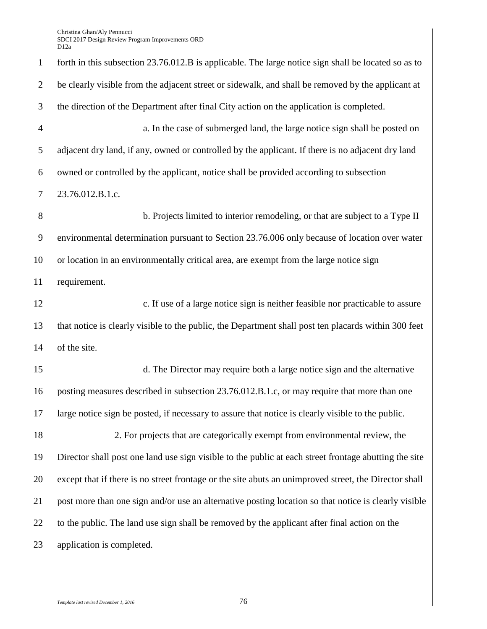Christina Ghan/Aly Pennucci SDCI 2017 Design Review Program Improvements ORD

|                | D <sub>12a</sub>                                                                                      |
|----------------|-------------------------------------------------------------------------------------------------------|
| $\mathbf{1}$   | forth in this subsection 23.76.012.B is applicable. The large notice sign shall be located so as to   |
| $\overline{2}$ | be clearly visible from the adjacent street or sidewalk, and shall be removed by the applicant at     |
| 3              | the direction of the Department after final City action on the application is completed.              |
| $\overline{4}$ | a. In the case of submerged land, the large notice sign shall be posted on                            |
| 5              | adjacent dry land, if any, owned or controlled by the applicant. If there is no adjacent dry land     |
| 6              | owned or controlled by the applicant, notice shall be provided according to subsection                |
| $\tau$         | 23.76.012.B.1.c.                                                                                      |
| 8              | b. Projects limited to interior remodeling, or that are subject to a Type II                          |
| 9              | environmental determination pursuant to Section 23.76.006 only because of location over water         |
| 10             | or location in an environmentally critical area, are exempt from the large notice sign                |
| 11             | requirement.                                                                                          |
| 12             | c. If use of a large notice sign is neither feasible nor practicable to assure                        |
| 13             | that notice is clearly visible to the public, the Department shall post ten placards within 300 feet  |
| 14             | of the site.                                                                                          |
| 15             | d. The Director may require both a large notice sign and the alternative                              |
| 16             | posting measures described in subsection 23.76.012.B.1.c, or may require that more than one           |
| 17             | large notice sign be posted, if necessary to assure that notice is clearly visible to the public.     |
| 18             | 2. For projects that are categorically exempt from environmental review, the                          |
| 19             | Director shall post one land use sign visible to the public at each street frontage abutting the site |
| 20             | except that if there is no street frontage or the site abuts an unimproved street, the Director shall |
| 21             | post more than one sign and/or use an alternative posting location so that notice is clearly visible  |
| 22             | to the public. The land use sign shall be removed by the applicant after final action on the          |
| 23             | application is completed.                                                                             |
|                |                                                                                                       |

*Template last revised December 1, 2016* 76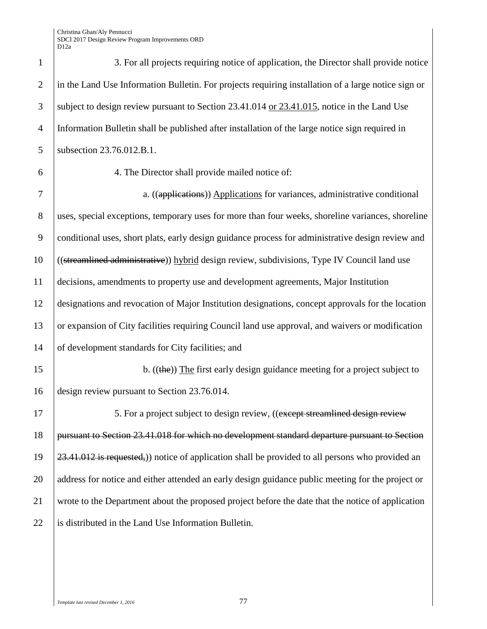Christina Ghan/Aly Pennucci SDCI 2017 Design Review Program Improvements ORD D12a

| $\mathbf{1}$     | 3. For all projects requiring notice of application, the Director shall provide notice              |
|------------------|-----------------------------------------------------------------------------------------------------|
| $\mathbf{2}$     | in the Land Use Information Bulletin. For projects requiring installation of a large notice sign or |
| 3                | subject to design review pursuant to Section 23.41.014 or 23.41.015, notice in the Land Use         |
| $\overline{4}$   | Information Bulletin shall be published after installation of the large notice sign required in     |
| 5                | subsection 23.76.012.B.1.                                                                           |
| 6                | 4. The Director shall provide mailed notice of:                                                     |
| $\boldsymbol{7}$ | a. ((applications)) Applications for variances, administrative conditional                          |
| 8                | uses, special exceptions, temporary uses for more than four weeks, shoreline variances, shoreline   |
| 9                | conditional uses, short plats, early design guidance process for administrative design review and   |
| 10               | ((streamlined administrative)) hybrid design review, subdivisions, Type IV Council land use         |
| 11               | decisions, amendments to property use and development agreements, Major Institution                 |
| 12               | designations and revocation of Major Institution designations, concept approvals for the location   |
| 13               | or expansion of City facilities requiring Council land use approval, and waivers or modification    |
| 14               | of development standards for City facilities; and                                                   |
| 15               | b. $((the))$ The first early design guidance meeting for a project subject to                       |
| 16               | design review pursuant to Section 23.76.014.                                                        |
| 17               | 5. For a project subject to design review, ((except streamlined design review                       |
| 18               | pursuant to Section 23.41.018 for which no development standard departure pursuant to Section       |
| 19               | 23.41.012 is requested,)) notice of application shall be provided to all persons who provided an    |
| 20               | address for notice and either attended an early design guidance public meeting for the project or   |
| 21               | wrote to the Department about the proposed project before the date that the notice of application   |
| 22               | is distributed in the Land Use Information Bulletin.                                                |
|                  |                                                                                                     |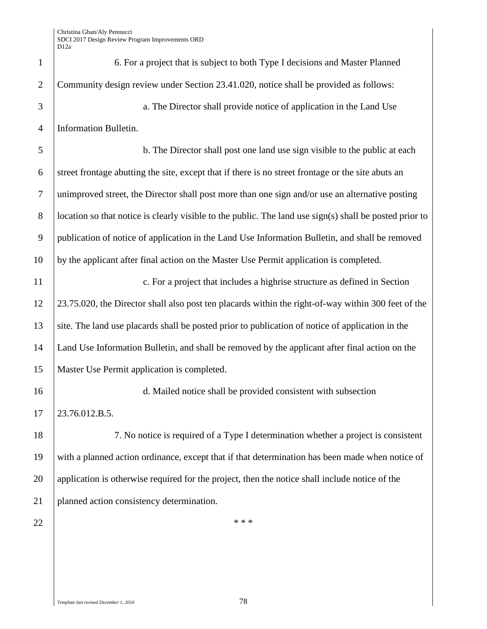| $\mathbf{1}$   | 6. For a project that is subject to both Type I decisions and Master Planned                            |  |
|----------------|---------------------------------------------------------------------------------------------------------|--|
| $\overline{2}$ | Community design review under Section 23.41.020, notice shall be provided as follows:                   |  |
| 3              | a. The Director shall provide notice of application in the Land Use                                     |  |
| $\overline{4}$ | Information Bulletin.                                                                                   |  |
| 5              | b. The Director shall post one land use sign visible to the public at each                              |  |
| 6              | street frontage abutting the site, except that if there is no street frontage or the site abuts an      |  |
| $\tau$         | unimproved street, the Director shall post more than one sign and/or use an alternative posting         |  |
| $8\phantom{1}$ | location so that notice is clearly visible to the public. The land use sign(s) shall be posted prior to |  |
| 9              | publication of notice of application in the Land Use Information Bulletin, and shall be removed         |  |
| 10             | by the applicant after final action on the Master Use Permit application is completed.                  |  |
| 11             | c. For a project that includes a highrise structure as defined in Section                               |  |
| 12             | 23.75.020, the Director shall also post ten placards within the right-of-way within 300 feet of the     |  |
| 13             | site. The land use placards shall be posted prior to publication of notice of application in the        |  |
| 14             | Land Use Information Bulletin, and shall be removed by the applicant after final action on the          |  |
| 15             | Master Use Permit application is completed.                                                             |  |
| 16             | d. Mailed notice shall be provided consistent with subsection                                           |  |
| 17             | 23.76.012.B.5.                                                                                          |  |
| 18             | 7. No notice is required of a Type I determination whether a project is consistent                      |  |
| 19             | with a planned action ordinance, except that if that determination has been made when notice of         |  |
| 20             | application is otherwise required for the project, then the notice shall include notice of the          |  |
| 21             | planned action consistency determination.                                                               |  |
| 22             | * * *                                                                                                   |  |
|                |                                                                                                         |  |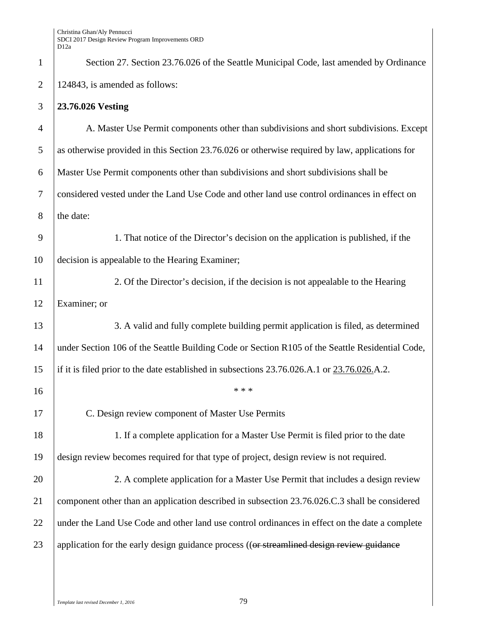| $\mathbf{1}$     | Section 27. Section 23.76.026 of the Seattle Municipal Code, last amended by Ordinance            |  |
|------------------|---------------------------------------------------------------------------------------------------|--|
| $\mathbf{2}$     | 124843, is amended as follows:                                                                    |  |
| 3                | 23.76.026 Vesting                                                                                 |  |
| $\overline{4}$   | A. Master Use Permit components other than subdivisions and short subdivisions. Except            |  |
| 5                | as otherwise provided in this Section 23.76.026 or otherwise required by law, applications for    |  |
| 6                | Master Use Permit components other than subdivisions and short subdivisions shall be              |  |
| $\boldsymbol{7}$ | considered vested under the Land Use Code and other land use control ordinances in effect on      |  |
| $8\,$            | the date:                                                                                         |  |
| 9                | 1. That notice of the Director's decision on the application is published, if the                 |  |
| 10               | decision is appealable to the Hearing Examiner;                                                   |  |
| 11               | 2. Of the Director's decision, if the decision is not appealable to the Hearing                   |  |
| 12               | Examiner; or                                                                                      |  |
| 13               | 3. A valid and fully complete building permit application is filed, as determined                 |  |
| 14               | under Section 106 of the Seattle Building Code or Section R105 of the Seattle Residential Code,   |  |
| 15               | if it is filed prior to the date established in subsections $23.76.026$ .A.1 or $23.76.026$ .A.2. |  |
| 16               | * * *                                                                                             |  |
| 17               | C. Design review component of Master Use Permits                                                  |  |
| 18               | 1. If a complete application for a Master Use Permit is filed prior to the date                   |  |
| 19               | design review becomes required for that type of project, design review is not required.           |  |
| 20               | 2. A complete application for a Master Use Permit that includes a design review                   |  |
| 21               | component other than an application described in subsection 23.76.026.C.3 shall be considered     |  |
| 22               | under the Land Use Code and other land use control ordinances in effect on the date a complete    |  |
| 23               | application for the early design guidance process ((or streamlined design review guidance         |  |
|                  |                                                                                                   |  |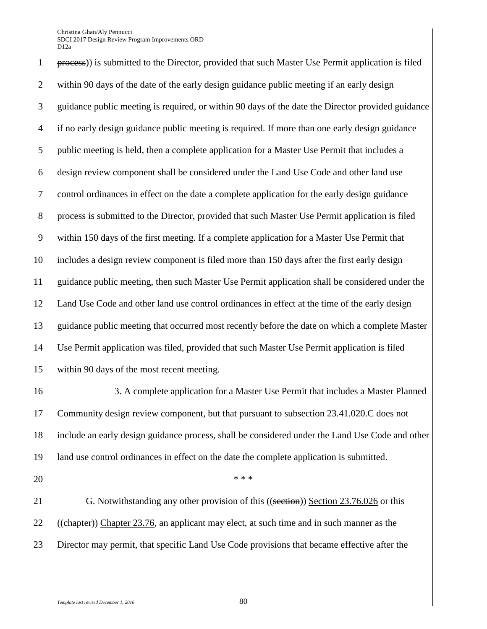Christina Ghan/Aly Pennucci SDCI 2017 Design Review Program Improvements ORD D12a

 process)) is submitted to the Director, provided that such Master Use Permit application is filed within 90 days of the date of the early design guidance public meeting if an early design 3 guidance public meeting is required, or within 90 days of the date the Director provided guidance if no early design guidance public meeting is required. If more than one early design guidance public meeting is held, then a complete application for a Master Use Permit that includes a design review component shall be considered under the Land Use Code and other land use control ordinances in effect on the date a complete application for the early design guidance process is submitted to the Director, provided that such Master Use Permit application is filed within 150 days of the first meeting. If a complete application for a Master Use Permit that includes a design review component is filed more than 150 days after the first early design guidance public meeting, then such Master Use Permit application shall be considered under the Land Use Code and other land use control ordinances in effect at the time of the early design guidance public meeting that occurred most recently before the date on which a complete Master Use Permit application was filed, provided that such Master Use Permit application is filed within 90 days of the most recent meeting.

 3. A complete application for a Master Use Permit that includes a Master Planned Community design review component, but that pursuant to subsection 23.41.020.C does not include an early design guidance process, shall be considered under the Land Use Code and other land use control ordinances in effect on the date the complete application is submitted.

20  $*$  \*\*\*

21 G. Notwithstanding any other provision of this ((section)) Section 23.76.026 or this 22  $\left($  ((chapter)) Chapter 23.76, an applicant may elect, at such time and in such manner as the Director may permit, that specific Land Use Code provisions that became effective after the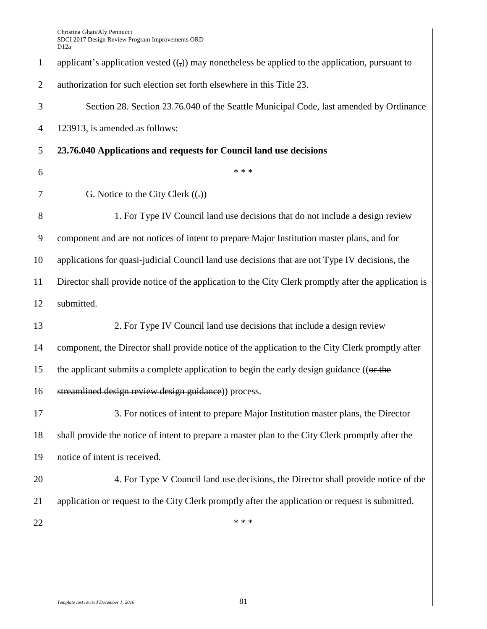| $\mathbf{1}$   | applicant's application vested $((,))$ may nonetheless be applied to the application, pursuant to    |  |  |
|----------------|------------------------------------------------------------------------------------------------------|--|--|
| $\overline{2}$ | authorization for such election set forth elsewhere in this Title 23.                                |  |  |
| 3              | Section 28. Section 23.76.040 of the Seattle Municipal Code, last amended by Ordinance               |  |  |
| $\overline{4}$ | 123913, is amended as follows:                                                                       |  |  |
| 5              | 23.76.040 Applications and requests for Council land use decisions                                   |  |  |
| 6              | * * *                                                                                                |  |  |
| 7              | G. Notice to the City Clerk $((.)$                                                                   |  |  |
| 8              | 1. For Type IV Council land use decisions that do not include a design review                        |  |  |
| 9              | component and are not notices of intent to prepare Major Institution master plans, and for           |  |  |
| 10             | applications for quasi-judicial Council land use decisions that are not Type IV decisions, the       |  |  |
| 11             | Director shall provide notice of the application to the City Clerk promptly after the application is |  |  |
| 12             | submitted.                                                                                           |  |  |
| 13             | 2. For Type IV Council land use decisions that include a design review                               |  |  |
| 14             | component, the Director shall provide notice of the application to the City Clerk promptly after     |  |  |
| 15             | the applicant submits a complete application to begin the early design guidance ((or the             |  |  |
| 16             | streamlined design review design guidance)) process.                                                 |  |  |
| 17             | 3. For notices of intent to prepare Major Institution master plans, the Director                     |  |  |
| 18             | shall provide the notice of intent to prepare a master plan to the City Clerk promptly after the     |  |  |
| 19             | notice of intent is received.                                                                        |  |  |
| 20             | 4. For Type V Council land use decisions, the Director shall provide notice of the                   |  |  |
| 21             | application or request to the City Clerk promptly after the application or request is submitted.     |  |  |
| 22             | * * *                                                                                                |  |  |
|                |                                                                                                      |  |  |
|                |                                                                                                      |  |  |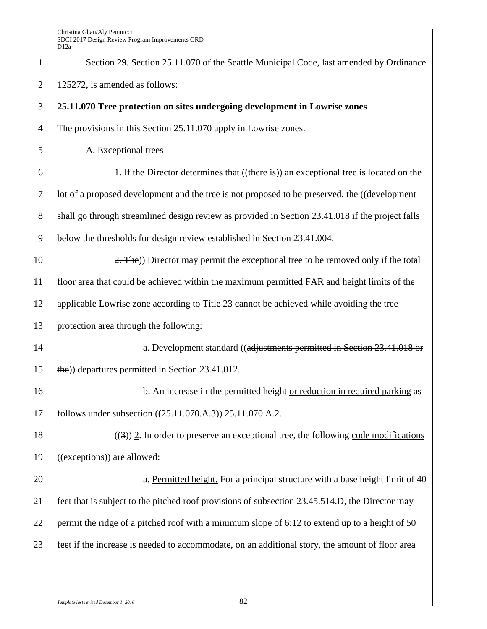| $\mathbf{1}$   | Section 29. Section 25.11.070 of the Seattle Municipal Code, last amended by Ordinance           |  |
|----------------|--------------------------------------------------------------------------------------------------|--|
| $\overline{2}$ | 125272, is amended as follows:                                                                   |  |
| 3              | 25.11.070 Tree protection on sites undergoing development in Lowrise zones                       |  |
| $\overline{4}$ | The provisions in this Section 25.11.070 apply in Lowrise zones.                                 |  |
| 5              | A. Exceptional trees                                                                             |  |
| 6              | 1. If the Director determines that $((there is))$ an exceptional tree is located on the          |  |
| $\tau$         | lot of a proposed development and the tree is not proposed to be preserved, the ((development    |  |
| $8\,$          | shall go through streamlined design review as provided in Section 23.41.018 if the project falls |  |
| 9              | below the thresholds for design review established in Section 23.41.004.                         |  |
| 10             | 2. The)) Director may permit the exceptional tree to be removed only if the total                |  |
| 11             | floor area that could be achieved within the maximum permitted FAR and height limits of the      |  |
| 12             | applicable Lowrise zone according to Title 23 cannot be achieved while avoiding the tree         |  |
| 13             | protection area through the following:                                                           |  |
| 14             | a. Development standard ((adjustments permitted in Section 23.41.018 or                          |  |
| 15             | the)) departures permitted in Section 23.41.012.                                                 |  |
| 16             | b. An increase in the permitted height or reduction in required parking as                       |  |
| 17             | follows under subsection ((25.11.070.A.3)) 25.11.070.A.2.                                        |  |
| 18             | $((3))$ 2. In order to preserve an exceptional tree, the following code modifications            |  |
| 19             | ((exceptions)) are allowed:                                                                      |  |
| 20             | a. Permitted height. For a principal structure with a base height limit of 40                    |  |
| 21             | feet that is subject to the pitched roof provisions of subsection 23.45.514.D, the Director may  |  |
| 22             | permit the ridge of a pitched roof with a minimum slope of 6:12 to extend up to a height of 50   |  |
| 23             | feet if the increase is needed to accommodate, on an additional story, the amount of floor area  |  |
|                |                                                                                                  |  |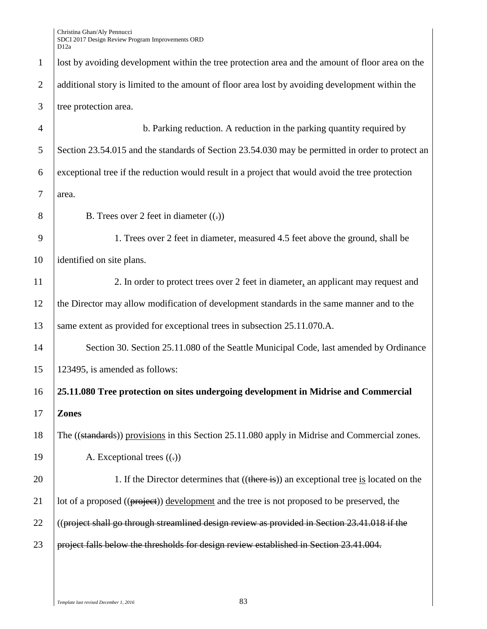| $\mathbf{1}$   | lost by avoiding development within the tree protection area and the amount of floor area on the |  |  |
|----------------|--------------------------------------------------------------------------------------------------|--|--|
| $\overline{2}$ | additional story is limited to the amount of floor area lost by avoiding development within the  |  |  |
| 3              | tree protection area.                                                                            |  |  |
| $\overline{4}$ | b. Parking reduction. A reduction in the parking quantity required by                            |  |  |
| 5              | Section 23.54.015 and the standards of Section 23.54.030 may be permitted in order to protect an |  |  |
| 6              | exceptional tree if the reduction would result in a project that would avoid the tree protection |  |  |
| $\tau$         | area.                                                                                            |  |  |
| 8              | B. Trees over 2 feet in diameter $((.)$                                                          |  |  |
| 9              | 1. Trees over 2 feet in diameter, measured 4.5 feet above the ground, shall be                   |  |  |
| 10             | identified on site plans.                                                                        |  |  |
| 11             | 2. In order to protect trees over 2 feet in diameter, an applicant may request and               |  |  |
| 12             | the Director may allow modification of development standards in the same manner and to the       |  |  |
| 13             | same extent as provided for exceptional trees in subsection 25.11.070.A.                         |  |  |
| 14             | Section 30. Section 25.11.080 of the Seattle Municipal Code, last amended by Ordinance           |  |  |
| 15             | 123495, is amended as follows:                                                                   |  |  |
| 16             | 25.11.080 Tree protection on sites undergoing development in Midrise and Commercial              |  |  |
| 17             | <b>Zones</b>                                                                                     |  |  |
| 18             | The ((standards)) provisions in this Section 25.11.080 apply in Midrise and Commercial zones.    |  |  |
| 19             | A. Exceptional trees $((.)$                                                                      |  |  |
| 20             | 1. If the Director determines that ((there is)) an exceptional tree is located on the            |  |  |
| 21             | lot of a proposed ((project)) development and the tree is not proposed to be preserved, the      |  |  |
| 22             | ((project shall go through streamlined design review as provided in Section $23.41.018$ if the   |  |  |
| 23             | project falls below the thresholds for design review established in Section 23.41.004.           |  |  |
|                |                                                                                                  |  |  |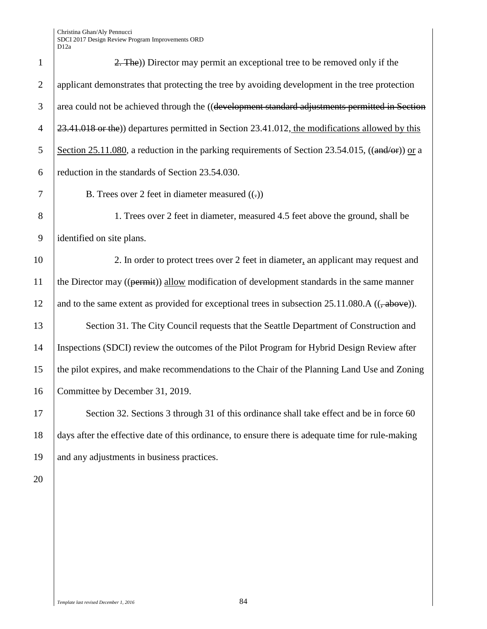| $\mathbf{1}$   | 2. The)) Director may permit an exceptional tree to be removed only if the                                     |
|----------------|----------------------------------------------------------------------------------------------------------------|
| $\overline{2}$ | applicant demonstrates that protecting the tree by avoiding development in the tree protection                 |
| 3              | area could not be achieved through the ((development standard adjustments permitted in Section                 |
| $\overline{4}$ | 23.41.018 or the)) departures permitted in Section 23.41.012, the modifications allowed by this                |
| 5              | Section 25.11.080, a reduction in the parking requirements of Section 23.54.015, $((\text{and/or}))$ or a      |
| 6              | reduction in the standards of Section 23.54.030.                                                               |
| $\overline{7}$ | B. Trees over 2 feet in diameter measured $((.)$                                                               |
| 8              | 1. Trees over 2 feet in diameter, measured 4.5 feet above the ground, shall be                                 |
| 9              | identified on site plans.                                                                                      |
| 10             | 2. In order to protect trees over 2 feet in diameter, an applicant may request and                             |
| 11             | the Director may ((permit)) allow modification of development standards in the same manner                     |
| 12             | and to the same extent as provided for exceptional trees in subsection $25.11.080.A$ (( $\rightarrow$ above)). |
| 13             | Section 31. The City Council requests that the Seattle Department of Construction and                          |
| 14             | Inspections (SDCI) review the outcomes of the Pilot Program for Hybrid Design Review after                     |
| 15             | the pilot expires, and make recommendations to the Chair of the Planning Land Use and Zoning                   |
| 16             | Committee by December 31, 2019.                                                                                |
| 17             | Section 32. Sections 3 through 31 of this ordinance shall take effect and be in force 60                       |
| 18             | days after the effective date of this ordinance, to ensure there is adequate time for rule-making              |
| 19             | and any adjustments in business practices.                                                                     |
| 20             |                                                                                                                |